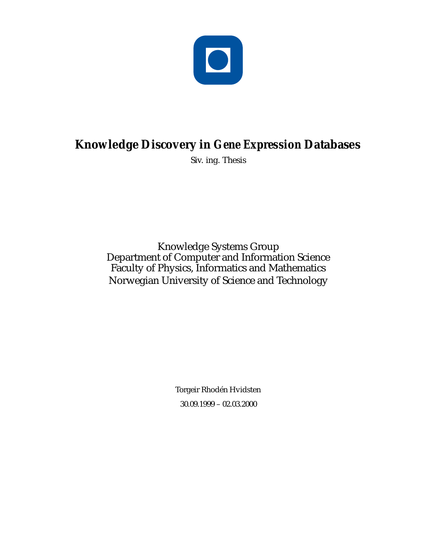

### **Knowledge Discovery in** *Gene Expression* **Databases**

Siv. ing. Thesis

Knowledge Systems Group Department of Computer and Information Science Faculty of Physics, Informatics and Mathematics Norwegian University of Science and Technology

> Torgeir Rhodén Hvidsten 30.09.1999 – 02.03.2000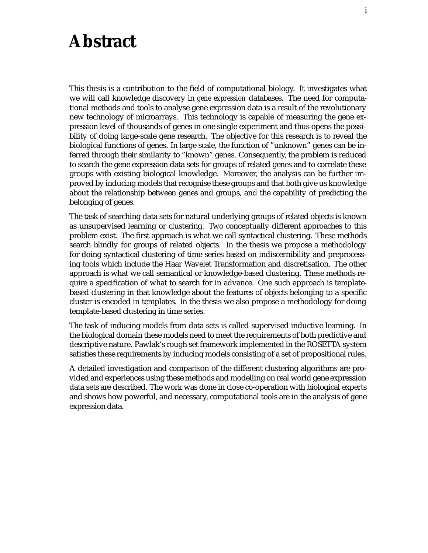### **Abstract**

This thesis is a contribution to the field of computational biology. It investigates what we will call knowledge discovery in *gene expression* databases. The need for computational methods and tools to analyse gene expression data is a result of the revolutionary new technology of microarrays. This technology is capable of measuring the gene expression level of thousands of genes in one single experiment and thus opens the possibility of doing large-scale gene research. The objective for this research is to reveal the biological functions of genes. In large scale, the function of "unknown" genes can be inferred through their similarity to "known" genes. Consequently, the problem is reduced to search the gene expression data sets for groups of related genes and to correlate these groups with existing biological knowledge. Moreover, the analysis can be further improved by inducing models that recognise these groups and that both give us knowledge about the relationship between genes and groups, and the capability of predicting the belonging of genes.

The task of searching data sets for natural underlying groups of related objects is known as unsupervised learning or clustering. Two conceptually different approaches to this problem exist. The first approach is what we call syntactical clustering. These methods search blindly for groups of related objects. In the thesis we propose a methodology for doing syntactical clustering of time series based on indiscernibility and preprocessing tools which include the Haar Wavelet Transformation and discretisation. The other approach is what we call semantical or knowledge-based clustering. These methods require a specification of what to search for in advance. One such approach is templatebased clustering in that knowledge about the features of objects belonging to a specific cluster is encoded in templates. In the thesis we also propose a methodology for doing template-based clustering in time series.

The task of inducing models from data sets is called supervised inductive learning. In the biological domain these models need to meet the requirements of both predictive and descriptive nature. Pawlak's rough set framework implemented in the ROSETTA system satisfies these requirements by inducing models consisting of a set of propositional rules.

A detailed investigation and comparison of the different clustering algorithms are provided and experiences using these methods and modelling on real world gene expression data sets are described. The work was done in close co-operation with biological experts and shows how powerful, and necessary, computational tools are in the analysis of gene expression data.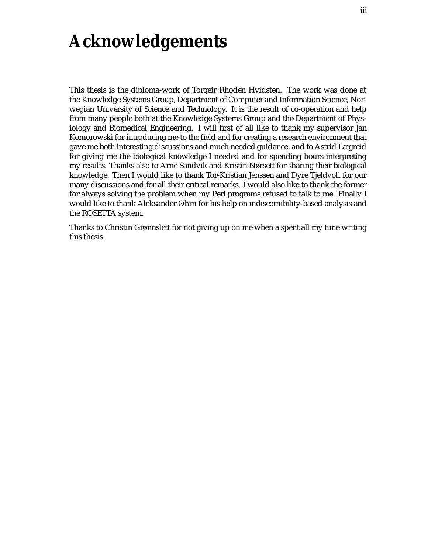## **Acknowledgements**

This thesis is the diploma-work of Torgeir Rhodén Hvidsten. The work was done at the Knowledge Systems Group, Department of Computer and Information Science, Norwegian University of Science and Technology. It is the result of co-operation and help from many people both at the Knowledge Systems Group and the Department of Physiology and Biomedical Engineering. I will first of all like to thank my supervisor Jan Komorowski for introducing me to the field and for creating a research environment that gave me both interesting discussions and much needed guidance, and to Astrid Lægreid for giving me the biological knowledge I needed and for spending hours interpreting my results. Thanks also to Arne Sandvik and Kristin Nørsett for sharing their biological knowledge. Then I would like to thank Tor-Kristian Jenssen and Dyre Tjeldvoll for our many discussions and for all their critical remarks. I would also like to thank the former for always solving the problem when my Perl programs refused to talk to me. Finally I would like to thank Aleksander Øhrn for his help on indiscernibility-based analysis and the ROSETTA system.

Thanks to Christin Grønnslett for not giving up on me when a spent all my time writing this thesis.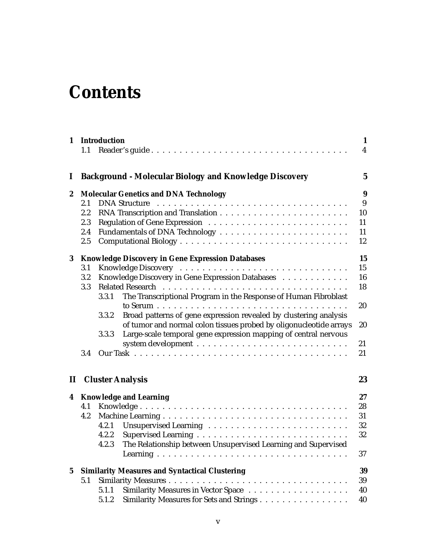## **Contents**

|                  | 1.1                                                   | 1 Introduction                                                |                                                                    | $\mathbf{1}$<br>$\overline{\mathbf{4}}$ |  |  |  |
|------------------|-------------------------------------------------------|---------------------------------------------------------------|--------------------------------------------------------------------|-----------------------------------------|--|--|--|
| $\bf{l}$         |                                                       |                                                               | <b>Background - Molecular Biology and Knowledge Discovery</b>      | $\mathbf{5}$                            |  |  |  |
| $\boldsymbol{2}$ |                                                       | <b>Molecular Genetics and DNA Technology</b>                  |                                                                    |                                         |  |  |  |
|                  | 2.1                                                   |                                                               |                                                                    | 9                                       |  |  |  |
|                  | 2.2                                                   |                                                               |                                                                    | 10                                      |  |  |  |
|                  | 2.3                                                   |                                                               |                                                                    | 11                                      |  |  |  |
|                  | 2.4                                                   |                                                               |                                                                    | 11                                      |  |  |  |
|                  | 2.5                                                   |                                                               |                                                                    | 12                                      |  |  |  |
| 3                |                                                       | 15<br><b>Knowledge Discovery in Gene Expression Databases</b> |                                                                    |                                         |  |  |  |
|                  | 3.1                                                   |                                                               |                                                                    | 15                                      |  |  |  |
|                  | 3.2                                                   |                                                               | Knowledge Discovery in Gene Expression Databases                   | 16                                      |  |  |  |
|                  | 3.3                                                   |                                                               |                                                                    | 18                                      |  |  |  |
|                  |                                                       | 3.3.1                                                         | The Transcriptional Program in the Response of Human Fibroblast    |                                         |  |  |  |
|                  |                                                       |                                                               |                                                                    | 20                                      |  |  |  |
|                  |                                                       | 3.3.2                                                         | Broad patterns of gene expression revealed by clustering analysis  |                                         |  |  |  |
|                  |                                                       |                                                               | of tumor and normal colon tissues probed by oligonucleotide arrays | 20                                      |  |  |  |
|                  |                                                       | 3.3.3                                                         | Large-scale temporal gene expression mapping of central nervous    |                                         |  |  |  |
|                  |                                                       |                                                               |                                                                    | 21                                      |  |  |  |
|                  | 3.4                                                   |                                                               |                                                                    | 21                                      |  |  |  |
| $\mathbf{I}$     |                                                       |                                                               | <b>Cluster Analysis</b>                                            | 23                                      |  |  |  |
|                  | 4 Knowledge and Learning                              |                                                               |                                                                    |                                         |  |  |  |
|                  | 4.1                                                   |                                                               |                                                                    | 28                                      |  |  |  |
|                  | 4.2                                                   |                                                               |                                                                    | 31                                      |  |  |  |
|                  |                                                       | 4.2.1                                                         |                                                                    | 32                                      |  |  |  |
|                  |                                                       | 4.2.2                                                         |                                                                    | 32                                      |  |  |  |
|                  |                                                       | 4.2.3                                                         | The Relationship between Unsupervised Learning and Supervised      |                                         |  |  |  |
|                  |                                                       |                                                               |                                                                    | 37                                      |  |  |  |
| $5\phantom{.0}$  | <b>Similarity Measures and Syntactical Clustering</b> |                                                               |                                                                    |                                         |  |  |  |
|                  | 5.1                                                   |                                                               |                                                                    | 39                                      |  |  |  |
|                  |                                                       | 5.1.1                                                         |                                                                    | 40                                      |  |  |  |
|                  |                                                       | 5.1.2                                                         | Similarity Measures for Sets and Strings                           | 40                                      |  |  |  |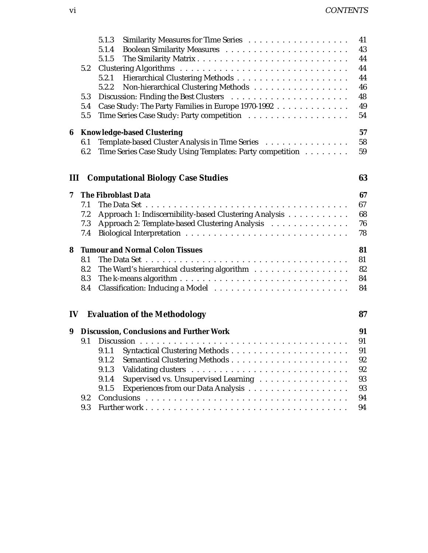|                                         | 43<br>5.1.4                                               |                                                                                                                                                                                                                                                                                                                                                                                                                         |  |  |  |  |  |
|-----------------------------------------|-----------------------------------------------------------|-------------------------------------------------------------------------------------------------------------------------------------------------------------------------------------------------------------------------------------------------------------------------------------------------------------------------------------------------------------------------------------------------------------------------|--|--|--|--|--|
|                                         |                                                           |                                                                                                                                                                                                                                                                                                                                                                                                                         |  |  |  |  |  |
|                                         | 5.1.5                                                     | 44                                                                                                                                                                                                                                                                                                                                                                                                                      |  |  |  |  |  |
| 5.2                                     |                                                           | 44                                                                                                                                                                                                                                                                                                                                                                                                                      |  |  |  |  |  |
|                                         | 5.2.1                                                     | 44                                                                                                                                                                                                                                                                                                                                                                                                                      |  |  |  |  |  |
|                                         | 5.2.2                                                     | 46                                                                                                                                                                                                                                                                                                                                                                                                                      |  |  |  |  |  |
|                                         |                                                           | 48                                                                                                                                                                                                                                                                                                                                                                                                                      |  |  |  |  |  |
|                                         |                                                           | 49                                                                                                                                                                                                                                                                                                                                                                                                                      |  |  |  |  |  |
| 5.5                                     |                                                           | 54                                                                                                                                                                                                                                                                                                                                                                                                                      |  |  |  |  |  |
| 57<br><b>Knowledge-based Clustering</b> |                                                           |                                                                                                                                                                                                                                                                                                                                                                                                                         |  |  |  |  |  |
| 6.1                                     | Template-based Cluster Analysis in Time Series            | 58                                                                                                                                                                                                                                                                                                                                                                                                                      |  |  |  |  |  |
| 6.2                                     | Time Series Case Study Using Templates: Party competition | 59                                                                                                                                                                                                                                                                                                                                                                                                                      |  |  |  |  |  |
|                                         |                                                           |                                                                                                                                                                                                                                                                                                                                                                                                                         |  |  |  |  |  |
|                                         |                                                           |                                                                                                                                                                                                                                                                                                                                                                                                                         |  |  |  |  |  |
|                                         |                                                           | 67                                                                                                                                                                                                                                                                                                                                                                                                                      |  |  |  |  |  |
|                                         |                                                           | 67                                                                                                                                                                                                                                                                                                                                                                                                                      |  |  |  |  |  |
|                                         |                                                           | 68                                                                                                                                                                                                                                                                                                                                                                                                                      |  |  |  |  |  |
|                                         |                                                           | 76                                                                                                                                                                                                                                                                                                                                                                                                                      |  |  |  |  |  |
| 7.4                                     |                                                           | 78                                                                                                                                                                                                                                                                                                                                                                                                                      |  |  |  |  |  |
| 81                                      |                                                           |                                                                                                                                                                                                                                                                                                                                                                                                                         |  |  |  |  |  |
| 8.1                                     |                                                           | 81                                                                                                                                                                                                                                                                                                                                                                                                                      |  |  |  |  |  |
| 8.2                                     | The Ward's hierarchical clustering algorithm              | 82                                                                                                                                                                                                                                                                                                                                                                                                                      |  |  |  |  |  |
| 8.3                                     |                                                           | 84                                                                                                                                                                                                                                                                                                                                                                                                                      |  |  |  |  |  |
| 8.4                                     |                                                           | 84                                                                                                                                                                                                                                                                                                                                                                                                                      |  |  |  |  |  |
|                                         |                                                           | 87                                                                                                                                                                                                                                                                                                                                                                                                                      |  |  |  |  |  |
|                                         |                                                           | 91                                                                                                                                                                                                                                                                                                                                                                                                                      |  |  |  |  |  |
| 9.1                                     |                                                           | 91                                                                                                                                                                                                                                                                                                                                                                                                                      |  |  |  |  |  |
|                                         |                                                           | 91                                                                                                                                                                                                                                                                                                                                                                                                                      |  |  |  |  |  |
|                                         | 9.1.2                                                     | 92                                                                                                                                                                                                                                                                                                                                                                                                                      |  |  |  |  |  |
|                                         |                                                           |                                                                                                                                                                                                                                                                                                                                                                                                                         |  |  |  |  |  |
|                                         | 92<br>9.1.3                                               |                                                                                                                                                                                                                                                                                                                                                                                                                         |  |  |  |  |  |
|                                         | 9.1.4                                                     | 93                                                                                                                                                                                                                                                                                                                                                                                                                      |  |  |  |  |  |
|                                         | Supervised vs. Unsupervised Learning<br>9.1.5             | 93                                                                                                                                                                                                                                                                                                                                                                                                                      |  |  |  |  |  |
| 9.2                                     |                                                           | 94                                                                                                                                                                                                                                                                                                                                                                                                                      |  |  |  |  |  |
|                                         | 5.3<br>5.4<br>Ш<br>7.1<br>7.2<br>7.3                      | Non-hierarchical Clustering Methods<br>Case Study: The Party Families in Europe 1970-1992<br>63<br><b>Computational Biology Case Studies</b><br>The Fibroblast Data<br>Approach 1: Indiscernibility-based Clustering Analysis<br>Approach 2: Template-based Clustering Analysis<br><b>Tumour and Normal Colon Tissues</b><br><b>IV</b> Evaluation of the Methodology<br><b>Discussion, Conclusions and Further Work</b> |  |  |  |  |  |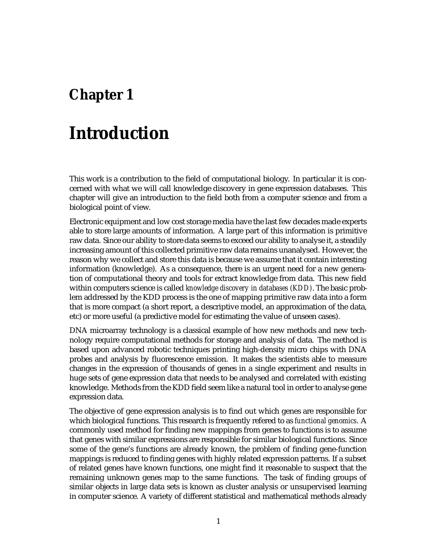### **Chapter 1**

### **Introduction**

This work is a contribution to the field of computational biology. In particular it is concerned with what we will call knowledge discovery in gene expression databases. This chapter will give an introduction to the field both from a computer science and from a biological point of view.

Electronic equipment and low cost storage media have the last few decades made experts able to store large amounts of information. A large part of this information is primitive raw data. Since our ability to store data seems to exceed our ability to analyse it, a steadily increasing amount of this collected primitive raw data remains unanalysed. However, the reason why we collect and store this data is because we assume that it contain interesting information (knowledge). As a consequence, there is an urgent need for a new generation of computational theory and tools for extract knowledge from data. This new field within computers science is called *knowledge discovery in databases (KDD)*. The basic problem addressed by the KDD process is the one of mapping primitive raw data into a form that is more compact (a short report, a descriptive model, an approximation of the data, etc) or more useful (a predictive model for estimating the value of unseen cases).

DNA microarray technology is a classical example of how new methods and new technology require computational methods for storage and analysis of data. The method is based upon advanced robotic techniques printing high-density micro chips with DNA probes and analysis by fluorescence emission. It makes the scientists able to measure changes in the expression of thousands of genes in a single experiment and results in huge sets of gene expression data that needs to be analysed and correlated with existing knowledge. Methods from the KDD field seem like a natural tool in order to analyse gene expression data.

The objective of gene expression analysis is to find out which genes are responsible for which biological functions. This research is frequently refered to as *functional genomics*. A commonly used method for finding new mappings from genes to functions is to assume that genes with similar expressions are responsible for similar biological functions. Since some of the gene's functions are already known, the problem of finding gene-function mappings is reduced to finding genes with highly related expression patterns. If a subset of related genes have known functions, one might find it reasonable to suspect that the remaining unknown genes map to the same functions. The task of finding groups of similar objects in large data sets is known as cluster analysis or unsupervised learning in computer science. A variety of different statistical and mathematical methods already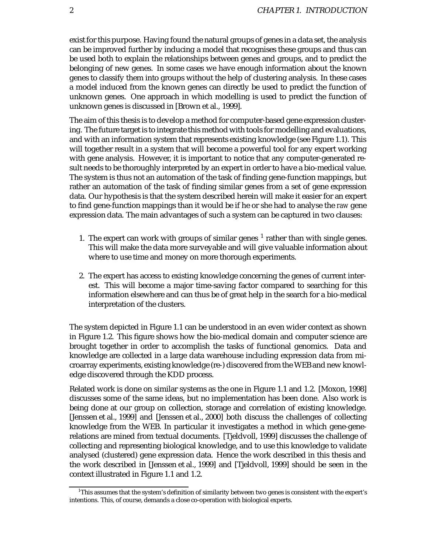exist for this purpose. Having found the natural groups of genes in a data set, the analysis can be improved further by inducing a model that recognises these groups and thus can be used both to explain the relationships between genes and groups, and to predict the belonging of new genes. In some cases we have enough information about the known genes to classify them into groups without the help of clustering analysis. In these cases a model induced from the known genes can directly be used to predict the function of unknown genes. One approach in which modelling is used to predict the function of unknown genes is discussed in [Brown et al., 1999].

The aim of this thesis is to develop a method for computer-based gene expression clustering. The future target is to integrate this method with tools for modelling and evaluations, and with an information system that represents existing knowledge (see Figure 1.1). This will together result in a system that will become a powerful tool for any expert working with gene analysis. However, it is important to notice that any computer-generated result needs to be thoroughly interpreted by an expert in order to have a bio-medical value. The system is thus not an automation of the task of finding gene-function mappings, but rather an automation of the task of finding similar genes from a set of gene expression data. Our hypothesis is that the system described herein will make it easier for an expert to find gene-function mappings than it would be if he or she had to analyse the *raw* gene expression data. The main advantages of such a system can be captured in two clauses:

- 1. The expert can work with groups of similar genes  $<sup>1</sup>$  rather than with single genes.</sup> This will make the data more surveyable and will give valuable information about where to use time and money on more thorough experiments.
- 2. The expert has access to existing knowledge concerning the genes of current interest. This will become a major time-saving factor compared to searching for this information elsewhere and can thus be of great help in the search for a bio-medical interpretation of the clusters.

The system depicted in Figure 1.1 can be understood in an even wider context as shown in Figure 1.2. This figure shows how the bio-medical domain and computer science are brought together in order to accomplish the tasks of functional genomics. Data and knowledge are collected in a large data warehouse including expression data from microarray experiments, existing knowledge (re-) discovered from the WEB and new knowledge discovered through the KDD process.

Related work is done on similar systems as the one in Figure 1.1 and 1.2. [Moxon, 1998] discusses some of the same ideas, but no implementation has been done. Also work is being done at our group on collection, storage and correlation of existing knowledge. [Jenssen et al., 1999] and [Jenssen et al., 2000] both discuss the challenges of collecting knowledge from the WEB. In particular it investigates a method in which gene-generelations are mined from textual documents. [Tjeldvoll, 1999] discusses the challenge of collecting and representing biological knowledge, and to use this knowledge to validate analysed (clustered) gene expression data. Hence the work described in this thesis and the work described in [Jenssen et al., 1999] and [Tjeldvoll, 1999] should be seen in the context illustrated in Figure 1.1 and 1.2.

 $\rm ^1This$  assumes that the system's definition of similarity between two genes is consistent with the expert's intentions. This, of course, demands a close co-operation with biological experts.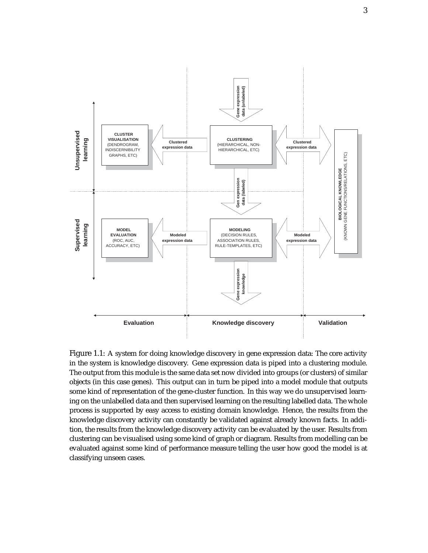

Figure 1.1: A system for doing knowledge discovery in gene expression data: The core activity in the system is knowledge discovery. Gene expression data is piped into a clustering module. The output from this module is the same data set now divided into groups (or clusters) of similar objects (in this case genes). This output can in turn be piped into a model module that outputs some kind of representation of the gene-cluster function. In this way we do unsupervised learning on the unlabelled data and then supervised learning on the resulting labelled data. The whole process is supported by easy access to existing domain knowledge. Hence, the results from the knowledge discovery activity can constantly be validated against already known facts. In addition, the results from the knowledge discovery activity can be evaluated by the user. Results from clustering can be visualised using some kind of graph or diagram. Results from modelling can be evaluated against some kind of performance measure telling the user how good the model is at classifying unseen cases.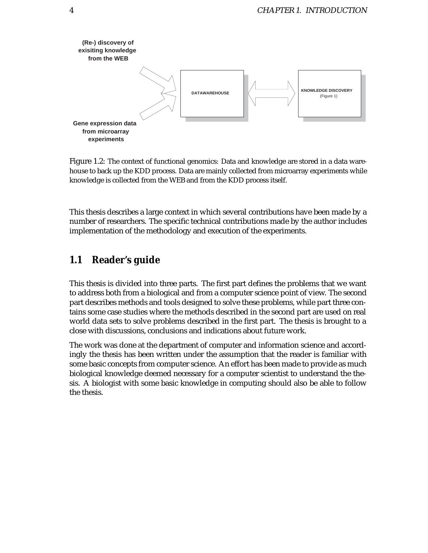

Figure 1.2: The context of functional genomics: Data and knowledge are stored in a data warehouse to back up the KDD process. Data are mainly collected from microarray experiments while knowledge is collected from the WEB and from the KDD process itself.

This thesis describes a large context in which several contributions have been made by a number of researchers. The specific technical contributions made by the author includes implementation of the methodology and execution of the experiments.

### **1.1 Reader's guide**

This thesis is divided into three parts. The first part defines the problems that we want to address both from a biological and from a computer science point of view. The second part describes methods and tools designed to solve these problems, while part three contains some case studies where the methods described in the second part are used on real world data sets to solve problems described in the first part. The thesis is brought to a close with discussions, conclusions and indications about future work.

The work was done at the department of computer and information science and accordingly the thesis has been written under the assumption that the reader is familiar with some basic concepts from computer science. An effort has been made to provide as much biological knowledge deemed necessary for a computer scientist to understand the thesis. A biologist with some basic knowledge in computing should also be able to follow the thesis.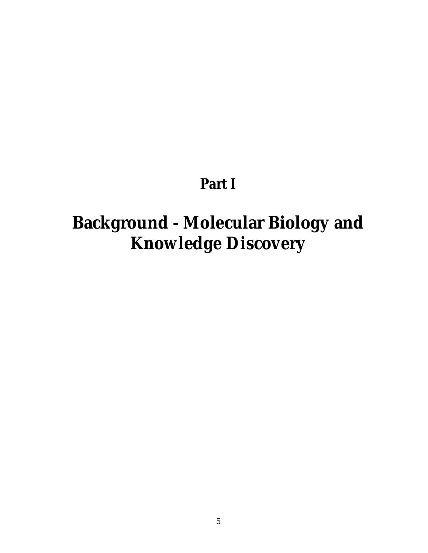### **Part I**

# **Background - Molecular Biology and Knowledge Discovery**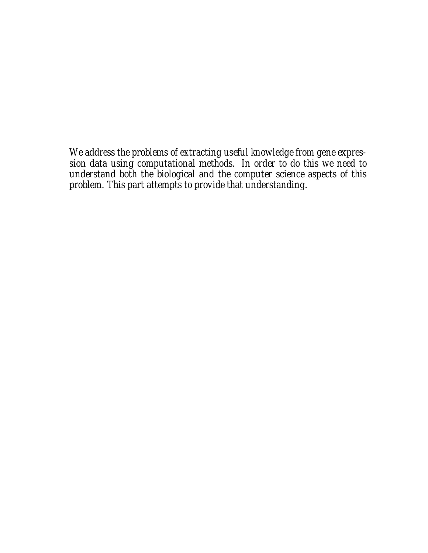*We address the problems of extracting useful knowledge from gene expression data using computational methods. In order to do this we need to understand both the biological and the computer science aspects of this problem. This part attempts to provide that understanding.*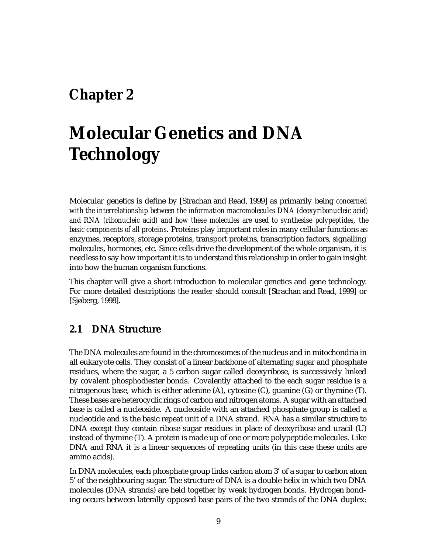### **Chapter 2**

## **Molecular Genetics and DNA Technology**

Molecular genetics is define by [Strachan and Read, 1999] as primarily being *concerned with the interrelationship between the information macromolecules DNA (deoxyribonucleic acid) and RNA (ribonucleic acid) and how these molecules are used to synthesise polypeptides, the basic components of all proteins*. Proteins play important roles in many cellular functions as enzymes, receptors, storage proteins, transport proteins, transcription factors, signalling molecules, hormones, etc. Since cells drive the development of the whole organism, it is needless to say how important it is to understand this relationship in order to gain insight into how the human organism functions.

This chapter will give a short introduction to molecular genetics and gene technology. For more detailed descriptions the reader should consult [Strachan and Read, 1999] or [Sjøberg, 1998].

#### **2.1 DNA Structure**

The DNA molecules are found in the chromosomes of the nucleus and in mitochondria in all eukaryote cells. They consist of a linear backbone of alternating sugar and phosphate residues, where the sugar, a 5 carbon sugar called deoxyribose, is successively linked by covalent phosphodiester bonds. Covalently attached to the each sugar residue is a nitrogenous base, which is either adenine (A), cytosine (C), guanine (G) or thymine (T). These bases are heterocyclic rings of carbon and nitrogen atoms. A sugar with an attached base is called a nucleoside. A nucleoside with an attached phosphate group is called a nucleotide and is the basic repeat unit of a DNA strand. RNA has a similar structure to DNA except they contain ribose sugar residues in place of deoxyribose and uracil (U) instead of thymine (T). A protein is made up of one or more polypeptide molecules. Like DNA and RNA it is a linear sequences of repeating units (in this case these units are amino acids).

In DNA molecules, each phosphate group links carbon atom 3' of a sugar to carbon atom 5' of the neighbouring sugar. The structure of DNA is a double helix in which two DNA molecules (DNA strands) are held together by weak hydrogen bonds. Hydrogen bonding occurs between laterally opposed base pairs of the two strands of the DNA duplex: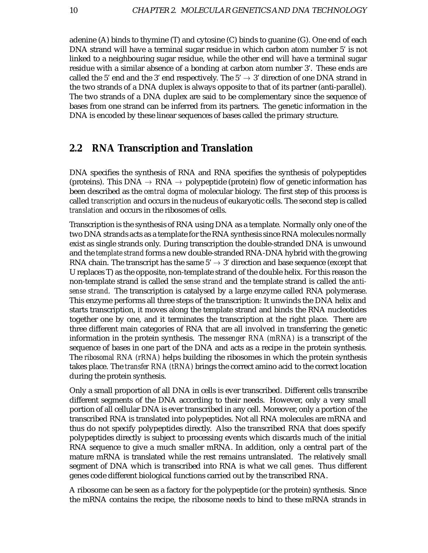adenine (A) binds to thymine (T) and cytosine (C) binds to guanine (G). One end of each DNA strand will have a terminal sugar residue in which carbon atom number 5' is not linked to a neighbouring sugar residue, while the other end will have a terminal sugar residue with a similar absence of a bonding at carbon atom number 3'. These ends are called the 5' end and the 3' end respectively. The  $5' \rightarrow 3'$  direction of one DNA strand in the two strands of a DNA duplex is always opposite to that of its partner (anti-parallel). The two strands of a DNA duplex are said to be complementary since the sequence of bases from one strand can be inferred from its partners. The genetic information in the DNA is encoded by these linear sequences of bases called the primary structure.

#### **2.2 RNA Transcription and Translation**

DNA specifies the synthesis of RNA and RNA specifies the synthesis of polypeptides (proteins). This DNA  $\rightarrow$  RNA  $\rightarrow$  polypeptide (protein) flow of genetic information has been described as the *central dogma* of molecular biology. The first step of this process is called *transcription* and occurs in the nucleus of eukaryotic cells. The second step is called *translation* and occurs in the ribosomes of cells.

Transcription is the synthesis of RNA using DNA as a template. Normally only one of the two DNA strands acts as a template for the RNA synthesis since RNA molecules normally exist as single strands only. During transcription the double-stranded DNA is unwound and the *template strand* forms a new double-stranded RNA-DNA hybrid with the growing RNA chain. The transcript has the same  $5' \rightarrow 3'$  direction and base sequence (except that U replaces T) as the opposite, non-template strand of the double helix. For this reason the non-template strand is called the *sense strand* and the template strand is called the *antisense strand*. The transcription is catalysed by a large enzyme called RNA polymerase. This enzyme performs all three steps of the transcription: It unwinds the DNA helix and starts transcription, it moves along the template strand and binds the RNA nucleotides together one by one, and it terminates the transcription at the right place. There are three different main categories of RNA that are all involved in transferring the genetic information in the protein synthesis. The *messenger RNA (mRNA)* is a transcript of the sequence of bases in one part of the DNA and acts as a recipe in the protein synthesis. The *ribosomal RNA (rRNA)* helps building the ribosomes in which the protein synthesis takes place. The *transfer RNA (tRNA)* brings the correct amino acid to the correct location during the protein synthesis.

Only a small proportion of all DNA in cells is ever transcribed. Different cells transcribe different segments of the DNA according to their needs. However, only a very small portion of all cellular DNA is ever transcribed in any cell. Moreover, only a portion of the transcribed RNA is translated into polypeptides. Not all RNA molecules are mRNA and thus do not specify polypeptides directly. Also the transcribed RNA that does specify polypeptides directly is subject to processing events which discards much of the initial RNA sequence to give a much smaller mRNA. In addition, only a central part of the mature mRNA is translated while the rest remains untranslated. The relatively small segment of DNA which is transcribed into RNA is what we call *genes*. Thus different genes code different biological functions carried out by the transcribed RNA.

A ribosome can be seen as a factory for the polypeptide (or the protein) synthesis. Since the mRNA contains the recipe, the ribosome needs to bind to these mRNA strands in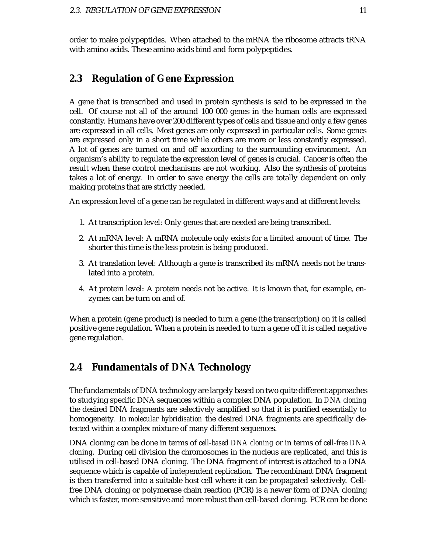order to make polypeptides. When attached to the mRNA the ribosome attracts tRNA with amino acids. These amino acids bind and form polypeptides.

### **2.3 Regulation of Gene Expression**

A gene that is transcribed and used in protein synthesis is said to be expressed in the cell. Of course not all of the around 100 000 genes in the human cells are expressed constantly. Humans have over 200 different types of cells and tissue and only a few genes are expressed in all cells. Most genes are only expressed in particular cells. Some genes are expressed only in a short time while others are more or less constantly expressed. A lot of genes are turned on and off according to the surrounding environment. An organism's ability to regulate the expression level of genes is crucial. Cancer is often the result when these control mechanisms are not working. Also the synthesis of proteins takes a lot of energy. In order to save energy the cells are totally dependent on only making proteins that are strictly needed.

An expression level of a gene can be regulated in different ways and at different levels:

- 1. At transcription level: Only genes that are needed are being transcribed.
- 2. At mRNA level: A mRNA molecule only exists for a limited amount of time. The shorter this time is the less protein is being produced.
- 3. At translation level: Although a gene is transcribed its mRNA needs not be translated into a protein.
- 4. At protein level: A protein needs not be active. It is known that, for example, enzymes can be turn on and of.

When a protein (gene product) is needed to turn a gene (the transcription) on it is called positive gene regulation. When a protein is needed to turn a gene off it is called negative gene regulation.

#### **2.4 Fundamentals of DNA Technology**

The fundamentals of DNA technology are largely based on two quite different approaches to studying specific DNA sequences within a complex DNA population. In *DNA cloning* the desired DNA fragments are selectively amplified so that it is purified essentially to homogeneity. In *molecular hybridisation* the desired DNA fragments are specifically detected within a complex mixture of many different sequences.

DNA cloning can be done in terms of *cell-based DNA cloning* or in terms of *cell-free DNA cloning*. During cell division the chromosomes in the nucleus are replicated, and this is utilised in cell-based DNA cloning. The DNA fragment of interest is attached to a DNA sequence which is capable of independent replication. The recombinant DNA fragment is then transferred into a suitable host cell where it can be propagated selectively. Cellfree DNA cloning or polymerase chain reaction (PCR) is a newer form of DNA cloning which is faster, more sensitive and more robust than cell-based cloning. PCR can be done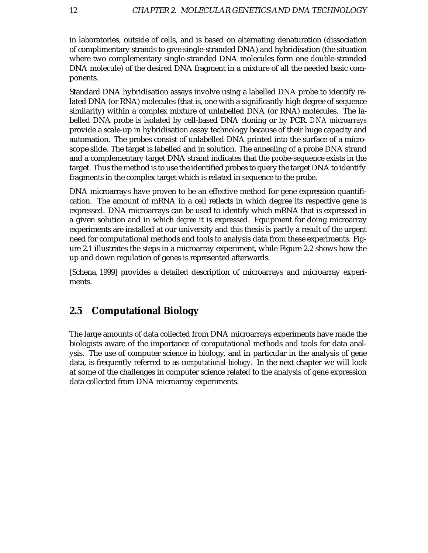in laboratories, outside of cells, and is based on alternating denaturation (dissociation of complimentary strands to give single-stranded DNA) and hybridisation (the situation where two complementary single-stranded DNA molecules form one double-stranded DNA molecule) of the desired DNA fragment in a mixture of all the needed basic components.

Standard DNA hybridisation assays involve using a labelled DNA probe to identify related DNA (or RNA) molecules (that is, one with a significantly high degree of sequence similarity) within a complex mixture of unlabelled DNA (or RNA) molecules. The labelled DNA probe is isolated by cell-based DNA cloning or by PCR. *DNA microarrays* provide a scale-up in hybridisation assay technology because of their huge capacity and automation. The probes consist of unlabelled DNA printed into the surface of a microscope slide. The target is labelled and in solution. The annealing of a probe DNA strand and a complementary target DNA strand indicates that the probe-sequence exists in the target. Thus the method is to use the identified probes to query the target DNA to identify fragments in the complex target which is related in sequence to the probe.

DNA microarrays have proven to be an effective method for gene expression quantification. The amount of mRNA in a cell reflects in which degree its respective gene is expressed. DNA microarrays can be used to identify which mRNA that is expressed in a given solution and in which *degree* it is expressed. Equipment for doing microarray experiments are installed at our university and this thesis is partly a result of the urgent need for computational methods and tools to analysis data from these experiments. Figure 2.1 illustrates the steps in a microarray experiment, while Figure 2.2 shows how the up and down regulation of genes is represented afterwards.

[Schena, 1999] provides a detailed description of microarrays and microarray experiments.

### **2.5 Computational Biology**

The large amounts of data collected from DNA microarrays experiments have made the biologists aware of the importance of computational methods and tools for data analysis. The use of computer science in biology, and in particular in the analysis of gene data, is frequently referred to as *computational biology*. In the next chapter we will look at some of the challenges in computer science related to the analysis of gene expression data collected from DNA microarray experiments.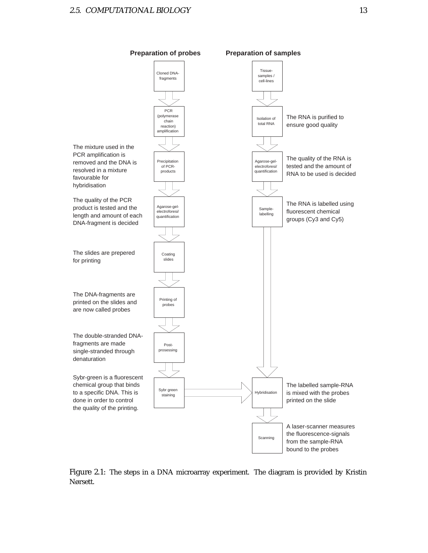



Figure 2.1: The steps in a DNA microarray experiment. The diagram is provided by Kristin Nørsett.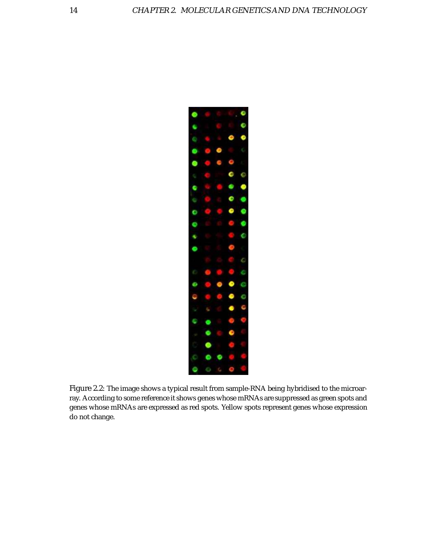

Figure 2.2: The image shows a typical result from sample-RNA being hybridised to the microarray. According to some reference it shows genes whose mRNAs are suppressed as green spots and genes whose mRNAs are expressed as red spots. Yellow spots represent genes whose expression do not change.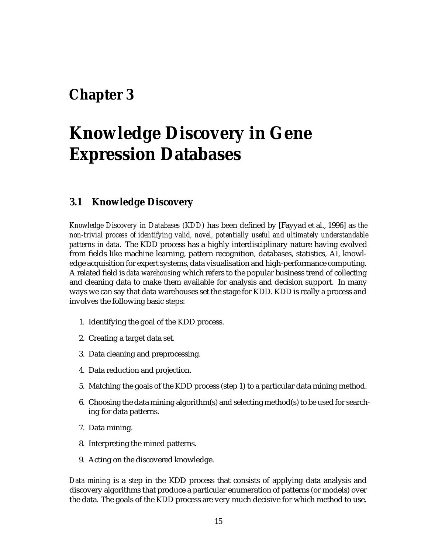### **Chapter 3**

## **Knowledge Discovery in Gene Expression Databases**

### **3.1 Knowledge Discovery**

*Knowledge Discovery in Databases (KDD)* has been defined by [Fayyad et al., 1996] as *the non-trivial process of identifying valid, novel, potentially useful and ultimately understandable patterns in data*. The KDD process has a highly interdisciplinary nature having evolved from fields like machine learning, pattern recognition, databases, statistics, AI, knowledge acquisition for expert systems, data visualisation and high-performance computing. A related field is *data warehousing* which refers to the popular business trend of collecting and cleaning data to make them available for analysis and decision support. In many ways we can say that data warehouses set the stage for KDD. KDD is really a process and involves the following basic steps:

- 1. Identifying the goal of the KDD process.
- 2. Creating a target data set.
- 3. Data cleaning and preprocessing.
- 4. Data reduction and projection.
- 5. Matching the goals of the KDD process (step 1) to a particular data mining method.
- 6. Choosing the data mining algorithm(s) and selecting method(s) to be used for searching for data patterns.
- 7. Data mining.
- 8. Interpreting the mined patterns.
- 9. Acting on the discovered knowledge.

*Data mining* is a step in the KDD process that consists of applying data analysis and discovery algorithms that produce a particular enumeration of patterns (or models) over the data. The goals of the KDD process are very much decisive for which method to use.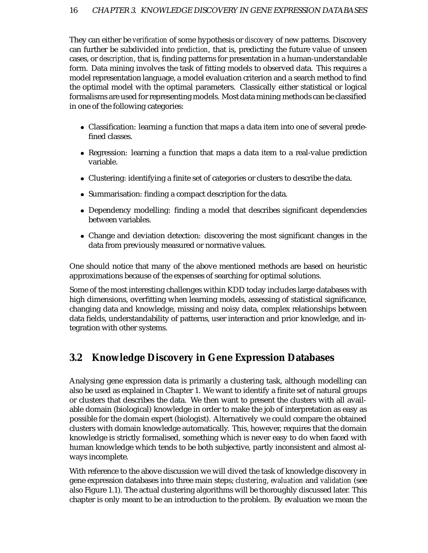They can either be *verification* of some hypothesis or *discovery* of new patterns. Discovery can further be subdivided into *prediction*, that is, predicting the future value of unseen cases, or *description*, that is, finding patterns for presentation in a human-understandable form. Data mining involves the task of fitting models to observed data. This requires a model representation language, a model evaluation criterion and a search method to find the optimal model with the optimal parameters. Classically either statistical or logical formalisms are used for representing models. Most data mining methods can be classified in one of the following categories:

- Classification: learning a function that maps a data item into one of several predefined classes.
- Regression: learning a function that maps a data item to a real-value prediction variable.
- Clustering: identifying a finite set of categories or clusters to describe the data.
- Summarisation: finding a compact description for the data.
- Dependency modelling: finding a model that describes significant dependencies between variables.
- Change and deviation detection: discovering the most significant changes in the data from previously measured or normative values.

One should notice that many of the above mentioned methods are based on heuristic approximations because of the expenses of searching for optimal solutions.

Some of the most interesting challenges within KDD today includes large databases with high dimensions, overfitting when learning models, assessing of statistical significance, changing data and knowledge, missing and noisy data, complex relationships between data fields, understandability of patterns, user interaction and prior knowledge, and integration with other systems.

### **3.2 Knowledge Discovery in Gene Expression Databases**

Analysing gene expression data is primarily a clustering task, although modelling can also be used as explained in Chapter 1. We want to identify a finite set of natural groups or clusters that describes the data. We then want to present the clusters with all available domain (biological) knowledge in order to make the job of interpretation as easy as possible for the domain expert (biologist). Alternatively we could compare the obtained clusters with domain knowledge automatically. This, however, requires that the domain knowledge is strictly formalised, something which is never easy to do when faced with human knowledge which tends to be both subjective, partly inconsistent and almost always incomplete.

With reference to the above discussion we will dived the task of knowledge discovery in gene expression databases into three main steps; *clustering*, *evaluation* and *validation* (see also Figure 1.1). The actual clustering algorithms will be thoroughly discussed later. This chapter is only meant to be an introduction to the problem. By evaluation we mean the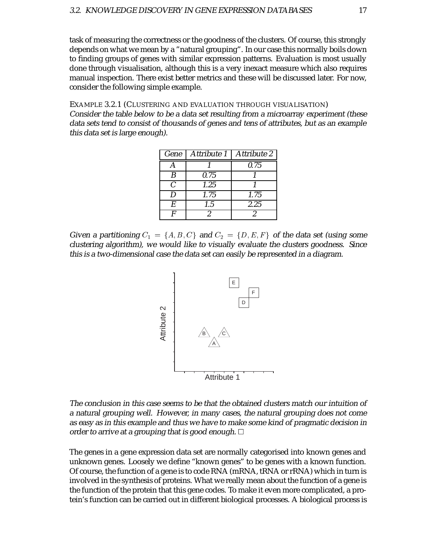task of measuring the correctness or the goodness of the clusters. Of course, this strongly depends on what we mean by a "natural grouping". In our case this normally boils down to finding groups of genes with similar expression patterns. Evaluation is most usually done through visualisation, although this is a very inexact measure which also requires manual inspection. There exist better metrics and these will be discussed later. For now, consider the following simple example.

EXAMPLE 3.2.1 (CLUSTERING AND EVALUATION THROUGH VISUALISATION) Consider the table below to be <sup>a</sup> data set resulting from <sup>a</sup> microarray experiment (these data sets tend to consist of thousands of genes and tens of attributes, but as an example this data set is large enough).

| Gene          | Attribute 1 | Attribute 2 |
|---------------|-------------|-------------|
|               |             | 0.75        |
| B             | 0.75        |             |
| $\mathcal{C}$ | 1.25        |             |
| Ð             | 1.75        | 1.75        |
| E             | 1.5         | 2.25        |
|               | 2           |             |

Given a partitioning  $C_1 = \{A, B, C\}$  and  $C_2 = \{D, E, F\}$  of the data set (using some clustering algorithm), we would like to visually evaluate the clusters goodness. Since this is <sup>a</sup> two-dimensional case the data set can easily be represented in <sup>a</sup> diagram.



The conclusion in this case seems to be that the obtained clusters match our intuition of <sup>a</sup> natural grouping well. However, in many cases, the natural grouping does not come as easy as in this example and thus we have to make some kind of pragmatic decision in order to arrive at a grouping that is good enough.  $\Box$ 

The genes in a gene expression data set are normally categorised into known genes and unknown genes. Loosely we define "known genes" to be genes with a known function. Of course, the function of a gene is to code RNA (mRNA, tRNA or rRNA) which in turn is involved in the synthesis of proteins. What we really mean about the function of a gene is the function of the protein that this gene codes. To make it even more complicated, a protein's function can be carried out in different biological processes. A biological process is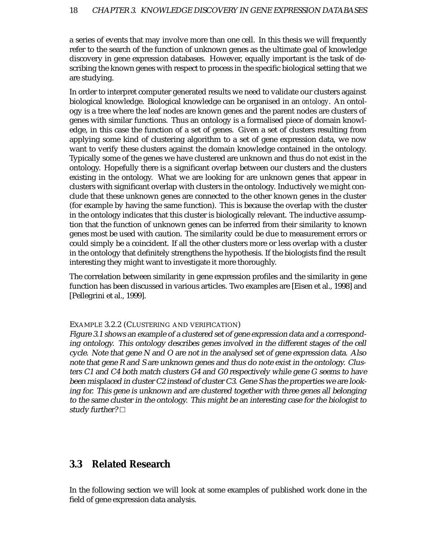a series of events that may involve more than one cell. In this thesis we will frequently refer to the search of the function of unknown genes as the ultimate goal of knowledge discovery in gene expression databases. However, equally important is the task of describing the known genes with respect to process in the specific biological setting that we are studying.

In order to interpret computer generated results we need to validate our clusters against biological knowledge. Biological knowledge can be organised in an *ontology*. An ontology is a tree where the leaf nodes are known genes and the parent nodes are clusters of genes with similar functions. Thus an ontology is a formalised piece of domain knowledge, in this case the function of a set of genes. Given a set of clusters resulting from applying some kind of clustering algorithm to a set of gene expression data, we now want to verify these clusters against the domain knowledge contained in the ontology. Typically some of the genes we have clustered are unknown and thus do not exist in the ontology. Hopefully there is a significant overlap between our clusters and the clusters existing in the ontology. What we are looking for are unknown genes that appear in clusters with significant overlap with clusters in the ontology. Inductively we might conclude that these unknown genes are connected to the other known genes in the cluster (for example by having the same function). This is because the overlap with the cluster in the ontology indicates that this cluster is biologically relevant. The inductive assumption that the function of unknown genes can be inferred from their similarity to known genes most be used with caution. The similarity could be due to measurement errors or could simply be a coincident. If all the other clusters more or less overlap with a cluster in the ontology that definitely strengthens the hypothesis. If the biologists find the result interesting they might want to investigate it more thoroughly.

The correlation between similarity in gene expression profiles and the similarity in gene function has been discussed in various articles. Two examples are [Eisen et al., 1998] and [Pellegrini et al., 1999].

#### EXAMPLE 3.2.2 (CLUSTERING AND VERIFICATION)

Figure 3.1 shows an example of <sup>a</sup> clustered set of gene expression data and <sup>a</sup> corresponding ontology. This ontology describes genes involved in the different stages of the cell cycle. Note that gene N and O are not in the analysed set of gene expression data. Also note that gene R and S are unknown genes and thus do note exist in the ontology. Clusters C1 and C4 both match clusters G4 and G0 respectively while gene G seems to have been misplaced in cluster C2 instead of cluster C3. Gene S has the properties we are looking for. This gene is unknown and are clustered together with three genes all belonging to the same cluster in the ontology. This might be an interesting case for the biologist to study further?  $\Box$ 

#### **3.3 Related Research**

In the following section we will look at some examples of published work done in the field of gene expression data analysis.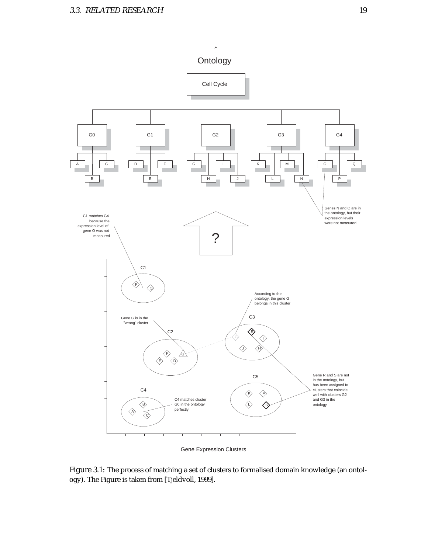

Gene Expression Clusters

Figure 3.1: The process of matching a set of clusters to formalised domain knowledge (an ontology). The Figure is taken from [Tjeldvoll, 1999].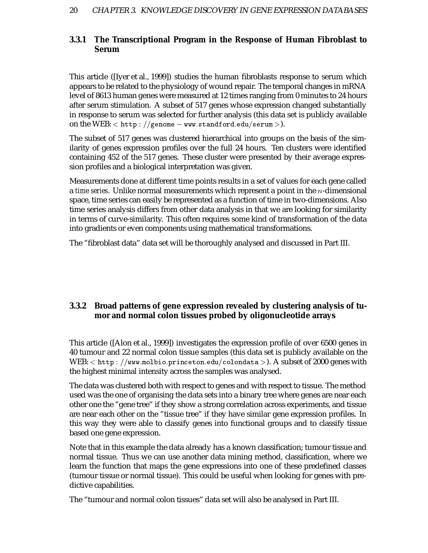#### **3.3.1 The Transcriptional Program in the Response of Human Fibroblast to Serum**

This article ([Iyer et al., 1999]) studies the human fibroblasts response to serum which appears to be related to the physiology of wound repair. The temporal changes in mRNA level of 8613 human genes were measured at 12 times ranging from 0 minutes to 24 hours after serum stimulation. A subset of 517 genes whose expression changed substantially in response to serum was selected for further analysis (this data set is publicly available on the WEB:  $<$  <code>http</code> :  $//$  <code>genome  $-$  <code>ww.standford.edu/serum</code>  $>$  <code>).</code></code>

The subset of 517 genes was clustered hierarchical into groups on the basis of the similarity of genes expression profiles over the full 24 hours. Ten clusters were identified containing 452 of the 517 genes. These cluster were presented by their average expression profiles and a biological interpretation was given.

Measurements done at different time points results in a set of values for each gene called a *time series*. Unlike normal measurements which represent a point in the -dimensional space, time series can easily be represented as a function of time in two-dimensions. Also time series analysis differs from other data analysis in that we are looking for similarity in terms of curve-similarity. This often requires some kind of transformation of the data into gradients or even components using mathematical transformations.

The "fibroblast data" data set will be thoroughly analysed and discussed in Part III.

#### **3.3.2 Broad patterns of gene expression revealed by clustering analysis of tumor and normal colon tissues probed by oligonucleotide arrays**

This article ([Alon et al., 1999]) investigates the expression profile of over 6500 genes in 40 tumour and 22 normal colon tissue samples (this data set is publicly available on the  $\text{WEB:} < \text{http://www.molbio.princeton.edu/colondata>}).$  A subset of 2000 genes with the highest minimal intensity across the samples was analysed.

The data was clustered both with respect to genes and with respect to tissue. The method used was the one of organising the data sets into a binary tree where genes are near each other one the "gene tree" if they show a strong correlation across experiments, and tissue are near each other on the "tissue tree" if they have similar gene expression profiles. In this way they were able to classify genes into functional groups and to classify tissue based one gene expression.

Note that in this example the data already has a known classification; tumour tissue and normal tissue. Thus we can use another data mining method, classification, where we learn the function that maps the gene expressions into one of these predefined classes (tumour tissue or normal tissue). This could be useful when looking for genes with predictive capabilities.

The "tumour and normal colon tissues" data set will also be analysed in Part III.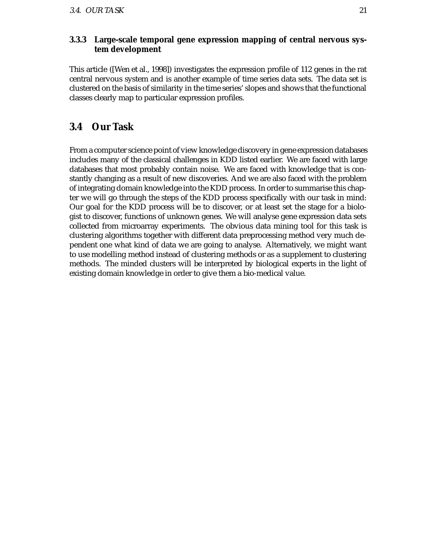#### **3.3.3 Large-scale temporal gene expression mapping of central nervous system development**

This article ([Wen et al., 1998]) investigates the expression profile of 112 genes in the rat central nervous system and is another example of time series data sets. The data set is clustered on the basis of similarity in the time series' slopes and shows that the functional classes clearly map to particular expression profiles.

### **3.4 Our Task**

From a computer science point of view knowledge discovery in gene expression databases includes many of the classical challenges in KDD listed earlier. We are faced with large databases that most probably contain noise. We are faced with knowledge that is constantly changing as a result of new discoveries. And we are also faced with the problem of integrating domain knowledge into the KDD process. In order to summarise this chapter we will go through the steps of the KDD process specifically with our task in mind: Our goal for the KDD process will be to discover, or at least set the stage for a biologist to discover, functions of unknown genes. We will analyse gene expression data sets collected from microarray experiments. The obvious data mining tool for this task is clustering algorithms together with different data preprocessing method very much dependent one what kind of data we are going to analyse. Alternatively, we might want to use modelling method instead of clustering methods or as a supplement to clustering methods. The minded clusters will be interpreted by biological experts in the light of existing domain knowledge in order to give them a bio-medical value.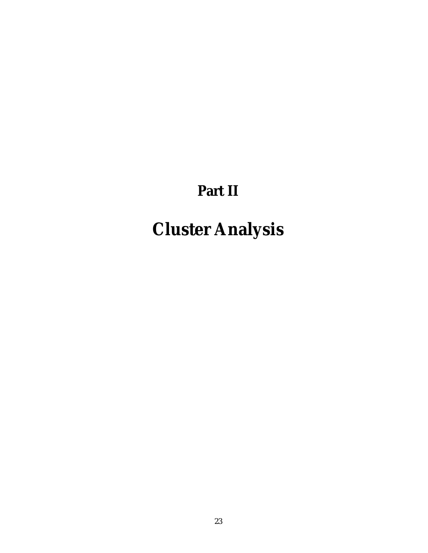## **Part II**

# **Cluster Analysis**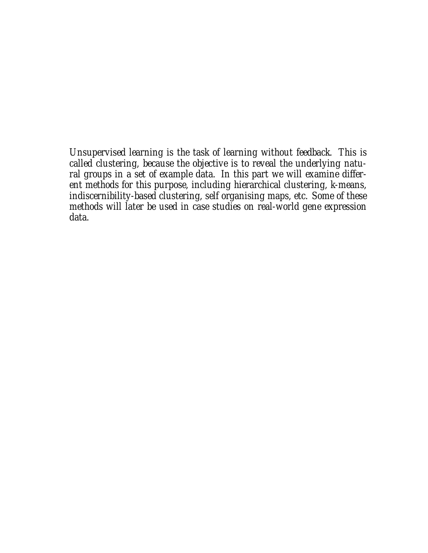*Unsupervised learning is the task of learning without feedback. This is called clustering, because the objective is to reveal the underlying natural groups in a set of example data. In this part we will examine different methods for this purpose, including hierarchical clustering, k-means, indiscernibility-based clustering, self organising maps, etc. Some of these methods will later be used in case studies on real-world gene expression data.*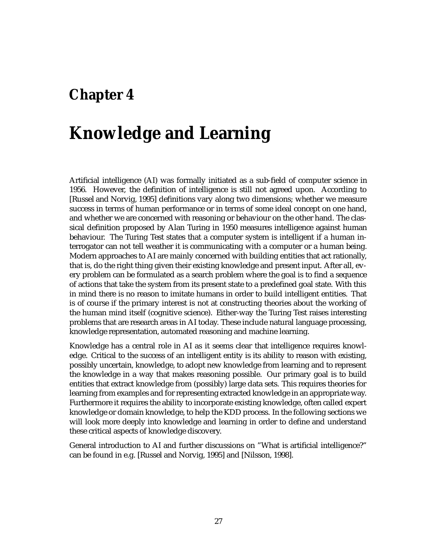### **Chapter 4**

## **Knowledge and Learning**

Artificial intelligence (AI) was formally initiated as a sub-field of computer science in 1956. However, the definition of intelligence is still not agreed upon. According to [Russel and Norvig, 1995] definitions vary along two dimensions; whether we measure success in terms of human performance or in terms of some ideal concept on one hand, and whether we are concerned with reasoning or behaviour on the other hand. The classical definition proposed by Alan Turing in 1950 measures intelligence against human behaviour. The Turing Test states that a computer system is intelligent if a human interrogator can not tell weather it is communicating with a computer or a human being. Modern approaches to AI are mainly concerned with building entities that act rationally, that is, do the right thing given their existing knowledge and present input. After all, every problem can be formulated as a search problem where the goal is to find a sequence of actions that take the system from its present state to a predefined goal state. With this in mind there is no reason to imitate humans in order to build intelligent entities. That is of course if the primary interest is not at constructing theories about the working of the human mind itself (cognitive science). Either-way the Turing Test raises interesting problems that are research areas in AI today. These include natural language processing, knowledge representation, automated reasoning and machine learning.

Knowledge has a central role in AI as it seems clear that intelligence requires knowledge. Critical to the success of an intelligent entity is its ability to reason with existing, possibly uncertain, knowledge, to adopt new knowledge from learning and to represent the knowledge in a way that makes reasoning possible. Our primary goal is to build entities that extract knowledge from (possibly) large data sets. This requires theories for learning from examples and for representing extracted knowledge in an appropriate way. Furthermore it requires the ability to incorporate existing knowledge, often called expert knowledge or domain knowledge, to help the KDD process. In the following sections we will look more deeply into knowledge and learning in order to define and understand these critical aspects of knowledge discovery.

General introduction to AI and further discussions on "What is artificial intelligence?" can be found in e.g. [Russel and Norvig, 1995] and [Nilsson, 1998].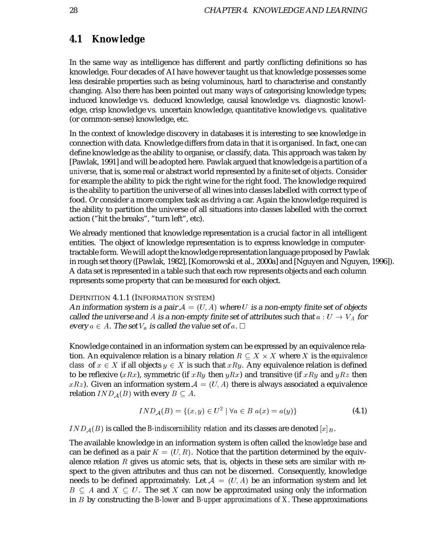### **4.1 Knowledge**

In the same way as intelligence has different and partly conflicting definitions so has knowledge. Four decades of AI have however taught us that knowledge possesses some less desirable properties such as being voluminous, hard to characterise and constantly changing. Also there has been pointed out many ways of categorising knowledge types; induced knowledge vs. deduced knowledge, causal knowledge vs. diagnostic knowledge, crisp knowledge vs. uncertain knowledge, quantitative knowledge vs. qualitative (or common-sense) knowledge, etc.

In the context of knowledge discovery in databases it is interesting to see knowledge in connection with data. Knowledge differs from data in that it is organised. In fact, one can define knowledge as the ability to organise, or classify, data. This approach was taken by [Pawlak, 1991] and will be adopted here. Pawlak argued that knowledge is a partition of a *universe*, that is, some real or abstract world represented by a finite set of *objects*. Consider for example the ability to pick the right wine for the right food. The knowledge required is the ability to partition the universe of all wines into classes labelled with correct type of food. Or consider a more complex task as driving a car. Again the knowledge required is the ability to partition the universe of all situations into classes labelled with the correct action ("hit the breaks", "turn left", etc).

We already mentioned that knowledge representation is a crucial factor in all intelligent entities. The object of knowledge representation is to express knowledge in computertractable form. We will adopt the knowledge representation language proposed by Pawlak in rough set theory ([Pawlak, 1982], [Komorowski et al., 2000a] and [Nguyen and Nguyen, 1996]). A data set is represented in a table such that each row represents objects and each column represents some property that can be measured for each object.

#### DEFINITION 4.1.1 (INFORMATION SYSTEM)

An information system is a pair  $\mathcal{A} = (U, A)$  where  $U$  is a non-empty finite set of objects called the universe and  $A$  is a non-empty finite set of attributes such that  $a: U \rightarrow V_A$  for every  $a \in A.$  The set  $V_a$  is called the value set of  $a.$   $\Box$ 

Knowledge contained in an information system can be expressed by an equivalence relation. An equivalence relation is a binary relation  $R \subset X \times X$  where X is the *equivalence class* of  $x \in X$  if all objects  $y \in X$  is such that  $xRy$ . Any equivalence relation is defined to be reflexive  $(xRx)$ , symmetric (if  $xRy$  then  $yRx$ ) and transitive (if  $xRy$  and  $yRz$  then  $xRz$ ). Given an information system  $\mathcal{A}=(U,A)$  there is always associated a equivalence relation  $IND_\mathcal{A}(B)$  with every  $B\subseteq A.$ 

$$
IND_{\mathcal{A}}(B) = \{(x, y) \in U^2 \mid \forall a \in B \ a(x) = a(y)\}\
$$
 (4.1)

 $IND<sub>A</sub>(B)$  is called the *B*-indiscernibility relation and its classes are denoted  $[x]_B$ .

The available knowledge in an information system is often called the *knowledge base* and can be defined as a pair  $K = (U, R)$ . Notice that the partition determined by the equivalence relation  $R$  gives us atomic sets, that is, objects in these sets are similar with respect to the given attributes and thus can not be discerned. Consequently, knowledge needs to be defined approximately. Let  $\mathcal{A}\,=\,\left( U,A\right)$  be an information system and let  $B\, \subseteq\, A$  and  $X\, \subseteq\, U.$  The set  $X$  can now be approximated using only the information in by constructing the *B-lower* and *B-upper approximations of X*. These approximations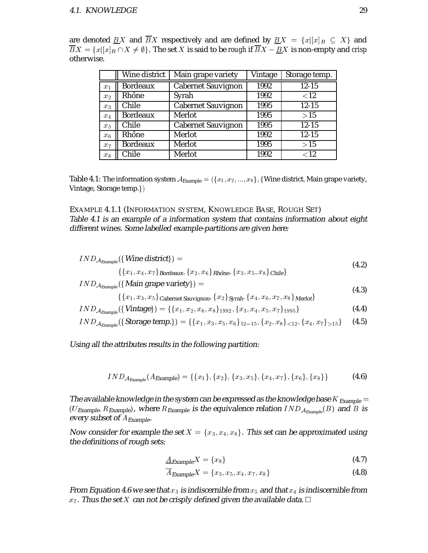| are denoted $\underline{BX}$ and $\overline{BX}$ respectively and are defined by $\underline{BX} = \{x [x]_B \subseteq X\}$ and     |  |
|-------------------------------------------------------------------------------------------------------------------------------------|--|
| $BX = \{x [x]_B \cap X \neq \emptyset\}$ . The set X is said to be rough if $\overline{BX} - \underline{BX}$ is non-empty and crisp |  |
| otherwise.                                                                                                                          |  |

|                | Wine district   | Main grape variety        | Vintage | Storage temp. |
|----------------|-----------------|---------------------------|---------|---------------|
| $x_1$          | <b>Bordeaux</b> | <b>Cabernet Sauvignon</b> | 1992    | $12 - 15$     |
| $x_2$          | Rhône           | Syrah                     | 1992    | ${<}12$       |
| $x_3$          | Chile           | <b>Cabernet Sauvignon</b> | 1995    | $12 - 15$     |
| $x_4$          | <b>Bordeaux</b> | Merlot                    | 1995    | >15           |
| $x_5$          | Chile           | <b>Cabernet Sauvignon</b> | 1995    | $12 - 15$     |
| x <sub>6</sub> | Rhône           | Merlot                    | 1992    | $12 - 15$     |
| $x_7$          | <b>Bordeaux</b> | Merlot                    | 1995    | >15           |
| $x_8$          | Chile           | Merlot                    | 1992    | < 12          |

Table 4.1: The information system  $\mathcal{A}_{\sf Example} = (\{x_1, x_2, ..., x_8\},$  {Wine district, Main grape variety, Vintage, Storage temp.

#### EXAMPLE 4.1.1 (INFORMATION SYSTEM, KNOWLEDGE BASE, ROUGH SET) Table 4.1 is an example of <sup>a</sup> information system that contains information about eight different wines. Some labelled example-partitions are given here:

$$
IND_{A_{Example}}(\{Wine\; district\}) =
$$
\n(4.2)

$$
\{\{x_1,x_4,x_7\}\}\text{Bordeaux}, \{x_2,x_6\}\text{Rhône}, \{x_3,x_5,x_8\}\text{Chile}\}
$$

$$
IND_{{\cal A}_{Example}}(\{Main\, \textit{grape variety}\}) =
$$

$$
\mathcal{L}_{\mathcal{A}_{Example}}(1, \text{value}) \left\{ \{x_1, x_3, x_5\} \right\} \text{Cabernet Sauvignon}, \{x_2\} \text{Synah}, \{x_4, x_6, x_7, x_8\} \text{Merlot} \}
$$
\n
$$
(4.3)
$$

$$
IND_{\mathcal{A}_{Example}}(\{\text{Vintage}\}) = \{\{x_1, x_2, x_6, x_8\}_{1992}, \{x_3, x_4, x_5, x_7\}_{1995}\}\
$$
(4.4)

$$
IND_{\mathcal{A}_{Example}}(\{\text{Storage temp.}\}) = \{\{x_1, x_3, x_5, x_6\}_{12-15}, \{x_2, x_8\}_{<12}, \{x_4, x_7\}_{>15}\}\
$$
(4.5)

#### Using all the attributes results in the following partition:

$$
IND_{\mathcal{A}_{Example}}(A_{Example}) = \{\{x_1\}, \{x_2\}, \{x_3, x_5\}, \{x_4, x_7\}, \{x_6\}, \{x_8\}\}\
$$
(4.6)

The available knowledge in the system can be expressed as the knowledge base  $K_{\text{Example}} =$  $(UE_{Example}, R_{Example})$ , where  $R_{Example}$  is the equivalence relation  $IND_{A_{Example}}(B)$  and  $B$  is every subset of  $A_{\emph{Example}}.$ 

Now consider for example the set  $X = \{x_3, x_4, x_8\}$ . This set can be approximated using the definitions of rough sets:

$$
\underline{A}_{Example}X = \{x_8\} \tag{4.7}
$$

$$
\overline{A}_{Example}X = \{x_3, x_5, x_4, x_7, x_8\}
$$
\n
$$
(4.8)
$$

From Equation 4.6 we see that  $x_3$  is indiscernible from  $x_5$  and that  $x_4$  is indiscernible from  $x_7$ . Thus the set X can not be crisply defined given the available data.  $\Box$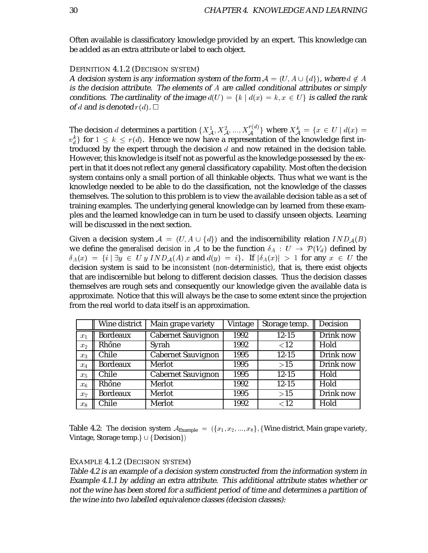Often available is classificatory knowledge provided by an expert. This knowledge can be added as an extra attribute or label to each object.

#### DEFINITION 4.1.2 (DECISION SYSTEM)

A decision system is any information system of the form  $\mathcal{A} = (U, A \cup \{d\})$ , where  $d \not \in A$ is the decision attribute. The elements of  $A$  are called conditional attributes or simply conditions. The cardinality of the image  $d(U) = \{k \mid d(x) = k, x \in U\}$  is called the rank of d and is denoted  $r(d)$ .  $\Box$ 

The decision d determines a partition  $\{X_{\mathcal{A}}^1, X_{\mathcal{A}}^2, ..., X_{\mathcal{A}}^{r(u)}\}$  where  $X_{\mathcal{A}}^k = \{x \in U \mid d(x) = 1\}$  $\{v_d^k\}$  for  $1 \leq k \leq r(d)$ . Hence we now have a representation of the knowledge first introduced by the expert through the decision  $d$  and now retained in the decision table. However, this knowledge is itself not as powerful as the knowledge possessed by the expert in that it does not reflect any general classificatory capability. Most often the decision system contains only a small portion of all thinkable objects. Thus what we want is the knowledge needed to be able to do the classification, not the knowledge of the classes themselves. The solution to this problem is to view the available decision table as a set of training examples. The underlying general knowledge can by learned from these examples and the learned knowledge can in turn be used to classify unseen objects. Learning will be discussed in the next section.

Given a decision system  $\mathcal{A} = (U, A \cup \{d\})$  and the indiscernibility relation  $IND_\mathcal{A}(B)$ we define the *generalised decision in A* to be the function  $\delta_A$  :  $U$   $\rightarrow$   ${\cal P}(V_d)$  defined by  $\delta_A(x) = \{i \mid \exists y \in U \ y \ IND_A(A) \ x \text{ and } d(y) = i\}.$  If  $|\delta_A(x)| > 1$  for any  $x \in U$  the decision system is said to be *inconsistent (non-deterministic)*, that is, there exist objects that are indiscernible but belong to different decision classes. Thus the decision classes themselves are rough sets and consequently our knowledge given the available data is approximate. Notice that this will always be the case to some extent since the projection from the real world to data itself is an approximation.

|                | Wine district                      | Main grape variety        | Vintage | Storage temp. | Decision  |
|----------------|------------------------------------|---------------------------|---------|---------------|-----------|
| $x_1$          | <b>Bordeaux</b>                    | <b>Cabernet Sauvignon</b> | 1992    | $12 - 15$     | Drink now |
| x <sub>2</sub> | Rhône<br>Syrah                     |                           | 1992    | ${<}12$       | Hold      |
| $x_3$          | Chile                              | <b>Cabernet Sauvignon</b> | 1995    | $12 - 15$     | Drink now |
| $x_4$          | <b>Bordeaux</b>                    | Merlot                    | 1995    | >15           | Drink now |
| $x_5$          | Chile<br><b>Cabernet Sauvignon</b> |                           | 1995    | $12 - 15$     | Hold      |
| $x_6$          | Rhône                              | Merlot                    | 1992    | $12 - 15$     | Hold      |
| $x_7$          | <b>Bordeaux</b>                    | Merlot                    | 1995    | >15           | Drink now |
| $x_8$          | Chile                              | Merlot                    | 1992    | ${<}12$       | Hold      |

Table 4.2: The decision system  $\mathcal{A}_{\sf{Example}}~=~(\{x_1,x_2,...,x_8\}, \{\text{Wire district}, \text{Main grave variety},$ Vintage, Storage temp.}  $\cup$   $\{Decision\})$ 

#### EXAMPLE 4.1.2 (DECISION SYSTEM)

Table 4.2 is an example of <sup>a</sup> decision system constructed from the information system in Example 4.1.1 by adding an extra attribute. This additional attribute states whether or not the wine has been stored for <sup>a</sup> sufficient period of time and determines <sup>a</sup> partition of the wine into two labelled equivalence classes (decision classes):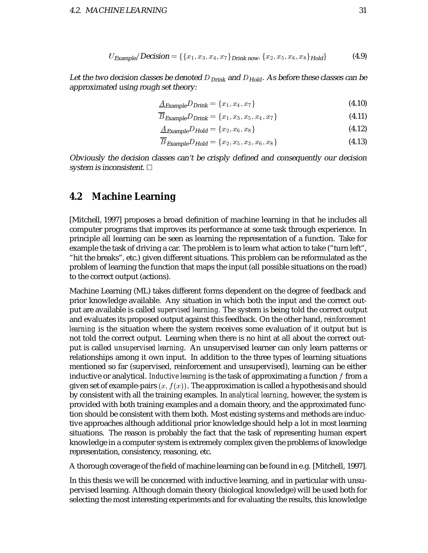$$
U_{\text{Example}}/\text{Decision} = \{\{x_1, x_3, x_4, x_7\}_{\text{Drink now}}, \{x_2, x_5, x_6, x_8\}_{\text{Hold}}\} \tag{4.9}
$$

Let the two decision classes be denoted  $D_{Drink}$  and  $D_{Hold}$ . As before these classes can be approximated using rough set theory:

$$
\underline{A}_{Example}D_{Drink} = \{x_1, x_4, x_7\}
$$
\n(4.10)

$$
\overline{B}_{\text{Example}}D_{\text{Drink}} = \{x_1, x_3, x_5, x_4, x_7\} \tag{4.11}
$$

$$
\underline{A}_{Example}D_{\text{Hold}} = \{x_2, x_6, x_8\} \tag{4.12}
$$

$$
\overline{B}_{\text{Example}}D_{\text{Hold}} = \{x_2, x_5, x_3, x_6, x_8\} \tag{4.13}
$$

Obviously the decision classes can't be crisply defined and consequently our decision system is inconsistent.  $\Box$ 

### **4.2 Machine Learning**

[Mitchell, 1997] proposes a broad definition of machine learning in that he includes all computer programs that improves its performance at some task through experience. In principle all learning can be seen as learning the representation of a function. Take for example the task of driving a car. The problem is to learn what action to take ("turn left", "hit the breaks", etc.) given different situations. This problem can be reformulated as the problem of learning the function that maps the input (all possible situations on the road) to the correct output (actions).

Machine Learning (ML) takes different forms dependent on the degree of feedback and prior knowledge available. Any situation in which both the input and the correct output are available is called *supervised learning*. The system is being told the correct output and evaluates its proposed output against this feedback. On the other hand, *reinforcement learning* is the situation where the system receives some evaluation of it output but is not told the correct output. Learning when there is no hint at all about the correct output is called *unsupervised learning*. An unsupervised learner can only learn patterns or relationships among it own input. In addition to the three types of learning situations mentioned so far (supervised, reinforcement and unsupervised), learning can be either inductive or analytical. *Inductive learning* is the task of approximating a function f from a given set of example-pairs  $(x, f(x))$ . The approximation is called a hypothesis and should by consistent with all the training examples. In *analytical learning*, however, the system is provided with both training examples and a domain theory, and the approximated function should be consistent with them both. Most existing systems and methods are inductive approaches although additional prior knowledge should help a lot in most learning situations. The reason is probably the fact that the task of representing human expert knowledge in a computer system is extremely complex given the problems of knowledge representation, consistency, reasoning, etc.

A thorough coverage of the field of machine learning can be found in e.g. [Mitchell, 1997].

In this thesis we will be concerned with inductive learning, and in particular with unsupervised learning. Although domain theory (biological knowledge) will be used both for selecting the most interesting experiments and for evaluating the results, this knowledge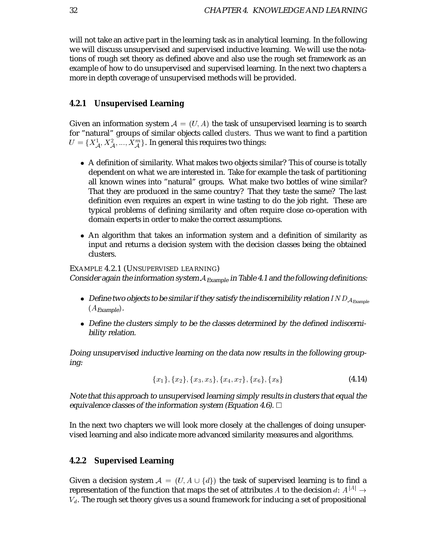will not take an active part in the learning task as in analytical learning. In the following we will discuss unsupervised and supervised inductive learning. We will use the notations of rough set theory as defined above and also use the rough set framework as an example of how to do unsupervised and supervised learning. In the next two chapters a more in depth coverage of unsupervised methods will be provided.

#### **4.2.1 Unsupervised Learning**

Given an information system  $\mathcal{A} = (U, A)$  the task of unsupervised learning is to search for "natural" groups of similar objects called *clusters*. Thus we want to find a partition  $U = \{X_{\mathcal{A}}^1, X_{\mathcal{A}}^2, ..., X_{\mathcal{A}}^m\}$ . In general this requires two things:

- A definition of similarity. What makes two objects similar? This of course is totally dependent on what we are interested in. Take for example the task of partitioning all known wines into "natural" groups. What make two bottles of wine similar? That they are produced in the same country? That they taste the same? The last definition even requires an expert in wine tasting to do the job right. These are typical problems of defining similarity and often require close co-operation with domain experts in order to make the correct assumptions.
- An algorithm that takes an information system and a definition of similarity as input and returns a decision system with the decision classes being the obtained clusters.

EXAMPLE 4.2.1 (UNSUPERVISED LEARNING) Consider again the information system  $A_{Example}$  in Table 4.1 and the following definitions:

- $\bullet~$  Define two objects to be similar if they satisfy the indiscernibility relation IN  $D_{\mathcal{A}_{\mathrm{Example}}}$  $(A)$ Example
- Define the clusters simply to be the classes determined by the defined indiscernibility relation.

Doing unsupervised inductive learning on the data now results in the following grouping:

$$
{x1}, {x2}, {x3, x5}, {x4, x7}, {x6}, {x8}
$$
\n(4.14)

Note that this approach to unsupervised learning simply results in clusters that equal the equivalence classes of the information system (Equation 4.6).  $\Box$ 

In the next two chapters we will look more closely at the challenges of doing unsupervised learning and also indicate more advanced similarity measures and algorithms.

#### **4.2.2 Supervised Learning**

Given a decision system  $\mathcal{A} \,=\, (U, A \, \cup \{d\})$  the task of supervised learning is to find a representation of the function that maps the set of attributes  $A$  to the decision  $d\colon A^{\|A\|}\to$  $V_d$ . The rough set theory gives us a sound framework for inducing a set of propositional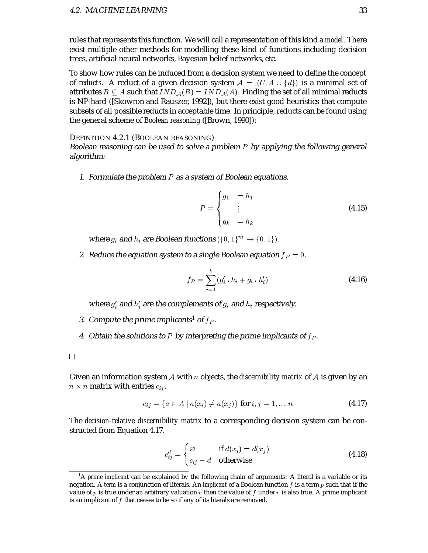rules that represents this function. We will call a representation of this kind a *model*. There exist multiple other methods for modelling these kind of functions including decision trees, artificial neural networks, Bayesian belief networks, etc.

To show how rules can be induced from a decision system we need to define the concept of *reducts*. A reduct of a given decision system  $\mathcal{A} \ = \ (U, A \ \cup \ \{d\})$  is a minimal set of attributes  $B\subseteq A$  such that  $IND_\mathcal{A}(B)=IND_\mathcal{A}(A).$  Finding the set of all minimal reducts is NP-hard ([Skowron and Rauszer, 1992]), but there exist good heuristics that compute subsets of all possible reducts in acceptable time. In principle, reducts can be found using the general scheme of *Boolean reasoning* ([Brown, 1990]):

DEFINITION 4.2.1 (BOOLEAN REASONING)

Boolean reasoning can be used to solve a problem  $P$  by applying the following general algorithm:

1. Formulate the problem  $P$  as a system of Boolean equations.

$$
P = \begin{cases} g_1 &= h_1 \\ \vdots \\ g_k &= h_k \end{cases}
$$
 (4.15)

where  $g_i$  and  $h_i$  are Boolean functions  $(\{0,1\}^m \rightarrow \{0,1\})$ .

2. Reduce the equation system to a single Boolean equation  $f<sub>P</sub> = 0$ .

$$
f_P = \sum_{i=1}^{k} (g'_i \cdot h_i + g_i \cdot h'_i)
$$
 (4.16)

where  $g_i^\prime$  and  $h_i^\prime$  are the complements of  $g_i$  and  $h_i$  respectively.

- 3. Compute the prime implicants<sup>1</sup> of  $f_P$ .
- 4. Obtain the solutions to  $P$  by interpreting the prime implicants of  $f_P$ .

Given an information system A with n objects, the *discernibility matrix* of A is given by an  $n \times n$  matrix with entries  $c_{ij}.$ 

$$
c_{ij} = \{a \in A \mid a(x_i) \neq a(x_j)\}\n \text{ for } i, j = 1, \dots, n
$$
\n(4.17)

The *decision-relative discernibility matrix* to a corresponding decision system can be constructed from Equation 4.17.

$$
c_{ij}^d = \begin{cases} \varnothing & \text{if } d(x_i) = d(x_j) \\ c_{ij} - d & \text{otherwise} \end{cases}
$$
 (4.18)

<sup>&</sup>lt;sup>1</sup>A *prime implicant* can be explained by the following chain of arguments: A literal is a variable or its negation. A *term* is a conjunction of literals. An *implicant* of a Boolean function  $f$  is a term  $p$  such that if the value of  $p$  is true under an arbitrary valuation  $v$  then the value of  $f$  under  $v$  is also true. A prime implicant is an implicant of  $f$  that ceases to be so if any of its literals are removed.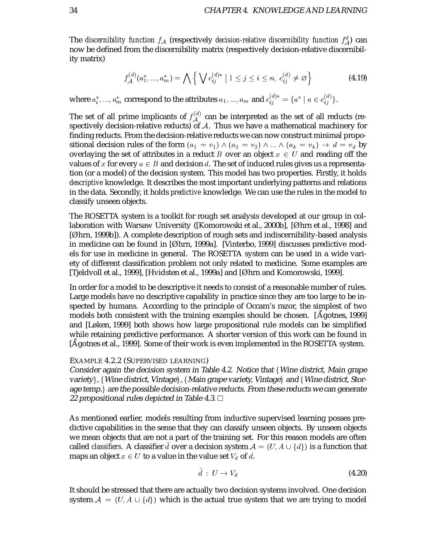The *discernibility function*  $f_\mathcal{A}$  *(*respectively *decision-relative discernibility function*  $f_\mathcal{A}^a$ *)* can now be defined from the discernibility matrix (respectively decision-relative discernibility matrix)

$$
f_{\mathcal{A}}^{(d)}(a_1^*,...,a_m^*) = \bigwedge \left\{ \bigvee c_{ij}^{(d)*} \mid 1 \leq j \leq i \leq n, \ c_{ij}^{(d)} \neq \varnothing \right\} \tag{4.19}
$$

where  $a_i^*,...,a_m^*$  correspond to the attributes  $a_1,...,a_m$  and  $c_{ij}^{(a)*}=\{a^*$  $i_j^{\cdots} = \{a^* \mid a \in c_{ij}^{\cdots}\}.$  $\begin{matrix} \binom{u}{i} \end{matrix}$ .

The set of all prime implicants of  $f_A^{(u)}$  can be interpreted as the set of all reducts (respectively decision-relative reducts) of  $A$ . Thus we have a mathematical machinery for finding reducts. From the decision-relative reducts we can now construct minimal propositional decision rules of the form  $(a_1 = v_1) \wedge (a_2 = v_2) \wedge ... \wedge (a_k = v_k) \rightarrow d = v_d$  by overlaying the set of attributes in a reduct B over an object  $x \in U$  and reading off the values of x for every  $a \in B$  and decision d. The set of induced rules gives us a representation (or a model) of the decision system. This model has two properties. Firstly, it holds *descriptive* knowledge. It describes the most important underlying patterns and relations in the data. Secondly, it holds *predictive* knowledge. We can use the rules in the model to classify unseen objects.

The ROSETTA system is a toolkit for rough set analysis developed at our group in collaboration with Warsaw University ([Komorowski et al., 2000b], [Øhrn et al., 1998] and [Øhrn, 1999b]). A complete description of rough sets and indiscernibility-based analysis in medicine can be found in [Øhrn, 1999a]. [Vinterbo, 1999] discusses predictive models for use in medicine in general. The ROSETTA system can be used in a wide variety of different classification problem not only related to medicine. Some examples are [Tjeldvoll et al., 1999], [Hvidsten et al., 1999a] and [Øhrn and Komorowski, 1999].

In order for a model to be descriptive it needs to consist of a reasonable number of rules. Large models have no descriptive capability in practice since they are too large to be inspected by humans. According to the principle of Occam's razor, the simplest of two models both consistent with the training examples should be chosen. [Agotnes, 1999] and [Løken, 1999] both shows how large propositional rule models can be simplified while retaining predictive performance. A shorter version of this work can be found in [Agotnes et al., 1999]. Some of their work is even implemented in the ROSETTA system.

#### EXAMPLE 4.2.2 (SUPERVISED LEARNING)

Consider again the decision system in Table 4.2. Notice that  $\{W\}$ ine district, Main grape variety}, {Wine district, Vintage}, {Main grape variety, Vintage} and {Wine district, Storage temp.  $\alpha$  are the possible decision-relative reducts. From these reducts we can generate 22 propositional rules depicted in Table 4.3.  $\Box$ 

As mentioned earlier, models resulting from inductive supervised learning posses predictive capabilities in the sense that they can classify unseen objects. By unseen objects we mean objects that are not a part of the training set. For this reason models are often called *classifiers*. A classifier  $d$  over a decision system  $\mathcal{A} = (U, A \cup \{d\})$  is a function that maps an object  $x \in U$  to a value in the value set  $V_d$  of d.

$$
\ddot{d} \; : \; U \to V_d \tag{4.20}
$$

It should be stressed that there are actually two decision systems involved. One decision system  $\mathcal{A} \,=\, (U, A \, \cup \, \{d\})$  which is the actual true system that we are trying to model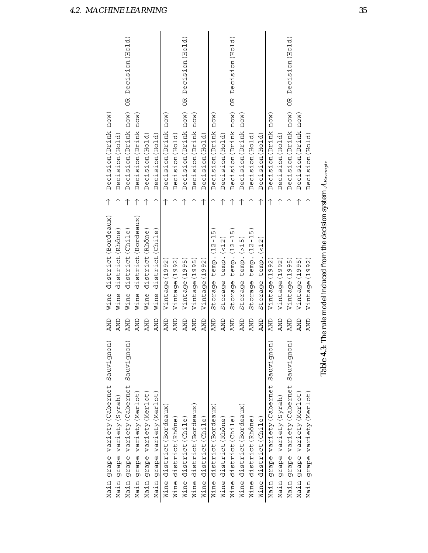| Sauvignon)<br>grape variety (Cabernet<br>Main | <b>AND</b> | district (Bordeaux)<br>Wine                                                        |   | now)<br>Decision (Drink       |                              |
|-----------------------------------------------|------------|------------------------------------------------------------------------------------|---|-------------------------------|------------------------------|
| grape variety (Syrah)<br>Main                 | AND        | district (Rhône<br>Wine                                                            |   | Decision (Hold)               |                              |
| Sauvignon)<br>grape variety (Cabernet<br>Main | <b>AND</b> | district (Chile<br>Wine                                                            |   | now)<br>Decision (Drink       | Decision (Hold)<br><b>BC</b> |
| grape variety (Merlot)<br>Main                | <b>AND</b> | district (Bordeaux)<br>Wine                                                        |   | now)<br>Decision (Drink       |                              |
| grape variety (Merlot)<br>Main                | <b>AND</b> | district (Rhône<br>Wine                                                            |   | Decision (Hold)               |                              |
| grape variety (Merlot)<br>Main                | <b>AND</b> | district (Chile<br>Wine                                                            | ↑ | Decision (Hold)               |                              |
| district (Bordeaux)<br>Wine                   | <b>AND</b> | 92<br>(19)<br>Vintage                                                              |   | <b>NOU</b><br>Decision (Drink |                              |
| district (Rhône)<br>Wine                      | <b>AND</b> | (1992<br>Vintage                                                                   |   | Decision (Hold)               |                              |
| Wine district (Chile)                         | <b>AND</b> | Vintage (1995                                                                      |   | Decision (Drink now)          | OR Decision (Hold)           |
| district (Bordeaux)<br>Wine                   | <b>AND</b> | LŊ<br>Vintage (199                                                                 |   | norm(<br>Decision (Drink      |                              |
| district (Chile)<br>Wine                      | <b>AND</b> | Vintage (1992                                                                      |   | Decision (Hold)               |                              |
| Wine district (Bordeaux)                      | <b>AND</b> | $\frac{1}{1}$<br>$\blacksquare$<br>temp. (12<br>Storage                            | ↑ | now)<br>Decision (Drink       |                              |
| district (Rhône)<br>Wine                      | <b>AND</b> | $t$ emp. $($ < 12<br>Storage                                                       |   | Decision (Hold)               |                              |
| Wine district (Chile)                         | <b>AND</b> | $\frac{15}{1}$<br>temp. (12-<br>Storage                                            |   | Decision (Drink now)          | Decision (Hold)<br>OR        |
| Wine district (Bordeaux)                      | <b>AND</b> | temp. $($ > 15<br>Storage                                                          |   | now)<br>Decision (Drink       |                              |
| district (Rhône)<br>Wine                      | <b>AND</b> | $temp. (12 - 15)$<br>Storage                                                       |   | Decision (Hold)               |                              |
| district (Chile)<br>Wine                      | <b>AND</b> | (12)<br>temp.<br>Storage                                                           | ↑ | Decision (Hold)               |                              |
| Sauvignon)<br>grape variety (Cabernet<br>Main | AND        | (1992<br>Vintage                                                                   | ↑ | now)<br>Decision (Drink       |                              |
| grape variety (Syrah)<br>Main                 | <b>AND</b> | 20<br>(19)<br>Vintage                                                              |   | Decision (Hold)               |                              |
| Sauvignon)<br>grape variety (Cabernet<br>Main | <b>AND</b> | Vintage (1995                                                                      |   | Decision (Drink now)          | Decision (Hold)<br>B         |
| grape variety (Merlot)<br>Main                | <b>AND</b> | LN<br>Q<br>$\frac{1}{2}$<br>Vintage                                                |   | $now$ )<br>Decision (Drink    |                              |
| grape variety (Merlot)<br>Main                | <b>AND</b> | ΟS<br>Vintage (19                                                                  | ↑ | Decision (Hold                |                              |
|                                               |            | Table 4.3: The rule model induced from the decision system $\mathcal{A}_{Example}$ |   |                               |                              |
|                                               |            |                                                                                    |   |                               |                              |
|                                               |            |                                                                                    |   |                               |                              |
|                                               |            |                                                                                    |   |                               |                              |
|                                               |            |                                                                                    |   |                               |                              |

4.2. MACHINE LEARNING 35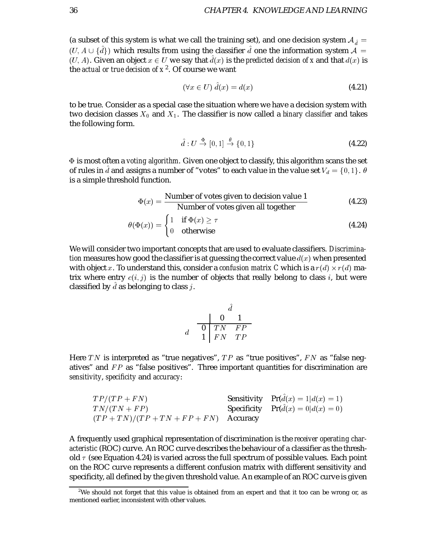(a subset of this system is what we call the training set), and one decision system  $A_{\hat{d}} =$  $(U, A \cup \{d\})$  which results from using the classifier  $d$  one the information system  $\mathcal{A} =$  $(U, A)$ . Given an object  $x \in U$  we say that  $d(x)$  is the *predicted decision of x* and that  $d(x)$  is the *actual or true decision of*  $x^2$ . Of course we want

$$
(\forall x \in U) \hat{d}(x) = d(x) \tag{4.21}
$$

to be true. Consider as a special case the situation where we have a decision system with two decision classes  $X_0$  and  $X_1$ . The classifier is now called a *binary classifier* and takes the following form.

$$
\hat{d}: U \stackrel{\Phi}{\to} [0,1] \stackrel{\theta}{\to} \{0,1\} \tag{4.22}
$$

 is most often a *voting algorithm*. Given one object to classify, this algorithm scans the set of rules in  $d$  and assigns a number of "votes" to each value in the value set  $V_d=\{0,1\}$ .  $\theta$ is a simple threshold function.

$$
\Phi(x) = \frac{\text{Number of votes given to decision value 1}}{\text{Number of votes given all together}}\tag{4.23}
$$

$$
\theta(\Phi(x)) = \begin{cases} 1 & \text{if } \Phi(x) \ge \tau \\ 0 & \text{otherwise} \end{cases}
$$
\n(4.24)

We will consider two important concepts that are used to evaluate classifiers. *Discrimination* measures how good the classifier is at guessing the correct value  $d(x)$  when presented with object x. To understand this, consider a *confusion matrix C* which is a  $r(d) \times r(d)$  matrix where entry  $c(i, j)$  is the number of objects that really belong to class i, but were classified by  $d$  as belonging to class  $j.$ 

$$
\begin{array}{c|cc}\n & d \\
d & \n\hline\n0 & TN & FP \\
1 & FN & TP\n\end{array}
$$

Here TN is interpreted as "true negatives",  $TP$  as "true positives",  $FN$  as "false negatives" and  $FP$  as "false positives". Three important quantities for discrimination are *sensitivity*, *specificity* and *accuracy*:

| $TP/(TP + FN)$                           | <b>Sensitivity</b> $Pr(d(x) = 1 d(x) = 1)$ |
|------------------------------------------|--------------------------------------------|
| $TN/(TN + FP)$                           | <b>Specificity</b> $Pr(d(x) = 0 d(x) = 0)$ |
| $(TP + TN)/(TP + TN + FP + FN)$ Accuracy |                                            |

A frequently used graphical representation of discrimination is the *receiver operating characteristic* (ROC) curve. An ROC curve describes the behaviour of a classifier as the threshold  $\tau$  (see Equation 4.24) is varied across the full spectrum of possible values. Each point on the ROC curve represents a different confusion matrix with different sensitivity and specificity, all defined by the given threshold value. An example of an ROC curve is given

 $^2$ We should not forget that this value is obtained from an expert and that it too can be wrong or, as mentioned earlier, inconsistent with other values.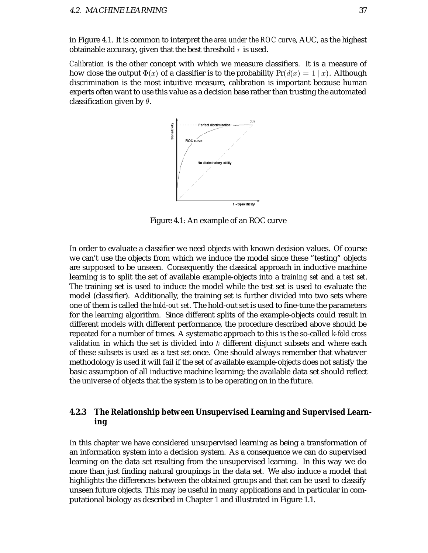in Figure 4.1. It is common to interpret the *area under the ROC curve*, AUC, as the highest obtainable accuracy, given that the best threshold  $\tau$  is used.

*Calibration* is the other concept with which we measure classifiers. It is a measure of how close the output  $\Phi(x)$  of a classifier is to the probability  $\Pr(d(x)=1\mid x).$  Although discrimination is the most intuitive measure, calibration is important because human experts often want to use this value as a decision base rather than trusting the automated classification given by  $\theta$ .



Figure 4.1: An example of an ROC curve

In order to evaluate a classifier we need objects with known decision values. Of course we can't use the objects from which we induce the model since these "testing" objects are supposed to be unseen. Consequently the classical approach in inductive machine learning is to split the set of available example-objects into a *training set* and a *test set*. The training set is used to induce the model while the test set is used to evaluate the model (classifier). Additionally, the training set is further divided into two sets where one of them is called the *hold-out set*. The hold-out set is used to fine-tune the parameters for the learning algorithm. Since different splits of the example-objects could result in different models with different performance, the procedure described above should be repeated for a number of times. A systematic approach to this is the so-called *k-fold cross validation* in which the set is divided into  $k$  different disjunct subsets and where each of these subsets is used as a test set once. One should always remember that whatever methodology is used it will fail if the set of available example-objects does not satisfy the basic assumption of all inductive machine learning; the available data set should reflect the universe of objects that the system is to be operating on in the future.

#### **4.2.3 The Relationship between Unsupervised Learning and Supervised Learning**

In this chapter we have considered unsupervised learning as being a transformation of an information system into a decision system. As a consequence we can do supervised learning on the data set resulting from the unsupervised learning. In this way we do more than just finding natural groupings in the data set. We also induce a model that highlights the differences between the obtained groups and that can be used to classify unseen future objects. This may be useful in many applications and in particular in computational biology as described in Chapter 1 and illustrated in Figure 1.1.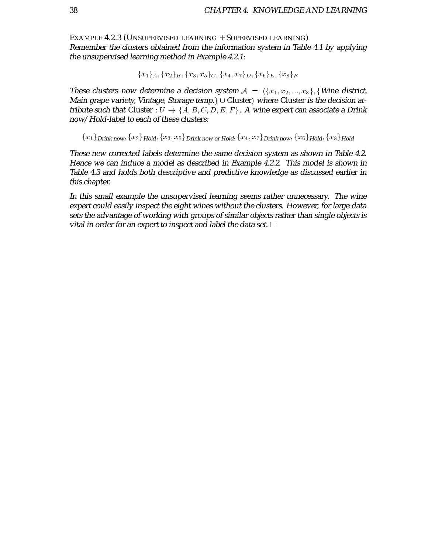EXAMPLE 4.2.3 (UNSUPERVISED LEARNING + SUPERVISED LEARNING) Remember the clusters obtained from the information system in Table 4.1 by applying the unsupervised learning method in Example 4.2.1:

$$
\{x_1\}_A, \{x_2\}_B, \{x_3, x_5\}_C, \{x_4, x_7\}_D, \{x_6\}_E, \{x_8\}_F
$$

These clusters now determine a decision system  $\mathcal{A} = \{ \{x_1, x_2, ..., x_8\}, \{ \text{Wine district}, \text{Wine district}, \text{Wine} \} \}$ Main grape variety, Vintage, Storage temp.  $\cup$  Cluster) where Cluster is the decision attribute such that Cluster :  $U\rightarrow \{A,B,C,D,E,F\}.$  A wine expert can associate a Drink now/Hold-label to each of these clusters:

 $\{x_1\}$ Drink now,  $\{x_2\}$ Hold,  $\{x_3, x_5\}$ Drink now or Hold,  $\{x_4, x_7\}$ Drink now,  $\{x_6\}$ Hold,  $\{x_8\}$ Hold

These new corrected labels determine the same decision system as shown in Table 4.2. Hence we can induce <sup>a</sup> model as described in Example 4.2.2. This model is shown in Table 4.3 and holds both descriptive and predictive knowledge as discussed earlier in this chapter.

In this small example the unsupervised learning seems rather unnecessary. The wine expert could easily inspect the eight wines without the clusters. However, for large data sets the advantage of working with groups of similar objects rather than single objects is vital in order for an expert to inspect and label the data set.  $\Box$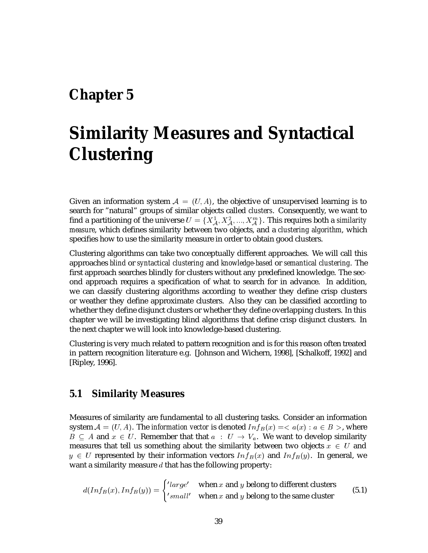## **Chapter 5**

## **Similarity Measures and Syntactical Clustering**

Given an information system  $\mathcal{A}\,=\,(U,A),$  the objective of unsupervised learning is to search for "natural" groups of similar objects called *clusters*. Consequently, we want to find a partitioning of the universe  $U=\{X_A^1, X_A^2, ..., X_A^m\}.$  This requires both a *similarity measure*, which defines similarity between two objects, and a *clustering algorithm*, which specifies how to use the similarity measure in order to obtain good clusters.

Clustering algorithms can take two conceptually different approaches. We will call this approaches *blind* or *syntactical clustering* and *knowledge-based* or *semantical clustering*. The first approach searches blindly for clusters without any predefined knowledge. The second approach requires a specification of what to search for in advance. In addition, we can classify clustering algorithms according to weather they define crisp clusters or weather they define approximate clusters. Also they can be classified according to whether they define disjunct clusters or whether they define overlapping clusters. In this chapter we will be investigating blind algorithms that define crisp disjunct clusters. In the next chapter we will look into knowledge-based clustering.

Clustering is very much related to pattern recognition and is for this reason often treated in pattern recognition literature e.g. [Johnson and Wichern, 1998], [Schalkoff, 1992] and [Ripley, 1996].

### **5.1 Similarity Measures**

Measures of similarity are fundamental to all clustering tasks. Consider an information system  $\mathcal{A} = (U, A)$ . The *information vector* is denoted  $Inf_B(x) = < a(x) : a \in B>$ , where  $B \subseteq A$  and  $x \in U$ . Remember that that  $a \; : \; U \to V_a$ . We want to develop similarity measures that tell us something about the similarity between two objects  $x \in U$  and  $y \in U$  represented by their information vectors  $Inf_B(x)$  and  $Inf_B(y)$ . In general, we want a similarity measure  $d$  that has the following property:

$$
d(Inf_B(x), Inf_B(y)) = \begin{cases} 'large' & \text{when } x \text{ and } y \text{ belong to different clusters} \\ 'small' & \text{when } x \text{ and } y \text{ belong to the same cluster} \end{cases}
$$
(5.1)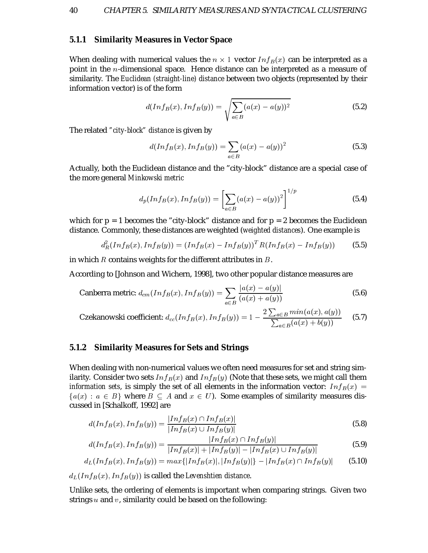#### **5.1.1 Similarity Measures in Vector Space**

When dealing with numerical values the  $n \times 1$  vector  $Inf_B(x)$  can be interpreted as a point in the  $n$ -dimensional space. Hence distance can be interpreted as a measure of similarity. The *Euclidean (straight-line) distance* between two objects (represented by their information vector) is of the form

$$
d(Inf_B(x), Inf_B(y)) = \sqrt{\sum_{a \in B} (a(x) - a(y))^2}
$$
 (5.2)

The related *"city-block" distance* is given by

$$
d(Inf_B(x), Inf_B(y)) = \sum_{a \in B} (a(x) - a(y))^2
$$
\n(5.3)

Actually, both the Euclidean distance and the "city-block" distance are a special case of the more general *Minkowski metric*

$$
d_p(Inf_B(x), Inf_B(y)) = \left[ \sum_{a \in B} (a(x) - a(y))^2 \right]^{1/p}
$$
 (5.4)

which for  $p = 1$  becomes the "city-block" distance and for  $p = 2$  becomes the Euclidean distance. Commonly, these distances are weighted (*weighted distances*). One example is

$$
d_R^2(Inf_B(x), Inf_B(y)) = (Inf_B(x) - Inf_B(y))^T R(Inf_B(x) - Inf_B(y))
$$
 (5.5)

in which  $R$  contains weights for the different attributes in  $B$ .

According to [Johnson and Wichern, 1998], two other popular distance measures are

Canberra metric: 
$$
d_{cm}(Inf_B(x), Inf_B(y)) = \sum_{a \in B} \frac{|a(x) - a(y)|}{(a(x) + a(y))}
$$
 (5.6)

Czekanowski coefficient:  $d_{cc}(Inf_B(x),Inf_B(y)) = 1 - \frac{\sum_{a \in B} p_a(x)}{\sum_{a \in B} p_a(x)}$  $\frac{2\sum_{a\in B} min(a(x), a(y))}{\sum_{a\in B}(a(x) + b(y))}$  (5.7)

#### **5.1.2 Similarity Measures for Sets and Strings**

When dealing with non-numerical values we often need measures for set and string similarity. Consider two sets  $Inf_B(x)$  and  $Inf_B(y)$  (Note that these sets, we might call them *information sets*, is simply the set of all elements in the information vector:  $Inf_B(x)$  =  ${a(x) : a \in B}$  where  $B \subseteq A$  and  $x \in U$ ). Some examples of similarity measures discussed in [Schalkoff, 1992] are

$$
d(Inf_B(x), Inf_B(y)) = \frac{|Inf_B(x) \cap Inf_B(x)|}{|Inf_B(x) \cup Inf_B(y)|}
$$
(5.8)

$$
d(Inf_B(x), Inf_B(y)) = \frac{|Inf_B(x) \cap Inf_B(y)|}{|Inf_B(x)| + |Inf_B(y)| - |Inf_B(x) \cup Inf_B(y)|}
$$
(5.9)

$$
d_L(Inf_B(x), Inf_B(y)) = max\{|Inf_B(x)|, |Inf_B(y)|\} - |Inf_B(x) \cap Inf_B(y)| \qquad (5.10)
$$

 $d_L(Inf_B(x), Inf_B(y))$  is called the *Levenshtien distance*.

Unlike sets, the ordering of elements is important when comparing strings. Given two strings  $u$  and  $v$ , similarity could be based on the following: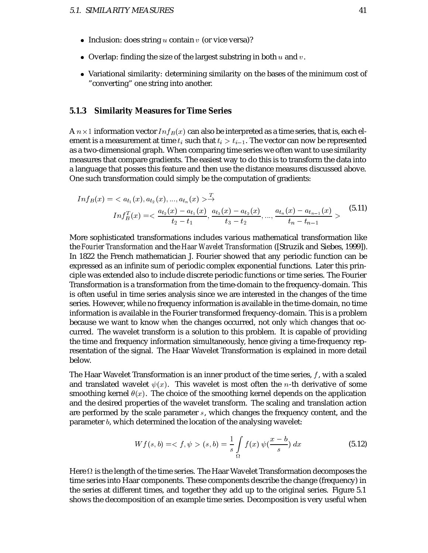- Inclusion: does string  $u$  contain  $v$  (or vice versa)?
- $\bullet\,$  Overlap: finding the size of the largest substring in both  $u$  and  $v.$
- Variational similarity: determining similarity on the bases of the minimum cost of "converting" one string into another.

#### **5.1.3 Similarity Measures for Time Series**

A  $n \times 1$  information vector  $Inf_B(x)$  can also be interpreted as a time series, that is, each element is a measurement at time  $t_i$  such that  $t_i > t_{i-1}.$  The vector can now be represented as a two-dimensional graph. When comparing time series we often want to use similarity measures that compare gradients. The easiest way to do this is to transform the data into a language that posses this feature and then use the distance measures discussed above. One such transformation could simply be the computation of gradients:

$$
Inf_B(x) = \langle a_{t_1}(x), a_{t_2}(x), ..., a_{t_n}(x) \rangle \xrightarrow{T}
$$
  
\n
$$
Inf_B^T(x) = \langle \frac{a_{t_2}(x) - a_{t_1}(x)}{t_2 - t_1}, \frac{a_{t_3}(x) - a_{t_2}(x)}{t_3 - t_2}, ..., \frac{a_{t_n}(x) - a_{t_{n-1}}(x)}{t_n - t_{n-1}} \rangle
$$
\n(5.11)

More sophisticated transformations includes various mathematical transformation like the *Fourier Transformation* and the *Haar Wavelet Transformation* ([Struzik and Siebes, 1999]). In 1822 the French mathematician J. Fourier showed that any periodic function can be expressed as an infinite sum of periodic complex exponential functions. Later this principle was extended also to include discrete periodic functions or time series. The Fourier Transformation is a transformation from the time-domain to the frequency-domain. This is often useful in time series analysis since we are interested in the changes of the time series. However, while no frequency information is available in the time-domain, no time information is available in the Fourier transformed frequency-domain. This is a problem because we want to know *when* the changes occurred, not only *which* changes that occurred. The wavelet transform is a solution to this problem. It is capable of providing the time and frequency information simultaneously, hence giving a time-frequency representation of the signal. The Haar Wavelet Transformation is explained in more detail below.

The Haar Wavelet Transformation is an inner product of the time series,  $f$ , with a scaled and translated wavelet  $\psi(x)$ . This wavelet is most often the *n*-th derivative of some smoothing kernel  $\theta(x)$ . The choice of the smoothing kernel depends on the application and the desired properties of the wavelet transform. The scaling and translation action are performed by the scale parameter  $s$ , which changes the frequency content, and the parameter *, which determined the location of the analysing wavelet:* 

$$
Wf(s,b) = \langle f, \psi \rangle (s,b) = \frac{1}{s} \int_{\Omega} f(x) \psi(\frac{x-b}{s}) dx
$$
\n(5.12)

Here  $\Omega$  is the length of the time series. The Haar Wavelet Transformation decomposes the time series into Haar components. These components describe the change (frequency) in the series at different times, and together they add up to the original series. Figure 5.1 shows the decomposition of an example time series. Decomposition is very useful when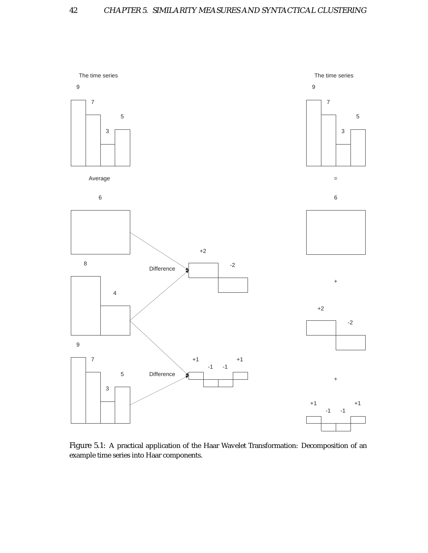

Figure 5.1: A practical application of the Haar Wavelet Transformation: Decomposition of an example time series into Haar components.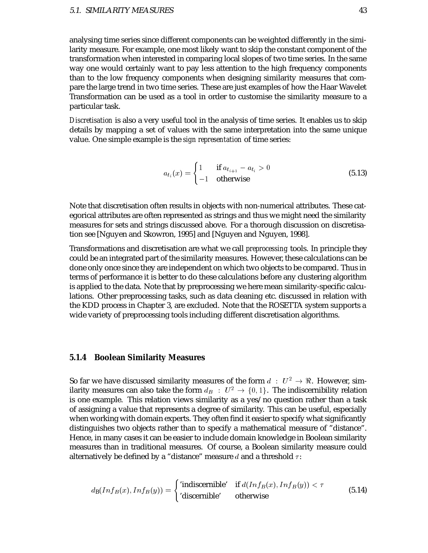analysing time series since different components can be weighted differently in the similarity measure. For example, one most likely want to skip the constant component of the transformation when interested in comparing local slopes of two time series. In the same way one would certainly want to pay less attention to the high frequency components than to the low frequency components when designing similarity measures that compare the large trend in two time series. These are just examples of how the Haar Wavelet Transformation can be used as a tool in order to customise the similarity measure to a particular task.

*Discretisation* is also a very useful tool in the analysis of time series. It enables us to skip details by mapping a set of values with the same interpretation into the same unique value. One simple example is the *sign representation* of time series:

$$
a_{t_i}(x) = \begin{cases} 1 & \text{if } a_{t_{i+1}} - a_{t_i} > 0 \\ -1 & \text{otherwise} \end{cases}
$$
 (5.13)

Note that discretisation often results in objects with non-numerical attributes. These categorical attributes are often represented as strings and thus we might need the similarity measures for sets and strings discussed above. For a thorough discussion on discretisation see [Nguyen and Skowron, 1995] and [Nguyen and Nguyen, 1998].

Transformations and discretisation are what we call *preprocessing* tools. In principle they could be an integrated part of the similarity measures. However, these calculations can be done only once since they are independent on which two objects to be compared. Thus in terms of performance it is better to do these calculations before any clustering algorithm is applied to the data. Note that by preprocessing we here mean similarity-specific calculations. Other preprocessing tasks, such as data cleaning etc. discussed in relation with the KDD process in Chapter 3, are excluded. Note that the ROSETTA system supports a wide variety of preprocessing tools including different discretisation algorithms.

#### **5.1.4 Boolean Similarity Measures**

So far we have discussed similarity measures of the form  $d~:~U^2\rightarrow \Re.$  However, similarity measures can also take the form  $d_B~:~U^2\rightarrow \{0,1\}.$  The indiscernibility relation is one example. This relation views similarity as a yes/no question rather than a task of assigning a value that represents a degree of similarity. This can be useful, especially when working with domain experts. They often find it easier to specify what significantly distinguishes two objects rather than to specify a mathematical measure of "distance". Hence, in many cases it can be easier to include domain knowledge in Boolean similarity measures than in traditional measures. Of course, a Boolean similarity measure could alternatively be defined by a "distance" measure  $d$  and a threshold  $\tau$ :

$$
d_{\mathbf{B}}(Inf_B(x), Inf_B(y)) = \begin{cases} \text{'indiscernible'} & \text{if } d(Inf_B(x), Inf_B(y)) < \tau \\ \text{'discernible'} & \text{otherwise} \end{cases} \tag{5.14}
$$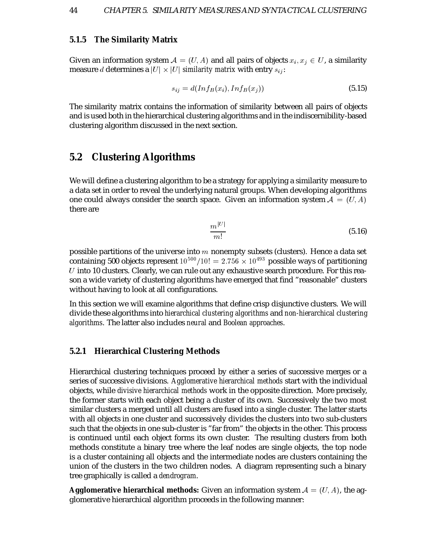#### **5.1.5 The Similarity Matrix**

Given an information system  $\mathcal{A} = (U, A)$  and all pairs of objects  $x_i, x_j \in U$ , a similarity measure  $d$  determines a  $|U|\times |U|$  *similarity matrix* with entry  $s_{ij}$ :

$$
s_{ij} = d(Inf_B(x_i), Inf_B(x_j))
$$
\n
$$
(5.15)
$$

The similarity matrix contains the information of similarity between all pairs of objects and is used both in the hierarchical clustering algorithms and in the indiscernibility-based clustering algorithm discussed in the next section.

## **5.2 Clustering Algorithms**

We will define a clustering algorithm to be a strategy for applying a similarity measure to a data set in order to reveal the underlying natural groups. When developing algorithms one could always consider the search space. Given an information system  $\mathcal{A} = (U, A)$ there are

$$
\frac{m^{|U|}}{m!} \tag{5.16}
$$

possible partitions of the universe into  $m$  nonempty subsets (clusters). Hence a data set containing 500 objects represent  $10^{500}/10!=2.756\times 10^{493}$  possible ways of partitioning  $U$  into 10 clusters. Clearly, we can rule out any exhaustive search procedure. For this reason a wide variety of clustering algorithms have emerged that find "reasonable" clusters without having to look at all configurations.

In this section we will examine algorithms that define crisp disjunctive clusters. We will divide these algorithms into *hierarchical clustering algorithms* and *non-hierarchical clustering algorithms*. The latter also includes *neural* and *Boolean approaches*.

#### **5.2.1 Hierarchical Clustering Methods**

Hierarchical clustering techniques proceed by either a series of successive merges or a series of successive divisions. *Agglomerative hierarchical methods* start with the individual objects, while *divisive hierarchical methods* work in the opposite direction. More precisely, the former starts with each object being a cluster of its own. Successively the two most similar clusters a merged until all clusters are fused into a single cluster. The latter starts with all objects in one cluster and successively divides the clusters into two sub-clusters such that the objects in one sub-cluster is "far from" the objects in the other. This process is continued until each object forms its own cluster. The resulting clusters from both methods constitute a binary tree where the leaf nodes are single objects, the top node is a cluster containing all objects and the intermediate nodes are clusters containing the union of the clusters in the two children nodes. A diagram representing such a binary tree graphically is called a *dendrogram*.

**Agglomerative hierarchical methods:** Given an information system  $\mathcal{A} = (U, A)$ , the agglomerative hierarchical algorithm proceeds in the following manner: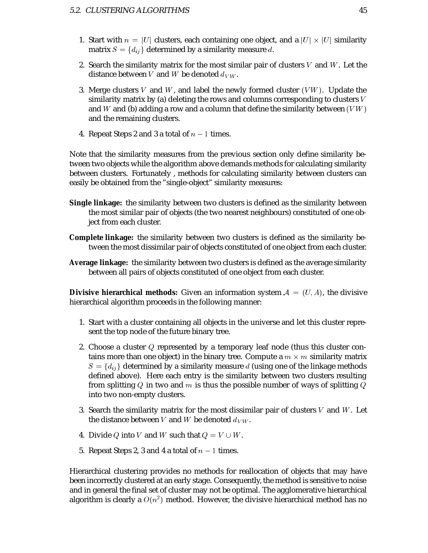- 1. Start with  $n = |U|$  clusters, each containing one object, and a  $|U| \times |U|$  similarity matrix  $S=\{d_{ij}\}$  determined by a similarity measure  $d.$
- 2. Search the similarity matrix for the most similar pair of clusters  $V$  and  $W$ . Let the distance between V and W be denoted  $d_{VW}$ .
- 3. Merge clusters V and W, and label the newly formed cluster  $(VW)$ . Update the similarity matrix by (a) deleting the rows and columns corresponding to clusters  $V$ and W and (b) adding a row and a column that define the similarity between  $(VW)$ and the remaining clusters.
- 4. Repeat Steps 2 and 3 a total of  $n-1$  times.

Note that the similarity measures from the previous section only define similarity between two objects while the algorithm above demands methods for calculating similarity between clusters. Fortunately , methods for calculating similarity between clusters can easily be obtained from the "single-object" similarity measures:

- **Single linkage:** the similarity between two clusters is defined as the similarity between the most similar pair of objects (the two nearest neighbours) constituted of one object from each cluster.
- **Complete linkage:** the similarity between two clusters is defined as the similarity between the most dissimilar pair of objects constituted of one object from each cluster.
- **Average linkage:** the similarity between two clusters is defined as the average similarity between all pairs of objects constituted of one object from each cluster.

**Divisive hierarchical methods:** Given an information system  $\mathcal{A} = (U, A)$ , the divisive hierarchical algorithm proceeds in the following manner:

- 1. Start with a cluster containing all objects in the universe and let this cluster represent the top node of the future binary tree.
- 2. Choose a cluster  $Q$  represented by a temporary leaf node (thus this cluster contains more than one object) in the binary tree. Compute a  $m \times m$  similarity matrix  $S = \{d_{ij}\}$  determined by a similarity measure  $d$  (using one of the linkage methods defined above). Here each entry is the similarity between two clusters resulting from splitting Q in two and  $m$  is thus the possible number of ways of splitting Q into two non-empty clusters.
- 3. Search the similarity matrix for the most dissimilar pair of clusters  $V$  and  $W$ . Let the distance between V and W be denoted  $d_{VW}$ .
- 4. Divide Q into V and W such that  $Q = V \cup W$ .
- 5. Repeat Steps 2, 3 and 4 a total of  $n-1$  times.

Hierarchical clustering provides no methods for reallocation of objects that may have been incorrectly clustered at an early stage. Consequently, the method is sensitive to noise and in general the final set of cluster may not be optimal. The agglomerative hierarchical algorithm is clearly a  $O(n^2)$  method. However, the divisive hierarchical method has no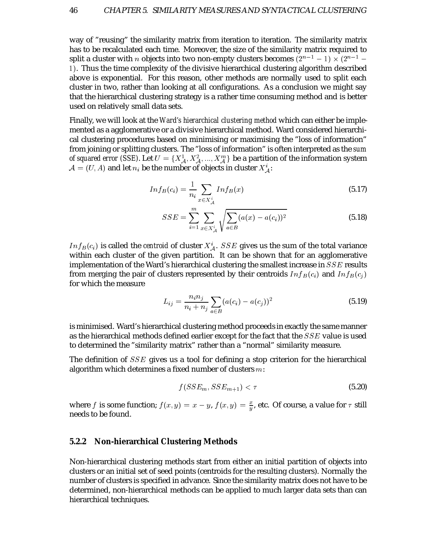way of "reusing" the similarity matrix from iteration to iteration. The similarity matrix has to be recalculated each time. Moreover, the size of the similarity matrix required to split a cluster with  $n$  objects into two non-empty clusters becomes  $(2^{\,n-1}\, -1)\times (2^{n-1}\, -$ . Thus the time complexity of the divisive hierarchical clustering algorithm described above is exponential. For this reason, other methods are normally used to split each cluster in two, rather than looking at all configurations. As a conclusion we might say that the hierarchical clustering strategy is a rather time consuming method and is better used on relatively small data sets.

Finally, we will look at the *Ward's hierarchical clustering method* which can either be implemented as a agglomerative or a divisive hierarchical method. Ward considered hierarchical clustering procedures based on minimising or maximising the "loss of information" from joining or splitting clusters. The "loss of information" is often interpreted as the *sum of squared error (SSE).* Let  $U = \{X_A^1, X_A^2, ..., X_A^m\}$  be a partition of the information system  $\mathcal{A} = (U, A)$  and let  $n_i$  be the number of objects in cluster  $X^i_{\mathcal{A}}$ :

$$
Inf_{B}(c_{i}) = \frac{1}{n_{i}} \sum_{x \in X_{\mathcal{A}}^{i}} Inf_{B}(x)
$$
\n(5.17)

$$
SSE = \sum_{i=1}^{m} \sum_{x \in X_{\mathcal{A}}^{i}} \sqrt{\sum_{a \in B} (a(x) - a(c_i))^2}
$$
(5.18)

 $Inf_{B}(c_{i})$  is called the *centroid* of cluster  $X_{\mathcal{A}}^{i}.$   $SSE$  gives us the sum of the total variance within each cluster of the given partition. It can be shown that for an agglomerative implementation of the Ward's hierarchical clustering the smallest increase in  $SSE$  results from merging the pair of clusters represented by their centroids  $Inf_B(c_i)$  and  $Inf_B(c_j)$ for which the measure

$$
L_{ij} = \frac{n_i n_j}{n_i + n_j} \sum_{a \in B} (a(c_i) - a(c_j))^2
$$
\n(5.19)

is minimised. Ward's hierarchical clustering method proceeds in exactly the same manner as the hierarchical methods defined earlier except for the fact that the  $SSE$  value is used to determined the "similarity matrix" rather than a "normal" similarity measure.

The definition of  $SSE$  gives us a tool for defining a stop criterion for the hierarchical algorithm which determines a fixed number of clusters  $m$ :

$$
f(SSE_m, SSE_{m+1}) < \tau \tag{5.20}
$$

where  $f$  is some function;  $f(x,y)=x-y,$   $f(x,y)=\frac{x}{y}$ , etc. Of course, a value for  $\tau$  still needs to be found.

#### **5.2.2 Non-hierarchical Clustering Methods**

Non-hierarchical clustering methods start from either an initial partition of objects into clusters or an initial set of seed points (centroids for the resulting clusters). Normally the number of clusters is specified in advance. Since the similarity matrix does not have to be determined, non-hierarchical methods can be applied to much larger data sets than can hierarchical techniques.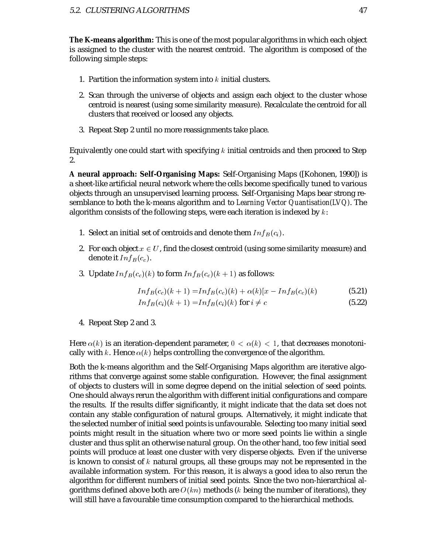**The K-means algorithm:** This is one of the most popular algorithms in which each object is assigned to the cluster with the nearest centroid. The algorithm is composed of the following simple steps:

- 1. Partition the information system into  $k$  initial clusters.
- 2. Scan through the universe of objects and assign each object to the cluster whose centroid is nearest (using some similarity measure). Recalculate the centroid for all clusters that received or loosed any objects.
- 3. Repeat Step 2 until no more reassignments take place.

Equivalently one could start with specifying  $k$  initial centroids and then proceed to Step 2.

**A neural approach: Self-Organising Maps:** Self-Organising Maps ([Kohonen, 1990]) is a sheet-like artificial neural network where the cells become specifically tuned to various objects through an unsupervised learning process. Self-Organising Maps bear strong resemblance to both the k-means algorithm and to *Learning Vector Quantisation(LVQ)*. The algorithm consists of the following steps, were each iteration is indexed by  $k$ :

- 1. Select an initial set of centroids and denote them  $Inf_B(c_i)$ .
- 2. For each object  $x \in U$ , find the closest centroid (using some similarity measure) and denote it  $Inf_B(c_c)$ .
- 3. Update  $Inf_B(c_c)(k)$  to form  $Inf_B(c_c)(k+1)$  as follows:

$$
Inf_B(c_c)(k+1) = Inf_B(c_c)(k) + \alpha(k)[x - Inf_B(c_c)(k) \tag{5.21}
$$

$$
Inf_B(c_i)(k+1) = Inf_B(c_i)(k) \text{ for } i \neq c
$$
\n
$$
(5.22)
$$

4. Repeat Step 2 and 3.

Here  $\alpha(k)$  is an iteration-dependent parameter,  $0 < \alpha(k) < 1$ , that decreases monotonically with k. Hence  $\alpha(k)$  helps controlling the convergence of the algorithm.

Both the k-means algorithm and the Self-Organising Maps algorithm are iterative algorithms that converge against some stable configuration. However, the final assignment of objects to clusters will in some degree depend on the initial selection of seed points. One should always rerun the algorithm with different initial configurations and compare the results. If the results differ significantly, it might indicate that the data set does not contain any stable configuration of natural groups. Alternatively, it might indicate that the selected number of initial seed points is unfavourable. Selecting too many initial seed points might result in the situation where two or more seed points lie within a single cluster and thus split an otherwise natural group. On the other hand, too few initial seed points will produce at least one cluster with very disperse objects. Even if the universe is known to consist of  $k$  natural groups, all these groups may not be represented in the available information system. For this reason, it is always a good idea to also rerun the algorithm for different numbers of initial seed points. Since the two non-hierarchical algorithms defined above both are  $O(kn)$  methods (k being the number of iterations), they will still have a favourable time consumption compared to the hierarchical methods.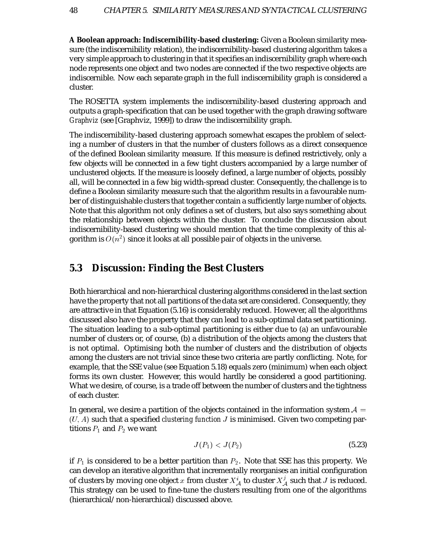**A Boolean approach: Indiscernibility-based clustering:** Given a Boolean similarity measure (the indiscernibility relation), the indiscernibility-based clustering algorithm takes a very simple approach to clustering in that it specifies an indiscernibility graph where each node represents one object and two nodes are connected if the two respective objects are indiscernible. Now each separate graph in the full indiscernibility graph is considered a cluster.

The ROSETTA system implements the indiscernibility-based clustering approach and outputs a graph-specification that can be used together with the graph drawing software *Graphviz* (see [Graphviz, 1999]) to draw the indiscernibility graph.

The indiscernibility-based clustering approach somewhat escapes the problem of selecting a number of clusters in that the number of clusters follows as a direct consequence of the defined Boolean similarity measure. If this measure is defined restrictively, only a few objects will be connected in a few tight clusters accompanied by a large number of unclustered objects. If the measure is loosely defined, a large number of objects, possibly all, will be connected in a few big width-spread cluster. Consequently, the challenge is to define a Boolean similarity measure such that the algorithm results in a favourable number of distinguishable clusters that together contain a sufficiently large number of objects. Note that this algorithm not only defines a set of clusters, but also says something about the relationship between objects within the cluster. To conclude the discussion about indiscernibility-based clustering we should mention that the time complexity of this algorithm is  $O(n^2)$  since it looks at all possible pair of objects in the universe.

### **5.3 Discussion: Finding the Best Clusters**

Both hierarchical and non-hierarchical clustering algorithms considered in the last section have the property that not all partitions of the data set are considered. Consequently, they are attractive in that Equation (5.16) is considerably reduced. However, all the algorithms discussed also have the property that they can lead to a sub-optimal data set partitioning. The situation leading to a sub-optimal partitioning is either due to (a) an unfavourable number of clusters or, of course, (b) a distribution of the objects among the clusters that is not optimal. Optimising both the number of clusters and the distribution of objects among the clusters are not trivial since these two criteria are partly conflicting. Note, for example, that the SSE value (see Equation 5.18) equals zero (minimum) when each object forms its own cluster. However, this would hardly be considered a good partitioning. What we desire, of course, is a trade off between the number of clusters and the tightness of each cluster.

In general, we desire a partition of the objects contained in the information system  $\mathcal{A} =$  $(U, A)$  such that a specified *clustering function*  $J$  is minimised. Given two competing partitions  $P_1$  and  $P_2$  we want

$$
J(P_1) < J(P_2) \tag{5.23}
$$

if  $P_1$  is considered to be a better partition than  $P_2.$  Note that SSE has this property. We can develop an iterative algorithm that incrementally reorganises an initial configuration of clusters by moving one object  $x$  from cluster  $X_{\mathcal A}^i$  to cluster  $X_{\mathcal A}^j$  such that  $J$  is reduced. This strategy can be used to fine-tune the clusters resulting from one of the algorithms (hierarchical/non-hierarchical) discussed above.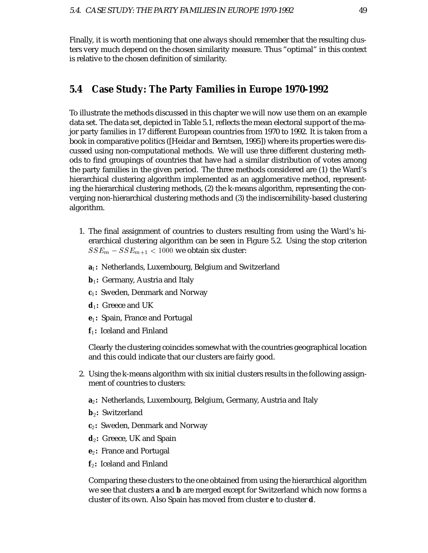Finally, it is worth mentioning that one always should remember that the resulting clusters very much depend on the chosen similarity measure. Thus "optimal" in this context is relative to the chosen definition of similarity.

## **5.4 Case Study: The Party Families in Europe 1970-1992**

To illustrate the methods discussed in this chapter we will now use them on an example data set. The data set, depicted in Table 5.1, reflects the mean electoral support of the major party families in 17 different European countries from 1970 to 1992. It is taken from a book in comparative politics ([Heidar and Berntsen, 1995]) where its properties were discussed using non-computational methods. We will use three different clustering methods to find groupings of countries that have had a similar distribution of votes among the party families in the given period. The three methods considered are (1) the Ward's hierarchical clustering algorithm implemented as an agglomerative method, representing the hierarchical clustering methods, (2) the k-means algorithm, representing the converging non-hierarchical clustering methods and (3) the indiscernibility-based clustering algorithm.

- 1. The final assignment of countries to clusters resulting from using the Ward's hierarchical clustering algorithm can be seen in Figure 5.2. Using the stop criterion  $SSE_m - SSE_{m+1} < 1000$  we obtain six cluster:
	- **a:** Netherlands, Luxembourg, Belgium and Switzerland
	- **b:** Germany, Austria and Italy
	- **c:** Sweden, Denmark and Norway
	- **d:** Greece and UK
	- **e:** Spain, France and Portugal
	- **f:** Iceland and Finland

Clearly the clustering coincides somewhat with the countries geographical location and this could indicate that our clusters are fairly good.

- 2. Using the k-means algorithm with six initial clusters results in the following assignment of countries to clusters:
	- **a**2: Netherlands, Luxembourg, Belgium, Germany, Austria and Italy
	- **b**<sub>2</sub>: Switzerland
	- $\mathbf{c}_2$ : Sweden, Denmark and Norway
	- **d**2: Greece, UK and Spain
	- **e**2: France and Portugal
	- **f**-**:** Iceland and Finland

Comparing these clusters to the one obtained from using the hierarchical algorithm we see that clusters **a** and **b** are merged except for Switzerland which now forms a cluster of its own. Also Spain has moved from cluster **e** to cluster **d**.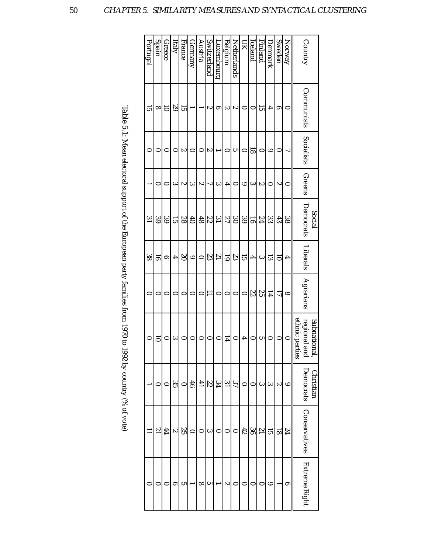| Portugal       | Spain     | Greece         | Italy           | France    | Germany        | Austria         | Switzerland | Puxembourg      | Belgium     | Netherlands | ZЦ        | Iceland        | Finland | Denmark | Sweden         | Norway   |                | Country       |              |
|----------------|-----------|----------------|-----------------|-----------|----------------|-----------------|-------------|-----------------|-------------|-------------|-----------|----------------|---------|---------|----------------|----------|----------------|---------------|--------------|
| 15             | ∞         | $\overline{0}$ | $6\overline{6}$ | 57        |                |                 | ಌ           | ග               | ಌ           | ನು          | 0         | 0              | 55      | 4       | ౚ              | 0        |                | Communists    |              |
| 0              | $\bullet$ | 0              | 0               | స         | 0              | 0               | z           |                 | 0           | س           | 0         | ವ              | 0       | అ       | 0              | ړ        |                | Socialists    |              |
|                | 0         | 0              | ౿               | స         | دە             | స               | ٦           | ల               | 4           | 0           | అ         | ల              | z       | 0       | స              | 0        |                | Greens        |              |
| $\overline{3}$ | 39        | ပ္ပ<br>၁       | 51              | 88        | 6 <sup>†</sup> | 48              | 22          | $\overline{31}$ | 22          | $\infty$    | 39        | $\overline{5}$ | 12      | జ       | 43             | 38       |                | Democrats     | Social       |
| 38             | 5         | ౚ              | 4               | $\infty$  | $\circ$        | $\bullet$       | S3          | $\overline{1}$  | 5           | 33          | 15        | 4              | دە      | ದ       | ៑              | 4        |                | Liberals      |              |
| $\bullet$      | $\bullet$ | 0              | 0               | 0         | 0              | 0               | Ξ           | $\circ$         | 0           | $\circ$     | 0         | 22             | SS.     | 14      | $\overline{L}$ | $\infty$ |                | Agrarians     |              |
| $\bullet$      | 5         | 0              | دە              | $\bullet$ | 0              | 0               | $\circ$     | 0               | 14          | 0           | 4         | $\circ$        | ى       | 0       | 0              | ∊        | ethnic parties | regional and  | Subnational, |
|                | 0         | 0              | 33              | $\circ$   | 46             | $\overline{41}$ | 22          | 34              | $\tilde{5}$ | 22          | $\bullet$ |                | ఒ       | ల       | ು              | అ        |                | Democrats     | Christian    |
|                | 12        | 44             | Z               | 35        |                |                 | دە          | 0               |             |             | 42        | မ္တ            | 17      | 5       | 81             | 72       |                | Conservatives |              |
|                |           |                | ග               | υ٦        |                | ∞               | س           |                 | S           |             |           |                |         | ల       |                | ග        |                | Extreme Right |              |

| I                                  |
|------------------------------------|
|                                    |
|                                    |
|                                    |
|                                    |
|                                    |
|                                    |
|                                    |
|                                    |
|                                    |
|                                    |
|                                    |
|                                    |
|                                    |
|                                    |
| J                                  |
|                                    |
|                                    |
|                                    |
|                                    |
|                                    |
|                                    |
|                                    |
|                                    |
|                                    |
|                                    |
|                                    |
|                                    |
|                                    |
|                                    |
|                                    |
|                                    |
|                                    |
| $\{a, b, c, c, c, c, c, c, c, d\}$ |
|                                    |
| $\sim$ or $\sim$                   |
|                                    |
|                                    |
|                                    |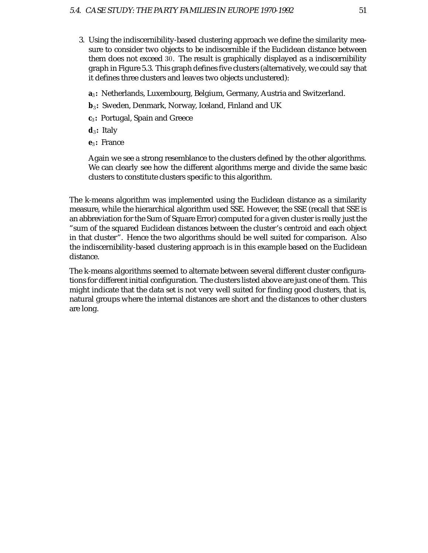- 3. Using the indiscernibility-based clustering approach we define the similarity measure to consider two objects to be indiscernible if the Euclidean distance between them does not exceed 30. The result is graphically displayed as a indiscernibility graph in Figure 5.3. This graph defines five clusters (alternatively, we could say that it defines three clusters and leaves two objects unclustered):
	- **a:** Netherlands, Luxembourg, Belgium, Germany, Austria and Switzerland.
	- **b:** Sweden, Denmark, Norway, Iceland, Finland and UK
	- **c:** Portugal, Spain and Greece
	- **d:** Italy
	- **e:** France

Again we see a strong resemblance to the clusters defined by the other algorithms. We can clearly see how the different algorithms merge and divide the same basic clusters to constitute clusters specific to this algorithm.

The k-means algorithm was implemented using the Euclidean distance as a similarity measure, while the hierarchical algorithm used SSE. However, the SSE (recall that SSE is an abbreviation for the Sum of Square Error) computed for a given cluster is really just the "sum of the squared Euclidean distances between the cluster's centroid and each object in that cluster". Hence the two algorithms should be well suited for comparison. Also the indiscernibility-based clustering approach is in this example based on the Euclidean distance.

The k-means algorithms seemed to alternate between several different cluster configurations for different initial configuration. The clusters listed above are just one of them. This might indicate that the data set is not very well suited for finding good clusters, that is, natural groups where the internal distances are short and the distances to other clusters are long.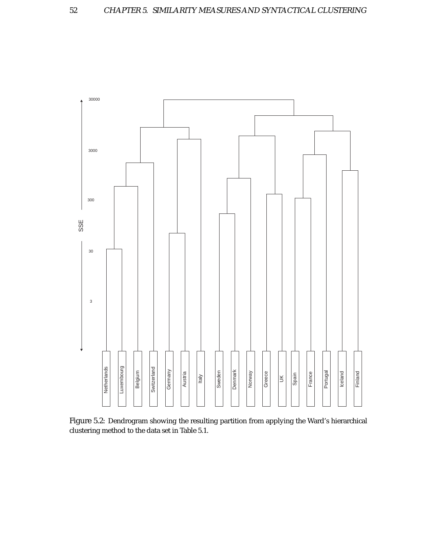

Figure 5.2: Dendrogram showing the resulting partition from applying the Ward's hierarchical clustering method to the data set in Table 5.1.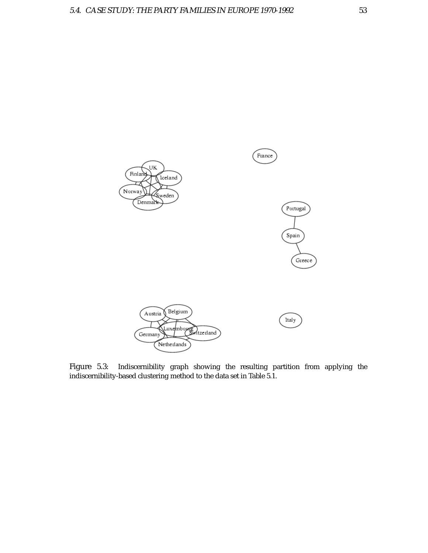

Figure 5.3: Indiscernibility graph showing the resulting partition from applying the indiscernibility-based clustering method to the data set in Table 5.1.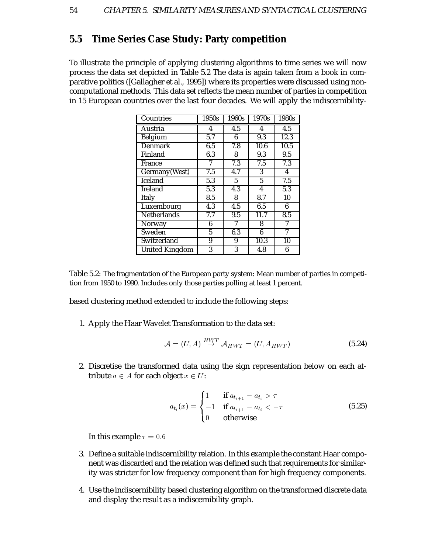## **5.5 Time Series Case Study: Party competition**

To illustrate the principle of applying clustering algorithms to time series we will now process the data set depicted in Table 5.2 The data is again taken from a book in comparative politics ([Gallagher et al., 1995]) where its properties were discussed using noncomputational methods. This data set reflects the mean number of parties in competition in 15 European countries over the last four decades. We will apply the indiscernibility-

| Countries      | 1950s            | 1960s       | 1970s                | 1980s            |
|----------------|------------------|-------------|----------------------|------------------|
| Austria        | 4                | 4.5         | 4                    | 4.5              |
| Belgium        | 5.7              | 6           | $\overline{9.3}$     | 12.3             |
| <b>Denmark</b> | 6.5              | 7.8         | 10.6                 | 10.5             |
| Finland        | 6.3              | 8           | 9.3                  | $\overline{9.5}$ |
| France         | 7                | 7.3         | 7.5                  | 7.3              |
| Germany(West)  | 7.5              | 4.7         | 3                    | 4                |
| Iceland        | 5.3              | $5^{\circ}$ | 5                    | 7.5              |
| <b>Ireland</b> | $\overline{5.3}$ | 4.3         | 4                    | $\overline{5.3}$ |
| Italy          | 8.5              | 8           | $\overline{\bf 8.7}$ | 10               |
| Luxembourg     | 4.3              | 4.5         | 6.5                  | 6                |
| Netherlands    | 7.7              | 9.5         | 11.7                 | 8.5              |
| Norway         | 6                | 7           | 8                    | 7                |
| Sweden         | 5                | 6.3         | 6                    | 7                |
| Switzerland    | 9                | 9           | 10.3                 | 10               |
| United Kingdom | 3                | 3           | 4.8                  | 6                |

Table 5.2: The fragmentation of the European party system: Mean number of parties in competition from 1950 to 1990. Includes only those parties polling at least 1 percent.

based clustering method extended to include the following steps:

1. Apply the Haar Wavelet Transformation to the data set:

$$
\mathcal{A} = (U, A) \stackrel{HWT}{\rightarrow} \mathcal{A}_{HWT} = (U, A_{HWT}) \tag{5.24}
$$

2. Discretise the transformed data using the sign representation below on each attribute  $a \in A$  for each object  $x \in U$ :

$$
a_{t_i}(x) = \begin{cases} 1 & \text{if } a_{t_{i+1}} - a_{t_i} > \tau \\ -1 & \text{if } a_{t_{i+1}} - a_{t_i} < -\tau \\ 0 & \text{otherwise} \end{cases}
$$
(5.25)

In this example  $\tau = 0.6$ 

- 3. Define a suitable indiscernibility relation. In this example the constant Haar component was discarded and the relation was defined such that requirements for similarity was stricter for low frequency component than for high frequency components.
- 4. Use the indiscernibility based clustering algorithm on the transformed discrete data and display the result as a indiscernibility graph.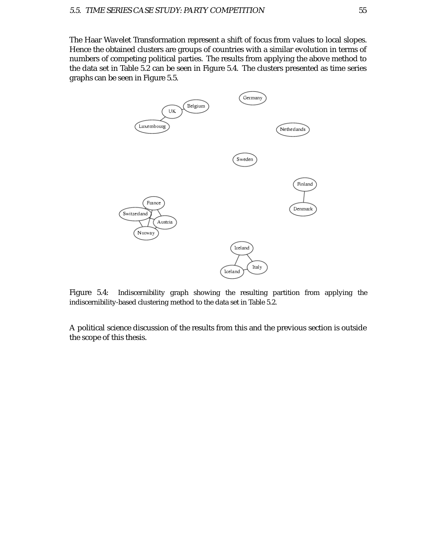The Haar Wavelet Transformation represent a shift of focus from values to local slopes. Hence the obtained clusters are groups of countries with a similar evolution in terms of numbers of competing political parties. The results from applying the above method to the data set in Table 5.2 can be seen in Figure 5.4. The clusters presented as time series graphs can be seen in Figure 5.5.



Figure 5.4: Indiscernibility graph showing the resulting partition from applying the indiscernibility-based clustering method to the data set in Table 5.2.

A political science discussion of the results from this and the previous section is outside the scope of this thesis.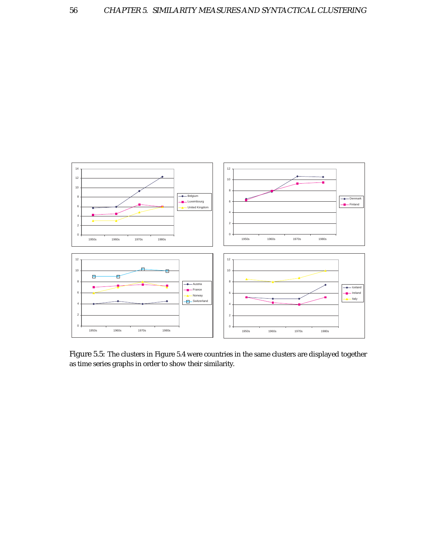

Figure 5.5: The clusters in Figure 5.4 were countries in the same clusters are displayed together as time series graphs in order to show their similarity.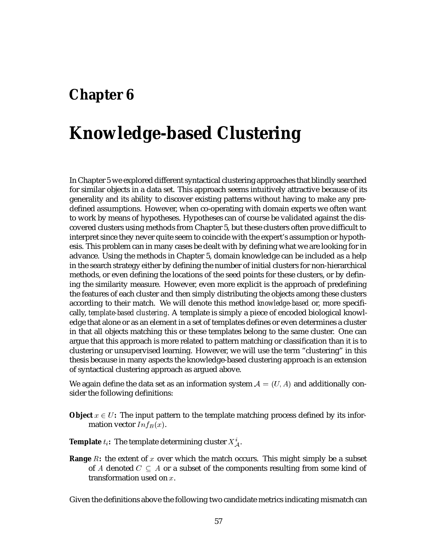## **Chapter 6**

## **Knowledge-based Clustering**

In Chapter 5 we explored different syntactical clustering approaches that blindly searched for similar objects in a data set. This approach seems intuitively attractive because of its generality and its ability to discover existing patterns without having to make any predefined assumptions. However, when co-operating with domain experts we often want to work by means of hypotheses. Hypotheses can of course be validated against the discovered clusters using methods from Chapter 5, but these clusters often prove difficult to interpret since they never quite seem to coincide with the expert's assumption or hypothesis. This problem can in many cases be dealt with by defining what we are looking for in advance. Using the methods in Chapter 5, domain knowledge can be included as a help in the search strategy either by defining the number of initial clusters for non-hierarchical methods, or even defining the locations of the seed points for these clusters, or by defining the similarity measure. However, even more explicit is the approach of predefining the features of each cluster and then simply distributing the objects among these clusters according to their match. We will denote this method *knowledge-based* or, more specifically, *template-based clustering*. A template is simply a piece of encoded biological knowledge that alone or as an element in a set of templates defines or even determines a cluster in that all objects matching this or these templates belong to the same cluster. One can argue that this approach is more related to pattern matching or classification than it is to clustering or unsupervised learning. However, we will use the term "clustering" in this thesis because in many aspects the knowledge-based clustering approach is an extension of syntactical clustering approach as argued above.

We again define the data set as an information system  $\mathcal{A} = (U, A)$  and additionally consider the following definitions:

**Object**  $x \in U$ : The input pattern to the template matching process defined by its information vector  $Inf_B(x)$ .

**Template**  $t_i$ : The template determining cluster  $X^i_A$ .

**Range**  $R$ : the extent of  $x$  over which the match occurs. This might simply be a subset of  $A$  denoted  $C\,\subseteq\, A$  or a subset of the components resulting from some kind of transformation used on  $x$ .

Given the definitions above the following two candidate metrics indicating mismatch can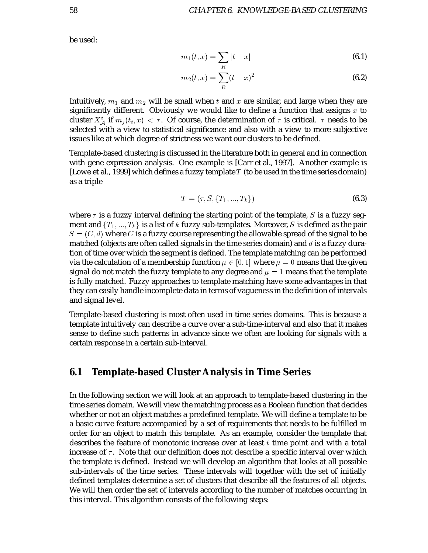be used:

$$
m_1(t,x) = \sum_R |t - x|
$$
\n(6.1)

$$
m_2(t,x) = \sum_R (t-x)^2
$$
 (6.2)

Intuitively,  $m_1$  and  $m_2$  will be small when  $t$  and  $x$  are similar, and large when they are significantly different. Obviously we would like to define a function that assigns  $x$  to cluster  $X^i_{\cal A}$  if  $m_j(t_i,x) < \tau.$  Of course, the determination of  $\tau$  is critical.  $\,\tau$  needs to be selected with a view to statistical significance and also with a view to more subjective issues like at which degree of strictness we want our clusters to be defined.

Template-based clustering is discussed in the literature both in general and in connection with gene expression analysis. One example is [Carr et al., 1997]. Another example is [Lowe et al., 1999] which defines a fuzzy template  $T$  (to be used in the time series domain) as a triple

$$
T = (\tau, S, \{T_1, ..., T_k\})
$$
\n(6.3)

where  $\tau$  is a fuzzy interval defining the starting point of the template, S is a fuzzy segment and  $\{T_1,...,T_k\}$  is a list of  $k$  fuzzy sub-templates. Moreover,  $S$  is defined as the pair  $S = (C, d)$  where C is a fuzzy course representing the allowable spread of the signal to be matched (objects are often called signals in the time series domain) and  $d$  is a fuzzy duration of time over which the segment is defined. The template matching can be performed via the calculation of a membership function  $\mu \in [0, 1]$  where  $\mu = 0$  means that the given signal do not match the fuzzy template to any degree and  $\mu = 1$  means that the template is fully matched. Fuzzy approaches to template matching have some advantages in that they can easily handle incomplete data in terms of vagueness in the definition of intervals and signal level.

Template-based clustering is most often used in time series domains. This is because a template intuitively can describe a curve over a sub-time-interval and also that it makes sense to define such patterns in advance since we often are looking for signals with a certain response in a certain sub-interval.

#### **6.1 Template-based Cluster Analysis in Time Series**

In the following section we will look at an approach to template-based clustering in the time series domain. We will view the matching process as a Boolean function that decides whether or not an object matches a predefined template. We will define a template to be a basic curve feature accompanied by a set of requirements that needs to be fulfilled in order for an object to match this template. As an example, consider the template that describes the feature of monotonic increase over at least  $t$  time point and with a total increase of  $\tau$ . Note that our definition does not describe a specific interval over which the template is defined. Instead we will develop an algorithm that looks at all possible sub-intervals of the time series. These intervals will together with the set of initially defined templates determine a set of clusters that describe all the features of all objects. We will then order the set of intervals according to the number of matches occurring in this interval. This algorithm consists of the following steps: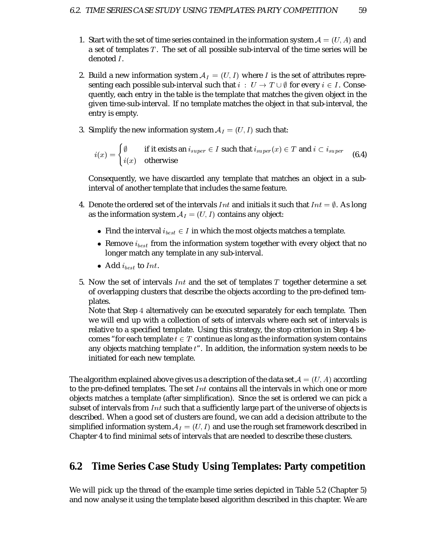- 1. Start with the set of time series contained in the information system  $\mathcal{A} = (U, A)$  and a set of templates  $T$ . The set of all possible sub-interval of the time series will be denoted *I*.
- 2. Build a new information system  $A_I = (U, I)$  where I is the set of attributes representing each possible sub-interval such that  $i\ :\ U\rightarrow T\cup \emptyset$  for every  $i\in I.$  Consequently, each entry in the table is the template that matches the given object in the given time-sub-interval. If no template matches the object in that sub-interval, the entry is empty.
- 3. Simplify the new information system  $A_I = (U, I)$  such that:

$$
i(x) = \begin{cases} \emptyset & \text{if it exists an } i_{super} \in I \text{ such that } i_{super}(x) \in T \text{ and } i \subset i_{super} \\ i(x) & \text{otherwise} \end{cases}
$$
(6.4)

Consequently, we have discarded any template that matches an object in a subinterval of another template that includes the same feature.

- 4. Denote the ordered set of the intervals  $Int$  and initials it such that  $Int = \emptyset$ . As long as the information system  $A_I = (U, I)$  contains any object:
	- Find the interval  $i_{best} \in I$  in which the most objects matches a template.
	- Remove  $i_{best}$  from the information system together with every object that no longer match any template in any sub-interval.
	- Add  $i_{best}$  to Int.
- 5. Now the set of intervals  $Int$  and the set of templates  $T$  together determine a set of overlapping clusters that describe the objects according to the pre-defined templates.

Note that Step  $4$  alternatively can be executed separately for each template. Then we will end up with a collection of sets of intervals where each set of intervals is relative to a specified template. Using this strategy, the stop criterion in Step 4 becomes "for each template  $t \in T$  continue as long as the information system contains any objects matching template  $t$ ". In addition, the information system needs to be initiated for each new template.

The algorithm explained above gives us a description of the data set  $\mathcal{A}=(U,A)$  according to the pre-defined templates. The set  $Int$  contains all the intervals in which one or more objects matches a template (after simplification). Since the set is ordered we can pick a subset of intervals from  $Int$  such that a sufficiently large part of the universe of objects is described. When a good set of clusters are found, we can add a decision attribute to the simplified information system  $A_I = (U, I)$  and use the rough set framework described in Chapter 4 to find minimal sets of intervals that are needed to describe these clusters.

### **6.2 Time Series Case Study Using Templates: Party competition**

We will pick up the thread of the example time series depicted in Table 5.2 (Chapter 5) and now analyse it using the template based algorithm described in this chapter. We are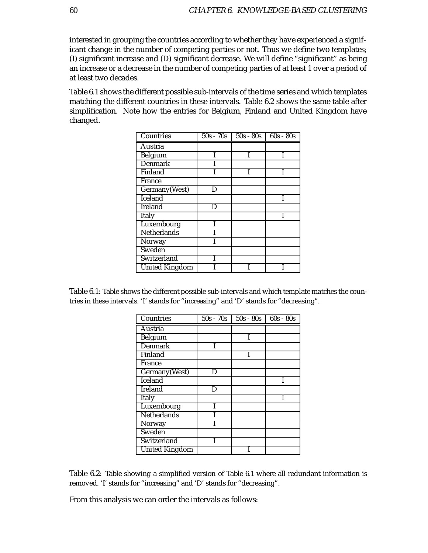interested in grouping the countries according to whether they have experienced a significant change in the number of competing parties or not. Thus we define two templates; (I) significant increase and (D) significant decrease. We will define "significant" as being an increase or a decrease in the number of competing parties of at least 1 over a period of at least two decades.

Table 6.1 shows the different possible sub-intervals of the time series and which templates matching the different countries in these intervals. Table 6.2 shows the same table after simplification. Note how the entries for Belgium, Finland and United Kingdom have changed.

| Countries             | $50s - 70s$ | $50s - 80s$ | $60s - 80s$ |
|-----------------------|-------------|-------------|-------------|
| Austria               |             |             |             |
| Belgium               |             |             |             |
| <b>Denmark</b>        |             |             |             |
| Finland               |             |             |             |
| France                |             |             |             |
| Germany(West)         | D           |             |             |
| Iceland               |             |             |             |
| Ireland               | D           |             |             |
| Italy                 |             |             |             |
| Luxembourg            |             |             |             |
| Netherlands           |             |             |             |
| Norway                |             |             |             |
| Sweden                |             |             |             |
| Switzerland           |             |             |             |
| <b>United Kingdom</b> |             |             |             |

Table 6.1: Table shows the different possible sub-intervals and which template matches the countries in these intervals. 'I' stands for "increasing" and 'D' stands for "decreasing".

| Countries             | $50s - 70s$ | $50s - 80s$ | $60s - 80s$ |
|-----------------------|-------------|-------------|-------------|
| Austria               |             |             |             |
| Belgium               |             |             |             |
| Denmark               |             |             |             |
| Finland               |             |             |             |
| France                |             |             |             |
| Germany(West)         | D           |             |             |
| Iceland               |             |             |             |
| <b>Ireland</b>        | D           |             |             |
| Italy                 |             |             |             |
| Luxembourg            |             |             |             |
| Netherlands           |             |             |             |
| Norway                |             |             |             |
| Sweden                |             |             |             |
| Switzerland           |             |             |             |
| <b>United Kingdom</b> |             |             |             |

Table 6.2: Table showing a simplified version of Table 6.1 where all redundant information is removed. 'I' stands for "increasing" and 'D' stands for "decreasing".

From this analysis we can order the intervals as follows: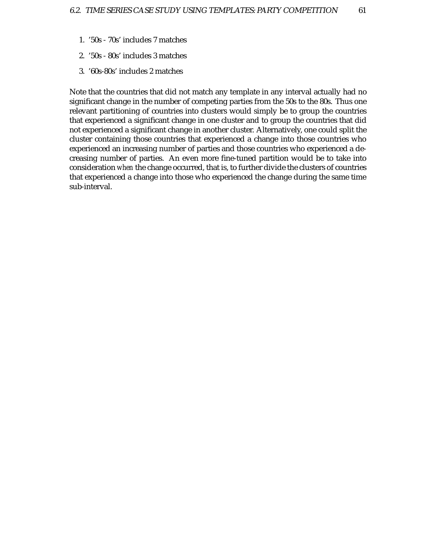- 1. '50s 70s' includes 7 matches
- 2. '50s 80s' includes 3 matches
- 3. '60s-80s' includes 2 matches

Note that the countries that did not match any template in any interval actually had no significant change in the number of competing parties from the 50s to the 80s. Thus one relevant partitioning of countries into clusters would simply be to group the countries that experienced a significant change in one cluster and to group the countries that did not experienced a significant change in another cluster. Alternatively, one could split the cluster containing those countries that experienced a change into those countries who experienced an increasing number of parties and those countries who experienced a decreasing number of parties. An even more fine-tuned partition would be to take into consideration *when* the change occurred, that is, to further divide the clusters of countries that experienced a change into those who experienced the change during the same time sub-interval.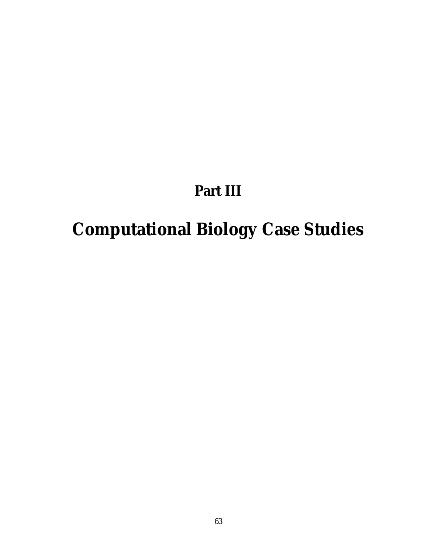## **Part III**

# **Computational Biology Case Studies**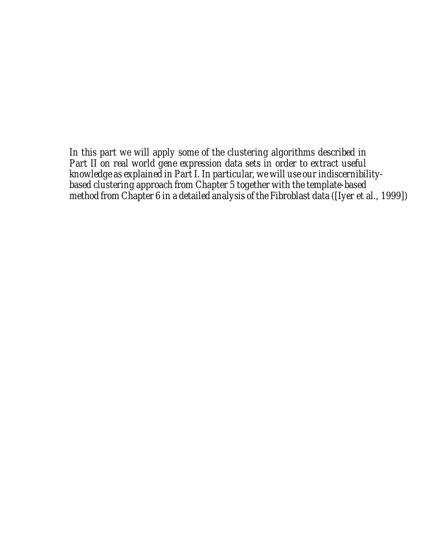*In this part we will apply some of the clustering algorithms described in Part II on real world gene expression data sets in order to extract useful knowledge as explained in Part I. In particular, we will use our indiscernibilitybased clustering approach from Chapter 5 together with the template-based method from Chapter 6 in a detailed analysis of the Fibroblast data ([Iyer et al., 1999])*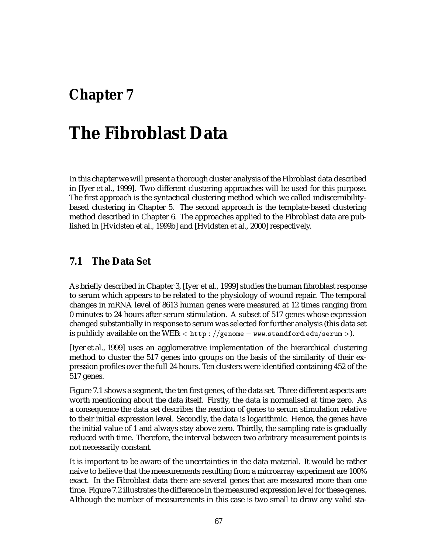# **Chapter 7**

# **The Fibroblast Data**

In this chapter we will present a thorough cluster analysis of the Fibroblast data described in [Iyer et al., 1999]. Two different clustering approaches will be used for this purpose. The first approach is the syntactical clustering method which we called indiscernibilitybased clustering in Chapter 5. The second approach is the template-based clustering method described in Chapter 6. The approaches applied to the Fibroblast data are published in [Hvidsten et al., 1999b] and [Hvidsten et al., 2000] respectively.

## **7.1 The Data Set**

As briefly described in Chapter 3, [Iyer et al., 1999] studies the human fibroblast response to serum which appears to be related to the physiology of wound repair. The temporal changes in mRNA level of 8613 human genes were measured at 12 times ranging from 0 minutes to 24 hours after serum stimulation. A subset of 517 genes whose expression changed substantially in response to serum was selected for further analysis (this data set is publicly available on the WEB:  $<$  <code>http</code> :  $//$ genome  $-$  <code>ww.standford.edu/serum</code>  $>$ ).

[Iyer et al., 1999] uses an agglomerative implementation of the hierarchical clustering method to cluster the 517 genes into groups on the basis of the similarity of their expression profiles over the full 24 hours. Ten clusters were identified containing 452 of the 517 genes.

Figure 7.1 shows a segment, the ten first genes, of the data set. Three different aspects are worth mentioning about the data itself. Firstly, the data is normalised at time zero. As a consequence the data set describes the reaction of genes to serum stimulation relative to their initial expression level. Secondly, the data is logarithmic. Hence, the genes have the initial value of 1 and always stay above zero. Thirdly, the sampling rate is gradually reduced with time. Therefore, the interval between two arbitrary measurement points is not necessarily constant.

It is important to be aware of the uncertainties in the data material. It would be rather naive to believe that the measurements resulting from a microarray experiment are 100% exact. In the Fibroblast data there are several genes that are measured more than one time. Figure 7.2 illustrates the difference in the measured expression level for these genes. Although the number of measurements in this case is two small to draw any valid sta-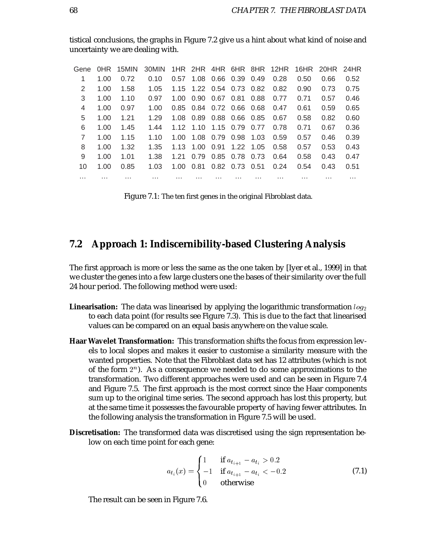| Gene |      | OHR 15MIN | 30MIN |      |                              |                              |                |      | 1HR 2HR 4HR 6HR 8HR 12HR |      | 16HR 20HR 24HR |      |
|------|------|-----------|-------|------|------------------------------|------------------------------|----------------|------|--------------------------|------|----------------|------|
| 1    | 1.00 | 0.72      | 0.10  | 0.57 |                              | 1.08 0.66 0.39               |                | 0.49 | 0.28                     | 0.50 | 0.66           | 0.52 |
| 2    | 1.00 | 1.58      | 1.05  |      | 1.15 1.22 0.54 0.73 0.82     |                              |                |      | 0.82                     | 0.90 | 0.73           | 0.75 |
| 3    | 1.00 | 1.10      | 0.97  | 1.00 |                              | $0.90 \quad 0.67 \quad 0.81$ |                | 0.88 | 0.77                     | 0.71 | 0.57           | 0.46 |
| 4    | 1.00 | 0.97      | 1.00  |      | 0.85 0.84 0.72 0.66 0.68     |                              |                |      | 0.47                     | 0.61 | 0.59           | 0.65 |
| 5    | 1.00 | 1.21      | 1.29  |      | 1.08  0.89  0.88  0.66  0.85 |                              |                |      | 0.67                     | 0.58 | 0.82           | 0.60 |
| 6    | 1.00 | 1.45      | 1.44  |      | 1.12 1.10 1.15 0.79          |                              |                | 0.77 | 0.78                     | 0.71 | 0.67           | 0.36 |
| 7    | 1.00 | 1.15      | 1.10  | 1.00 |                              | 1.08  0.79  0.98             |                | 1.03 | 0.59                     | 0.57 | 0.46           | 0.39 |
| 8    | 1.00 | 1.32      | 1.35  | 1.13 |                              | 1.00  0.91                   | 1.22 1.05      |      | 0.58                     | 0.57 | 0.53           | 0.43 |
| 9    | 1.00 | 1.01      | 1.38  | 1.21 |                              | 0.79 0.85 0.78               |                | 0.73 | 0.64                     | 0.58 | 0.43           | 0.47 |
| 10   | 1.00 | 0.85      | 1.03  | 1.00 | 0.81                         |                              | 0.82 0.73 0.51 |      | 0.24                     | 0.54 | 0.43           | 0.51 |
| .    | .    | .         | .     | .    | .                            |                              | .              | .    | .                        | .    | .              | .    |

tistical conclusions, the graphs in Figure 7.2 give us a hint about what kind of noise and uncertainty we are dealing with.

Figure 7.1: The ten first genes in the original Fibroblast data.

## **7.2 Approach 1: Indiscernibility-based Clustering Analysis**

The first approach is more or less the same as the one taken by [Iyer et al., 1999] in that we cluster the genes into a few large clusters one the bases of their similarity over the full 24 hour period. The following method were used:

- **Linearisation:** The data was linearised by applying the logarithmic transformation  $log_2$ to each data point (for results see Figure 7.3). This is due to the fact that linearised values can be compared on an equal basis anywhere on the value scale.
- **Haar Wavelet Transformation:** This transformation shifts the focus from expression levels to local slopes and makes it easier to customise a similarity measure with the wanted properties. Note that the Fibroblast data set has 12 attributes (which is not of the form  $2^n$ ). As a consequence we needed to do some approximations to the transformation. Two different approaches were used and can be seen in Figure 7.4 and Figure 7.5. The first approach is the most correct since the Haar components sum up to the original time series. The second approach has lost this property, but at the same time it possesses the favourable property of having fewer attributes. In the following analysis the transformation in Figure 7.5 will be used.
- **Discretisation:** The transformed data was discretised using the sign representation below on each time point for each gene:

$$
a_{t_i}(x) = \begin{cases} 1 & \text{if } a_{t_{i+1}} - a_{t_i} > 0.2 \\ -1 & \text{if } a_{t_{i+1}} - a_{t_i} < -0.2 \\ 0 & \text{otherwise} \end{cases}
$$
(7.1)

The result can be seen in Figure 7.6.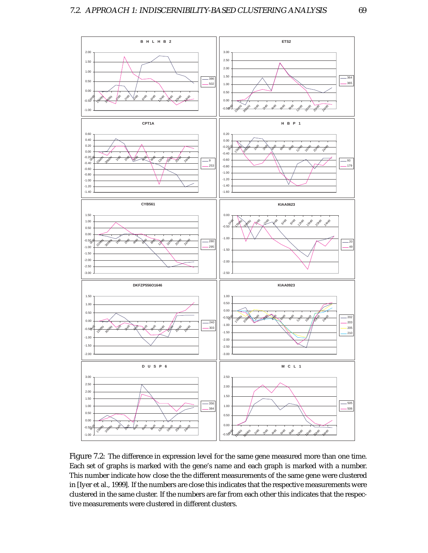

Figure 7.2: The difference in expression level for the same gene measured more than one time. Each set of graphs is marked with the gene's name and each graph is marked with a number. This number indicate how close the the different measurements of the same gene were clustered in [Iyer et al., 1999]. If the numbers are close this indicates that the respective measurements were clustered in the same cluster. If the numbers are far from each other this indicates that the respective measurements were clustered in different clusters.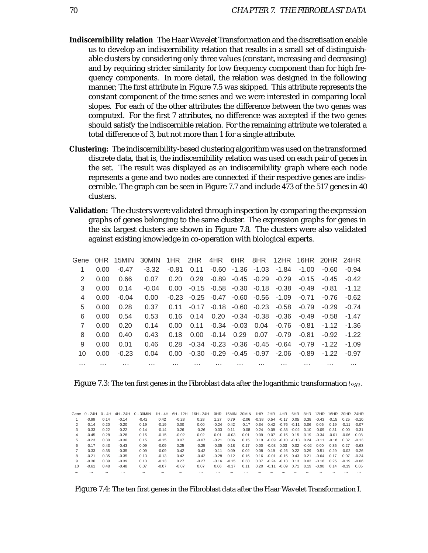- **Indiscernibility relation** The Haar Wavelet Transformation and the discretisation enable us to develop an indiscernibility relation that results in a small set of distinguishable clusters by considering only three values (constant, increasing and decreasing) and by requiring stricter similarity for low frequency component than for high frequency components. In more detail, the relation was designed in the following manner; The first attribute in Figure 7.5 was skipped. This attribute represents the constant component of the time series and we were interested in comparing local slopes. For each of the other attributes the difference between the two genes was computed. For the first 7 attributes, no difference was accepted if the two genes should satisfy the indiscernible relation. For the remaining attribute we tolerated a total difference of 3, but not more than 1 for a single attribute.
- **Clustering:** The indiscernibility-based clustering algorithm was used on the transformed discrete data, that is, the indiscernibility relation was used on each pair of genes in the set. The result was displayed as an indiscernibility graph where each node represents a gene and two nodes are connected if their respective genes are indiscernible. The graph can be seen in Figure 7.7 and include 473 of the 517 genes in 40 clusters.
- **Validation:** The clusters were validated through inspection by comparing the expression graphs of genes belonging to the same cluster. The expression graphs for genes in the six largest clusters are shown in Figure 7.8. The clusters were also validated against existing knowledge in co-operation with biological experts.

| Gene     |      | OHR 15MIN | 30MIN    | 1HR     | 2HR     | 4HR           | 6HR   | 8HR            | 12HR    | 16HR    | 20HR 24HR |          |
|----------|------|-----------|----------|---------|---------|---------------|-------|----------------|---------|---------|-----------|----------|
| 1        | 0.00 | $-0.47$   | $-3.32$  | $-0.81$ | 0.11    | -0.60         | -1.36 | -1.03          | $-1.84$ | $-1.00$ | $-0.60$   | $-0.94$  |
| 2        | 0.00 | 0.66      | 0.07     | 0.20    | 0.29    | -0.89         | -0.45 | $-0.29$        | $-0.29$ | $-0.15$ | $-0.45$   | $-0.42$  |
| 3        | 0.00 | 0.14      | $-0.04$  | 0.00    | $-0.15$ | -0.58         | -0.30 | $-0.18$        | $-0.38$ | $-0.49$ | $-0.81$   | $-1.12$  |
| 4        | 0.00 | $-0.04$   | 0.00     | $-0.23$ |         | $-0.25 -0.47$ |       | $-0.60 - 0.56$ | $-1.09$ | $-0.71$ | $-0.76$   | $-0.62$  |
| 5        | 0.00 | 0.28      | 0.37     | 0.11    | $-0.17$ | $-0.18$       | -0.60 | $-0.23$        | $-0.58$ | $-0.79$ | $-0.29$   | $-0.74$  |
| 6        | 0.00 | 0.54      | 0.53     | 0.16    | 0.14    | 0.20          | -0.34 | $-0.38$        | $-0.36$ | $-0.49$ | $-0.58$   | $-1.47$  |
| 7        | 0.00 | 0.20      | 0.14     | 0.00    | 0.11    | -0.34         | -0.03 | 0.04           | $-0.76$ | $-0.81$ | $-1.12$   | -1.36    |
| 8        | 0.00 | 0.40      | 0.43     | 0.18    | 0.00    | $-0.14$       | 0.29  | 0.07           | $-0.79$ | $-0.81$ | $-0.92$   | $-1.22$  |
| 9        | 0.00 | 0.01      | 0.46     | 0.28    | $-0.34$ | $-0.23$       | -0.36 | $-0.45$        | $-0.64$ | $-0.79$ | $-1.22$   | $-1.09$  |
| 10       | 0.00 | $-0.23$   | 0.04     | 0.00    | $-0.30$ | $-0.29$       | -0.45 | $-0.97$        | $-2.06$ | $-0.89$ | $-1.22$   | $-0.97$  |
| $\cdots$ | .    | $\cdots$  | $\cdots$ | .       | .       | $\cdots$      | .     | .              | .       | .       | .         | $\cdots$ |

| Figure 7.3: The ten first genes in the Fibroblast data after the logarithmic transformation $log_2$ . |  |  |  |  |  |
|-------------------------------------------------------------------------------------------------------|--|--|--|--|--|
|-------------------------------------------------------------------------------------------------------|--|--|--|--|--|

|               |         |      |         |          |         |         | Gene 0-24H 0-4H 4H-24H 0-30MIN 1H-4H 6H-12H 16H-24H |         | OHR 15MIN 30MIN |         | 1HR 2HR |         |                                      |      |      |                                                | 4HR 6HR 8HR 12HR 16HR 20HR 24HR |              |         |
|---------------|---------|------|---------|----------|---------|---------|-----------------------------------------------------|---------|-----------------|---------|---------|---------|--------------------------------------|------|------|------------------------------------------------|---------------------------------|--------------|---------|
|               | $-0.99$ | 0.14 | $-0.14$ | $-0.42$  | 0.42    | $-0.28$ | 0.28                                                | 1.27    | 0.79            | $-2.06$ |         |         |                                      |      |      | $-0.38$ 0.54 $-0.17$ 0.05 0.38 $-0.43$ $-0.15$ |                                 | 0.25         | -0.10   |
| $\mathcal{P}$ | $-0.14$ | 0.20 | $-0.20$ | 0.19     | $-0.19$ | 0.00    | 0.00                                                | $-0.24$ | 0.42            | $-0.17$ |         |         | $0.34$ $0.42$ $-0.76$ $-0.11$ $0.06$ |      |      | 0.06                                           | 0.19                            | $-0.11$      | -0.07   |
| 3             | $-0.33$ | 0.22 | $-0.22$ | 0.14     | $-0.14$ | 0.26    | $-0.26$                                             | $-0.03$ | O 11            | $-0.08$ | 0.24    |         | $0.09 -0.33 -0.02 0.10$              |      |      | -0.09                                          | 0.31                            | 0.00         | $-0.31$ |
| 4             | $-0.45$ | 0.28 | $-0.28$ | 0.15     | $-0.15$ | $-0.02$ | 0.02                                                | 0.01    | $-0.03$         | 0.01    | 0.09    |         |                                      |      |      | $0.07 -0.15$ 0.15 0.19 $-0.34$ $-0.01$         |                                 | $-0.06$ 0.08 |         |
| 5             | $-0.23$ | 0.30 | $-0.30$ | 0.15     | $-0.15$ | 0.07    | $-0.07$                                             | $-0.21$ | 0.06            | 0.15    |         |         |                                      |      |      | $0.19 - 0.09 - 0.10 - 0.13 - 0.24 - 0.11$      | $-0.18$                         | 0.32         | $-0.13$ |
| 6             | $-0.17$ | 0.43 | $-0.43$ | 0.09     | $-0.09$ | 0.25    | $-0.25$                                             | $-0.35$ | 0.18            | 0.17    | 0.00    |         | $-0.03$ 0.03 0.02 $-0.02$ 0.00       |      |      |                                                | 0.35                            | 0.27         | $-0.63$ |
|               | $-0.33$ | 0.35 | $-0.35$ | 0.09     | $-0.09$ | 0.42    | $-0.42$                                             | $-0.11$ | 0.09            | 0.02    | 0.08    |         | $0.19 - 0.26 0.22 0.29$              |      |      | -0.51                                          | 0.29                            | $-0.02$      | -0.26   |
| 8             | $-0.21$ | 0.35 | $-0.35$ | 0.13     | $-0.13$ | 0.42    | $-0.42$                                             | $-0.28$ | 0.12            | 0.16    |         |         | $0.16 - 0.01 - 0.15$ 0.43 0.21       |      |      | -0.64                                          | 0.17                            | 0.07         | $-0.24$ |
| 9             | -0.36   | 0.39 | $-0.39$ | 0.13     | $-0.13$ | 0.27    | $-0.27$                                             |         | $-0.16 - 0.15$  | 0.30    |         |         | $0.37 -0.24 -0.13 -0.13 -0.03$       |      |      | -0.16                                          | 0.25                            | $-0.19$      | -0.06   |
| 10            | $-0.61$ | 0.48 | $-0.48$ | 0.07     | $-0.07$ | $-0.07$ | 0.07                                                | 0.06    | $-0.17$         | 0.11    | 0.20    | $-0.11$ | -0.09                                | 0.71 | 0.19 | -0.90                                          | 0.14                            | $-0.19$      | 0.05    |
|               |         |      |         | $\cdots$ |         |         |                                                     |         |                 |         |         |         |                                      |      |      |                                                |                                 |              |         |
|               |         |      |         |          |         |         |                                                     |         |                 |         |         |         |                                      |      |      |                                                |                                 |              |         |

Figure 7.4: The ten first genes in the Fibroblast data after the Haar Wavelet Transformation I.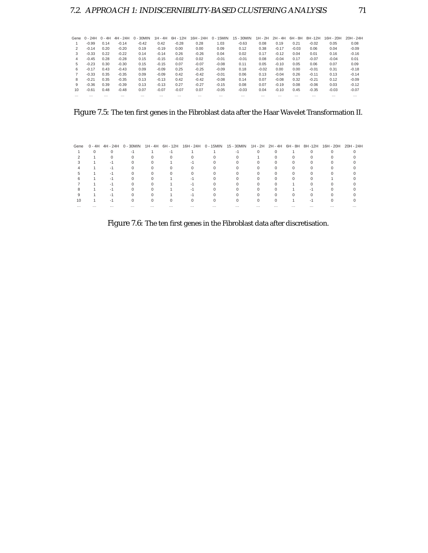|          | Gene $0 - 24H$ $0 - 4H$ |          | 4H - 24H | $0 - 30$ MIN | 1H - 4H  | 6H - 12H | 16H - 24H | $0 - 15$ MIN | 15 - 30MIN |          | 1H - 2H 2H - 4H | 6H - 8H  | 8H -12H  | 16H - 20H | 20H - 24H |
|----------|-------------------------|----------|----------|--------------|----------|----------|-----------|--------------|------------|----------|-----------------|----------|----------|-----------|-----------|
|          | $-0.99$                 | 0.14     | $-0.14$  | $-0.42$      | 0.42     | $-0.28$  | 0.28      | 1.03         | $-0.63$    | 0.08     | 0.19            | 0.21     | $-0.02$  | 0.05      | 0.08      |
| 2        | $-0.14$                 | 0.20     | $-0.20$  | 0.19         | $-0.19$  | 0.00     | 0.00      | 0.09         | 0.12       | 0.38     | $-0.17$         | $-0.03$  | 0.06     | 0.04      | $-0.09$   |
| 3        | $-0.33$                 | 0.22     | $-0.22$  | 0.14         | $-0.14$  | 0.26     | $-0.26$   | 0.04         | 0.02       | 0.17     | $-0.12$         | 0.04     | 0.01     | 0.16      | $-0.16$   |
| 4        | $-0.45$                 | 0.28     | $-0.28$  | 0.15         | $-0.15$  | $-0.02$  | 0.02      | $-0.01$      | $-0.01$    | 0.08     | $-0.04$         | 0.17     | $-0.07$  | $-0.04$   | 0.01      |
| 5.       | $-0.23$                 | 0.30     | $-0.30$  | 0.15         | $-0.15$  | 0.07     | $-0.07$   | $-0.08$      | 0.11       | 0.05     | $-0.10$         | 0.05     | 0.06     | 0.07      | 0.09      |
| 6        | $-0.17$                 | 0.43     | $-0.43$  | 0.09         | $-0.09$  | 0.25     | $-0.25$   | $-0.09$      | 0.18       | $-0.02$  | 0.00            | 0.00     | $-0.01$  | 0.31      | $-0.18$   |
|          | $-0.33$                 | 0.35     | $-0.35$  | 0.09         | $-0.09$  | 0.42     | $-0.42$   | $-0.01$      | 0.06       | 0.13     | $-0.04$         | 0.26     | $-0.11$  | 0.13      | $-0.14$   |
| 8        | $-0.21$                 | 0.35     | $-0.35$  | 0.13         | $-0.13$  | 0.42     | $-0.42$   | $-0.08$      | 0.14       | 0.07     | $-0.08$         | 0.32     | $-0.21$  | 0.12      | $-0.09$   |
| 9        | $-0.36$                 | 0.39     | $-0.39$  | 0.13         | $-0.13$  | 0.27     | $-0.27$   | $-0.15$      | 0.08       | 0.07     | $-0.19$         | 0.08     | $-0.06$  | 0.03      | $-0.12$   |
| 10       | $-0.61$                 | 0.48     | $-0.48$  | 0.07         | $-0.07$  | $-0.07$  | 0.07      | $-0.05$      | $-0.03$    | 0.04     | $-0.10$         | 0.45     | $-0.35$  | $-0.03$   | $-0.07$   |
| $\cdots$ | $\cdots$                | $\cdots$ | $\cdots$ |              | $\cdots$ | $\cdots$ | $\cdots$  | $\cdots$     | $\cdots$   | $\cdots$ |                 | $\cdots$ | $\cdots$ | $\cdots$  | $\cdots$  |

Figure 7.5: The ten first genes in the Fibroblast data after the Haar Wavelet Transformation II.

| Gene |          |              |       |          |          | 0-4H 4H-24H 0-30MIN 1H-4H 6H-12H 16H-24H 0-15MIN 15-30MIN 1H-2H 2H-4H 6H-8H 8H-12H 16H-20H 20H-24H |              |      |      |
|------|----------|--------------|-------|----------|----------|----------------------------------------------------------------------------------------------------|--------------|------|------|
|      |          |              |       |          |          |                                                                                                    |              |      |      |
|      |          |              |       |          |          |                                                                                                    |              |      |      |
|      |          |              |       |          |          |                                                                                                    |              |      |      |
|      |          |              |       |          |          |                                                                                                    |              |      |      |
|      |          |              |       |          |          |                                                                                                    |              |      |      |
|      |          |              |       |          |          |                                                                                                    |              |      |      |
|      |          |              |       |          |          |                                                                                                    |              |      |      |
|      |          |              |       |          |          |                                                                                                    |              |      |      |
|      |          |              |       |          |          |                                                                                                    |              |      |      |
|      |          |              |       |          |          |                                                                                                    |              |      |      |
|      | $\cdots$ | <br>$\cdots$ | <br>. | $\cdots$ | $\cdots$ |                                                                                                    | <br>$\cdots$ | <br> | <br> |

Figure 7.6: The ten first genes in the Fibroblast data after discretisation.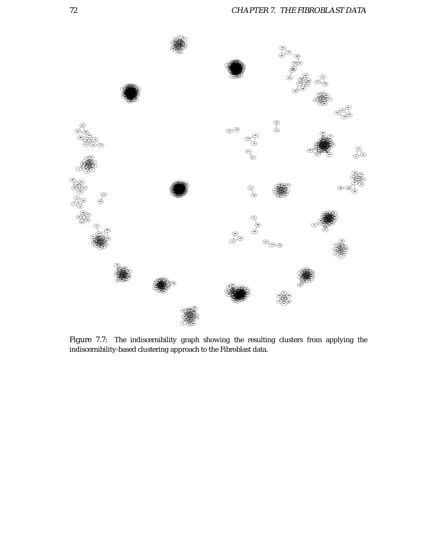

Figure 7.7: The indiscernibility graph showing the resulting clusters from applying the indiscernibility-based clustering approach to the Fibroblast data.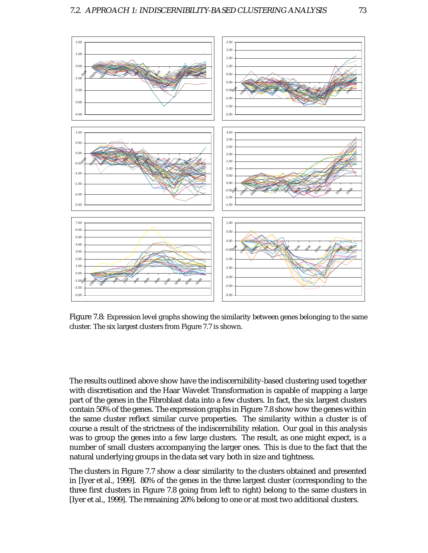

Figure 7.8: Expression level graphs showing the similarity between genes belonging to the same cluster. The six largest clusters from Figure 7.7 is shown.

The results outlined above show have the indiscernibility-based clustering used together with discretisation and the Haar Wavelet Transformation is capable of mapping a large part of the genes in the Fibroblast data into a few clusters. In fact, the six largest clusters contain 50% of the genes. The expression graphs in Figure 7.8 show how the genes within the same cluster reflect similar curve properties. The similarity within a cluster is of course a result of the strictness of the indiscernibility relation. Our goal in this analysis was to group the genes into a few large clusters. The result, as one might expect, is a number of small clusters accompanying the larger ones. This is due to the fact that the natural underlying groups in the data set vary both in size and tightness.

The clusters in Figure 7.7 show a clear similarity to the clusters obtained and presented in [Iyer et al., 1999]. 80% of the genes in the three largest cluster (corresponding to the three first clusters in Figure 7.8 going from left to right) belong to the same clusters in [Iyer et al., 1999]. The remaining 20% belong to one or at most two additional clusters.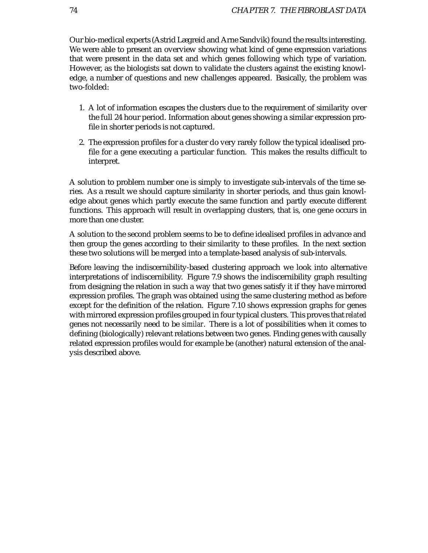Our bio-medical experts (Astrid Lægreid and Arne Sandvik) found the results interesting. We were able to present an overview showing what kind of gene expression variations that were present in the data set and which genes following which type of variation. However, as the biologists sat down to validate the clusters against the existing knowledge, a number of questions and new challenges appeared. Basically, the problem was two-folded:

- 1. A lot of information escapes the clusters due to the requirement of similarity over the full 24 hour period. Information about genes showing a similar expression profile in shorter periods is not captured.
- 2. The expression profiles for a cluster do very rarely follow the typical idealised profile for a gene executing a particular function. This makes the results difficult to interpret.

A solution to problem number one is simply to investigate sub-intervals of the time series. As a result we should capture similarity in shorter periods, and thus gain knowledge about genes which partly execute the same function and partly execute different functions. This approach will result in overlapping clusters, that is, one gene occurs in more than one cluster.

A solution to the second problem seems to be to define idealised profiles in advance and then group the genes according to their similarity to these profiles. In the next section these two solutions will be merged into a template-based analysis of sub-intervals.

Before leaving the indiscernibility-based clustering approach we look into alternative interpretations of indiscernibility. Figure 7.9 shows the indiscernibility graph resulting from designing the relation in such a way that two genes satisfy it if they have mirrored expression profiles. The graph was obtained using the same clustering method as before except for the definition of the relation. Figure 7.10 shows expression graphs for genes with mirrored expression profiles grouped in four typical clusters. This proves that *related* genes not necessarily need to be *similar*. There is a lot of possibilities when it comes to defining (biologically) relevant relations between two genes. Finding genes with causally related expression profiles would for example be (another) natural extension of the analysis described above.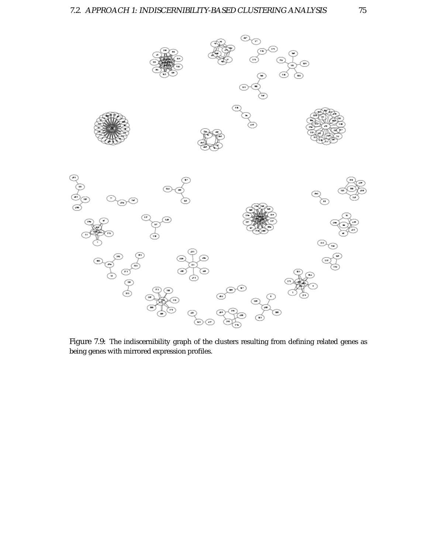

Figure 7.9: The indiscernibility graph of the clusters resulting from defining related genes as being genes with mirrored expression profiles.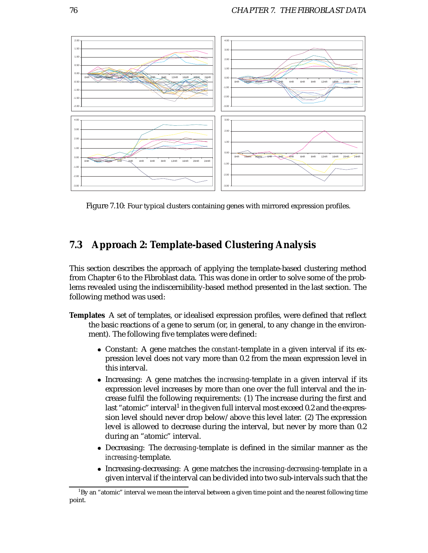

Figure 7.10: Four typical clusters containing genes with mirrored expression profiles.

# **7.3 Approach 2: Template-based Clustering Analysis**

This section describes the approach of applying the template-based clustering method from Chapter 6 to the Fibroblast data. This was done in order to solve some of the problems revealed using the indiscernibility-based method presented in the last section. The following method was used:

- **Templates** A set of templates, or idealised expression profiles, were defined that reflect the basic reactions of a gene to serum (or, in general, to any change in the environment). The following five templates were defined:
	- Constant: A gene matches the *constant*-template in a given interval if its expression level does not vary more than 0.2 from the mean expression level in this interval.
	- Increasing: A gene matches the *increasing*-template in a given interval if its expression level increases by more than one over the full interval and the increase fulfil the following requirements: (1) The increase during the first and last "atomic" interval<sup>1</sup> in the given full interval most exceed 0.2 and the expression level should never drop below/above this level later. (2) The expression level is allowed to decrease during the interval, but never by more than 0.2 during an "atomic" interval.
	- Decreasing: The *decreasing*-template is defined in the similar manner as the *increasing*-template.
	- Increasing-decreasing: A gene matches the *increasing-decreasing*-template in a given interval if the interval can be divided into two sub-intervals such that the

 $^1{\rm B}$ y an "atomic" interval we mean the interval between a given time point and the nearest following time point.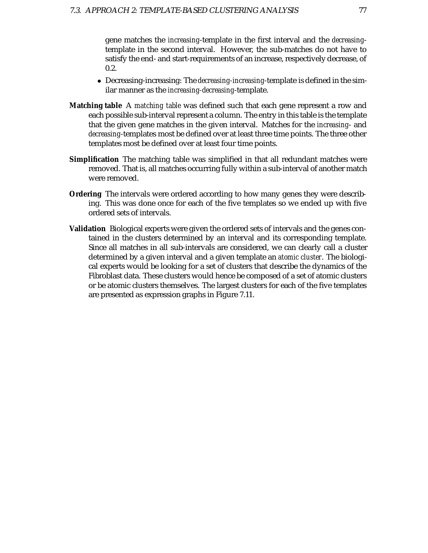gene matches the *increasing*-template in the first interval and the *decreasing*template in the second interval. However, the sub-matches do not have to satisfy the end- and start-requirements of an increase, respectively decrease, of 0.2.

- Decreasing-increasing: The *decreasing-increasing*-template is defined in the similar manner as the *increasing-decreasing*-template.
- **Matching table** A *matching table* was defined such that each gene represent a row and each possible sub-interval represent a column. The entry in this table is the template that the given gene matches in the given interval. Matches for the *increasing*- and *decreasing*-templates most be defined over at least three time points. The three other templates most be defined over at least four time points.
- **Simplification** The matching table was simplified in that all redundant matches were removed. That is, all matches occurring fully within a sub-interval of another match were removed.
- **Ordering** The intervals were ordered according to how many genes they were describing. This was done once for each of the five templates so we ended up with five ordered sets of intervals.
- **Validation** Biological experts were given the ordered sets of intervals and the genes contained in the clusters determined by an interval and its corresponding template. Since all matches in all sub-intervals are considered, we can clearly call a cluster determined by a given interval and a given template an *atomic cluster*. The biological experts would be looking for a set of clusters that describe the dynamics of the Fibroblast data. These clusters would hence be composed of a set of atomic clusters or be atomic clusters themselves. The largest clusters for each of the five templates are presented as expression graphs in Figure 7.11.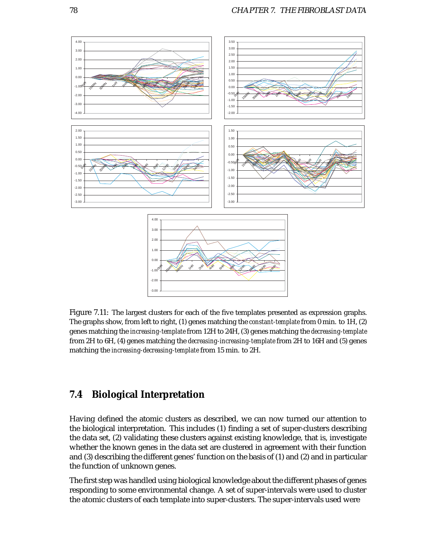

Figure 7.11: The largest clusters for each of the five templates presented as expression graphs. The graphs show, from left to right, (1) genes matching the *constant-template* from 0 min. to 1H, (2) genes matching the *increasing-template*from 12H to 24H, (3) genes matching the *decreasing-template* from 2H to 6H, (4) genes matching the *decreasing-increasing-template* from 2H to 16H and (5) genes matching the *increasing-decreasing-template* from 15 min. to 2H.

## **7.4 Biological Interpretation**

Having defined the atomic clusters as described, we can now turned our attention to the biological interpretation. This includes (1) finding a set of super-clusters describing the data set, (2) validating these clusters against existing knowledge, that is, investigate whether the known genes in the data set are clustered in agreement with their function and (3) describing the different genes' function on the basis of (1) and (2) and in particular the function of unknown genes.

The first step was handled using biological knowledge about the different phases of genes responding to some environmental change. A set of super-intervals were used to cluster the atomic clusters of each template into super-clusters. The super-intervals used were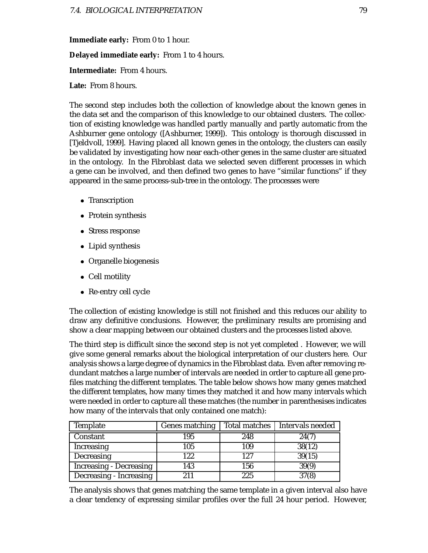**Immediate early:** From 0 to 1 hour.

**Delayed immediate early:** From 1 to 4 hours.

**Intermediate:** From 4 hours.

**Late:** From 8 hours.

The second step includes both the collection of knowledge about the known genes in the data set and the comparison of this knowledge to our obtained clusters. The collection of existing knowledge was handled partly manually and partly automatic from the Ashburner gene ontology ([Ashburner, 1999]). This ontology is thorough discussed in [Tjeldvoll, 1999]. Having placed all known genes in the ontology, the clusters can easily be validated by investigating how near each-other genes in the same cluster are situated in the ontology. In the Fibroblast data we selected seven different processes in which a gene can be involved, and then defined two genes to have "similar functions" if they appeared in the same process-sub-tree in the ontology. The processes were

- Transcription
- Protein synthesis
- Stress response
- Lipid synthesis
- Organelle biogenesis
- Cell motility
- Re-entry cell cycle

The collection of existing knowledge is still not finished and this reduces our ability to draw any definitive conclusions. However, the preliminary results are promising and show a clear mapping between our obtained clusters and the processes listed above.

The third step is difficult since the second step is not yet completed . However, we will give some general remarks about the biological interpretation of our clusters here. Our analysis shows a large degree of dynamics in the Fibroblast data. Even after removing redundant matches a large number of intervals are needed in order to capture all gene profiles matching the different templates. The table below shows how many genes matched the different templates, how many times they matched it and how many intervals which were needed in order to capture all these matches (the number in parenthesises indicates how many of the intervals that only contained one match):

| Template                       | Genes matching | Total matches | Intervals needed |
|--------------------------------|----------------|---------------|------------------|
| Constant                       | 195            | 248           | 24(7)            |
| Increasing                     | 105            | 109           | 38(12)           |
| Decreasing                     | 122            | 127           | 39(15)           |
| <b>Increasing - Decreasing</b> | 143            | 156           | 39(9)            |
| Decreasing - Increasing        | 2.11           | 225           | 37(8)            |

The analysis shows that genes matching the same template in a given interval also have a clear tendency of expressing similar profiles over the full 24 hour period. However,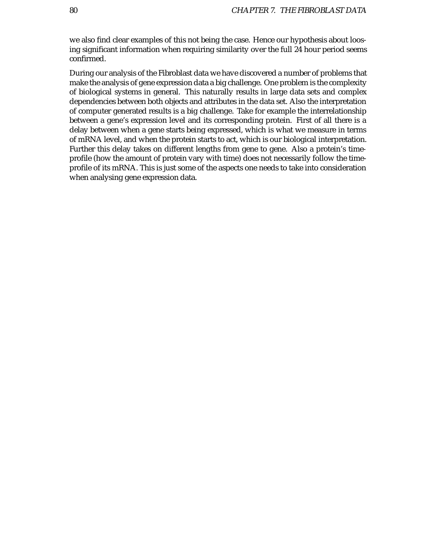we also find clear examples of this not being the case. Hence our hypothesis about loosing significant information when requiring similarity over the full 24 hour period seems confirmed.

During our analysis of the Fibroblast data we have discovered a number of problems that make the analysis of gene expression data a big challenge. One problem is the complexity of biological systems in general. This naturally results in large data sets and complex dependencies between both objects and attributes in the data set. Also the interpretation of computer generated results is a big challenge. Take for example the interrelationship between a gene's expression level and its corresponding protein. First of all there is a delay between when a gene starts being expressed, which is what we measure in terms of mRNA level, and when the protein starts to act, which is our biological interpretation. Further this delay takes on different lengths from gene to gene. Also a protein's timeprofile (how the amount of protein vary with time) does not necessarily follow the timeprofile of its mRNA. This is just some of the aspects one needs to take into consideration when analysing gene expression data.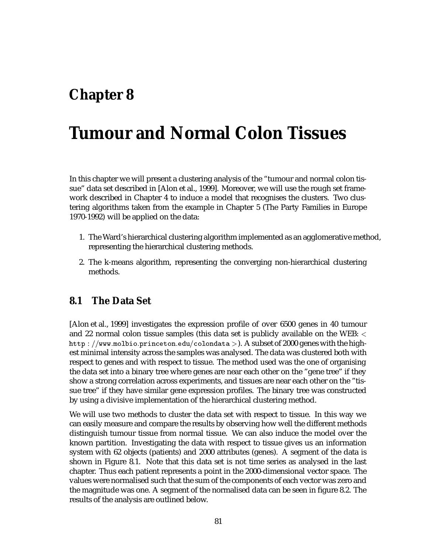# **Chapter 8**

# **Tumour and Normal Colon Tissues**

In this chapter we will present a clustering analysis of the "tumour and normal colon tissue" data set described in [Alon et al., 1999]. Moreover, we will use the rough set framework described in Chapter 4 to induce a model that recognises the clusters. Two clustering algorithms taken from the example in Chapter 5 (The Party Families in Europe 1970-1992) will be applied on the data:

- 1. The Ward's hierarchical clustering algorithm implemented as an agglomerative method, representing the hierarchical clustering methods.
- 2. The k-means algorithm, representing the converging non-hierarchical clustering methods.

## **8.1 The Data Set**

[Alon et al., 1999] investigates the expression profile of over 6500 genes in 40 tumour and 22 normal colon tissue samples (this data set is publicly available on the WEB:  $\lt$ http : //www.molbio.princeton.edu/colondata >). A subset of 2000 genes with the highest minimal intensity across the samples was analysed. The data was clustered both with respect to genes and with respect to tissue. The method used was the one of organising the data set into a binary tree where genes are near each other on the "gene tree" if they show a strong correlation across experiments, and tissues are near each other on the "tissue tree" if they have similar gene expression profiles. The binary tree was constructed by using a divisive implementation of the hierarchical clustering method.

We will use two methods to cluster the data set with respect to tissue. In this way we can easily measure and compare the results by observing how well the different methods distinguish tumour tissue from normal tissue. We can also induce the model over the known partition. Investigating the data with respect to tissue gives us an information system with 62 objects (patients) and 2000 attributes (genes). A segment of the data is shown in Figure 8.1. Note that this data set is not time series as analysed in the last chapter. Thus each patient represents a point in the 2000-dimensional vector space. The values were normalised such that the sum of the components of each vector was zero and the magnitude was one. A segment of the normalised data can be seen in figure 8.2. The results of the analysis are outlined below.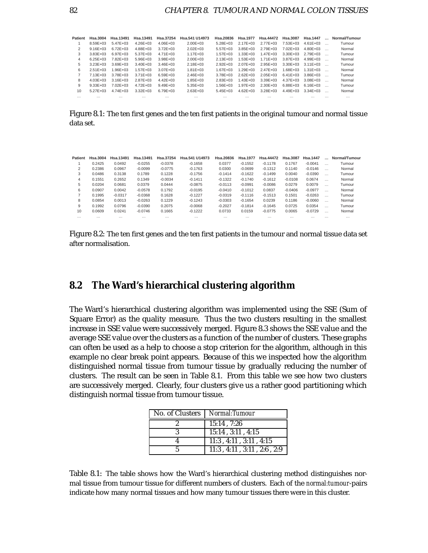| Patient  | Hsa.3004      | Hsa.13491     | Hsa.13491     | Hsa.37254     | Hsa.541 U14973 | Hsa.20836     | Hsa.1977      | Hsa.44472     | Hsa.3087      | Hsa.1447      | $\overline{\phantom{a}}$ | Normal/Tumour |
|----------|---------------|---------------|---------------|---------------|----------------|---------------|---------------|---------------|---------------|---------------|--------------------------|---------------|
|          | $8.59E + 03$  | $5.47E + 0.3$ | $4.26E + 0.3$ | $4.06E + 03$  | $2.00E + 0.3$  | $5.28E + 03$  | $2.17E + 0.3$ | $2.77E + 0.3$ | $7.53E + 03$  | $4.61E + 0.3$ |                          | Tumour        |
| 2        | $9.16E + 03$  | $6.72E + 0.3$ | $4.88E + 0.3$ | $3.72E + 0.3$ | $2.02E + 0.3$  | $5.57E + 03$  | $3.85E + 0.3$ | $2.79E + 0.3$ | $7.02E + 0.3$ | $4.80E + 0.3$ |                          | Normal        |
| 3        | $3.83E + 03$  | $6.97E + 0.3$ | $5.37E + 0.3$ | $4.71E + 0.3$ | $1.17E + 0.3$  | $1.57E + 0.3$ | $1.33E + 0.3$ | $1.47E + 0.3$ | $3.30E + 03$  | 2.79E+03      |                          | Tumour        |
| 4        | $6.25E + 03$  | $7.82E + 0.3$ | $5.96E + 03$  | $3.98E + 03$  | $2.00E + 0.3$  | $2.13E + 0.3$ | $1.53E + 0.3$ | $1.71E + 0.3$ | $3.87E + 0.3$ | $4.99E + 03$  |                          | Normal        |
| 5        | $3.23E + 03$  | $3.69E + 03$  | $3.40E + 0.3$ | $3.46E + 03$  | $2.18E + 0.3$  | $292F + 03$   | $2.07E + 0.3$ | $2.95E + 0.3$ | $3.30E + 03$  | $3.11E + 0.3$ |                          | Tumour        |
| 6        | $2.51E + 0.3$ | $1.96E + 0.3$ | $1.57E + 0.3$ | $3.07E + 0.3$ | $1.81E + 0.3$  | $1.67E + 0.3$ | $1.29E + 03$  | $2.47E + 0.3$ | $1.68E + 03$  | $1.31E + 0.3$ |                          | Normal        |
|          | $7.13E + 03$  | $3.78E + 0.3$ | $3.71E + 0.3$ | $6.59E + 03$  | $2.46E + 0.3$  | $3.78E + 03$  | $2.62E + 0.3$ | $2.05E + 0.3$ | $6.41E + 03$  | 3.86E+03      |                          | Tumour        |
| 8        | $4.03E + 0.3$ | $3.16E + 03$  | $2.87E + 0.3$ | $4.42E + 0.3$ | $1.85E + 0.3$  | $2.83E + 0.3$ | $1.43E + 03$  | $3.39E + 0.3$ | $4.37E + 0.3$ | $3.08E + 03$  |                          | Normal        |
| 9        | $9.33E + 03$  | $7.02E + 0.3$ | $4.72E + 0.3$ | $9.49E + 03$  | $5.35E + 0.3$  | $1.56E + 03$  | $1.97E + 0.3$ | $2.30E + 0.3$ | 6.88E+03      | $6.16E + 03$  |                          | Tumour        |
| 10       | $5.27E + 0.3$ | $4.74E + 0.3$ | $3.32E + 0.3$ | $6.79E + 0.3$ | $2.63E + 0.3$  | $5.45E + 03$  | $4.62E + 0.3$ | $3.28E + 03$  | $4.49E + 0.3$ | $3.34E + 0.3$ |                          | Normal        |
| $\cdots$ | $\cdots$      | $\cdots$      | $\cdots$      | $\cdots$      | $\cdots$       | $\cdots$      | $\cdots$      | $\cdots$      | $\cdots$      |               | $\cdots$                 | $\cdots$      |

Figure 8.1: The ten first genes and the ten first patients in the original tumour and normal tissue data set.

| <b>Patient</b> | <b>Hsa.3004</b> | Hsa.13491 | Hsa.13491 | Hsa.37254 | Hsa.541 U14973 | Hsa.20836 | <b>Hsa.1977</b> | Hsa.44472 | <b>Hsa.3087</b> | Hsa.1447  |          | Normal/Tumour |
|----------------|-----------------|-----------|-----------|-----------|----------------|-----------|-----------------|-----------|-----------------|-----------|----------|---------------|
|                | 0.2425          | 0.0492    | $-0.0255$ | $-0.0378$ | $-0.1658$      | 0.0377    | $-0.1552$       | $-0.1178$ | 0.1767          | $-0.0041$ | $\cdots$ | Tumour        |
| 2              | 0.2386          | 0.0967    | $-0.0099$ | $-0.0775$ | $-0.1763$      | 0.0300    | $-0.0699$       | $-0.1312$ | 0.1140          | $-0.0146$ |          | Normal        |
| 3              | 0.0486          | 0.3138    | 0.1789    | 0.1228    | $-0.1756$      | $-0.1414$ | $-0.1622$       | $-0.1499$ | 0.0040          | $-0.0390$ | $\cdots$ | Tumour        |
| 4              | 0.1551          | 0.2652    | 0.1349    | $-0.0034$ | $-0.1411$      | $-0.1322$ | $-0.1740$       | $-0.1612$ | $-0.0108$       | 0.0674    | $\cdots$ | Normal        |
| 5              | 0.0204          | 0.0681    | 0.0379    | 0.0444    | $-0.0875$      | $-0.0113$ | $-0.0991$       | $-0.0086$ | 0.0279          | 0.0079    | $\cdots$ | Tumour        |
| 6              | 0.0907          | 0.0042    | $-0.0578$ | 0.1792    | $-0.0195$      | $-0.0410$ | $-0.1012$       | 0.0837    | $-0.0406$       | $-0.0977$ |          | Normal        |
|                | 0.1995          | $-0.0317$ | $-0.0368$ | 0.1628    | $-0.1227$      | $-0.0319$ | $-0.1116$       | $-0.1513$ | 0.1501          | $-0.0263$ | $\cdots$ | Tumour        |
| 8              | 0.0854          | 0.0013    | $-0.0263$ | 0.1229    | $-0.1243$      | $-0.0303$ | $-0.1654$       | 0.0239    | 0.1186          | $-0.0060$ | $\cdots$ | Normal        |
| 9              | 0.1992          | 0.0796    | $-0.0390$ | 0.2075    | $-0.0068$      | $-0.2027$ | $-0.1814$       | $-0.1645$ | 0.0725          | 0.0354    | $\cdots$ | Tumour        |
| 10             | 0.0609          | 0.0241    | $-0.0746$ | 0.1665    | $-0.1222$      | 0.0733    | 0.0159          | $-0.0775$ | 0.0065          | $-0.0729$ | $\cdots$ | Normal        |
|                | $\cdots$        | $\cdots$  | $\cdots$  | $\cdots$  |                | $\cdots$  | $\cdots$        | $\cdots$  | $\cdots$        | $\cdots$  | $\cdots$ | $\cdots$      |

Figure 8.2: The ten first genes and the ten first patients in the tumour and normal tissue data set after normalisation.

## **8.2 The Ward's hierarchical clustering algorithm**

The Ward's hierarchical clustering algorithm was implemented using the SSE (Sum of Square Error) as the quality measure. Thus the two clusters resulting in the smallest increase in SSE value were successively merged. Figure 8.3 shows the SSE value and the average SSE value over the clusters as a function of the number of clusters. These graphs can often be used as a help to choose a stop criterion for the algorithm, although in this example no clear break point appears. Because of this we inspected how the algorithm distinguished normal tissue from tumour tissue by gradually reducing the number of clusters. The result can be seen in Table 8.1. From this table we see how two clusters are successively merged. Clearly, four clusters give us a rather good partitioning which distinguish normal tissue from tumour tissue.

| No. of Clusters   Normal: Tumour |                                          |
|----------------------------------|------------------------------------------|
|                                  | 15:14.7:26                               |
|                                  | $15:14$ , $3:11$ , $4:15$                |
|                                  | $11:3$ , $4:11$ , $3:11$ , $4:15$        |
|                                  | $11:3$ , $4:11$ , $3:11$ , $2:6$ , $2:9$ |

Table 8.1: The table shows how the Ward's hierarchical clustering method distinguishes normal tissue from tumour tissue for different numbers of clusters. Each of the *normal:tumour*-pairs indicate how many normal tissues and how many tumour tissues there were in this cluster.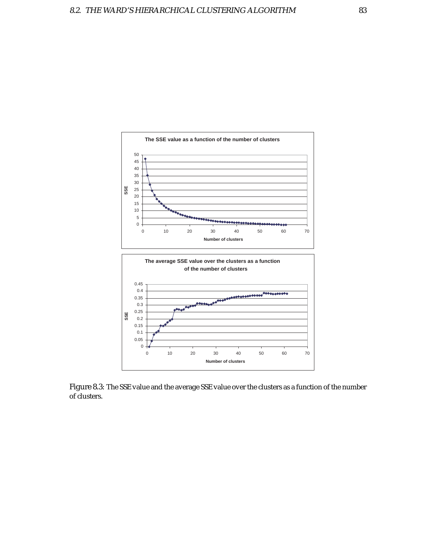

Figure 8.3: The SSE value and the average SSE value over the clusters as a function of the number of clusters.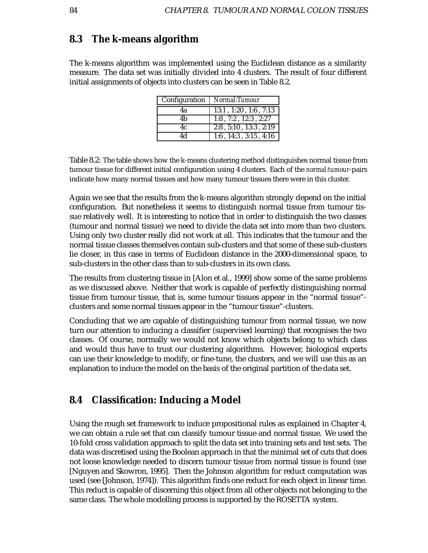## **8.3 The k-means algorithm**

The k-means algorithm was implemented using the Euclidean distance as a similarity measure. The data set was initially divided into 4 clusters. The result of four different initial assignments of objects into clusters can be seen in Table 8.2.

| Configuration | Normal:Tumour                    |
|---------------|----------------------------------|
| 4a            | $13:1$ , $1:20$ , $1:6$ , $7:13$ |
| 4b            | $1:8$ , $7:2$ , $12:3$ , $2:27$  |
| 4c            | $2:8$ , $5:10$ , $13:3$ , $2:19$ |
| Λd            | $1:6$ , $14:3$ , $3:15$ , $4:16$ |

Table 8.2: The table shows how the k-means clustering method distinguishes normal tissue from tumour tissue for different initial configuration using 4 clusters. Each of the *normal:tumour*-pairs indicate how many normal tissues and how many tumour tissues there were in this cluster.

Again we see that the results from the k-means algorithm strongly depend on the initial configuration. But nonetheless it seems to distinguish normal tissue from tumour tissue relatively well. It is interesting to notice that in order to distinguish the two classes (tumour and normal tissue) we need to divide the data set into more than two clusters. Using only two cluster really did not work at all. This indicates that the tumour and the normal tissue classes themselves contain sub-clusters and that some of these sub-clusters lie closer, in this case in terms of Euclidean distance in the 2000-dimensional space, to sub-clusters in the other class than to sub-clusters in its own class.

The results from clustering tissue in [Alon et al., 1999] show some of the same problems as we discussed above. Neither that work is capable of perfectly distinguishing normal tissue from tumour tissue, that is, some tumour tissues appear in the "normal tissue" clusters and some normal tissues appear in the "tumour tissue"-clusters.

Concluding that we are capable of distinguishing tumour from normal tissue, we now turn our attention to inducing a classifier (supervised learning) that recognises the two classes. Of course, normally we would not know which objects belong to which class and would thus have to trust our clustering algorithms. However, biological experts can use their knowledge to modify, or fine-tune, the clusters, and we will use this as an explanation to induce the model on the basis of the original partition of the data set.

### **8.4 Classification: Inducing a Model**

Using the rough set framework to induce propositional rules as explained in Chapter 4, we can obtain a rule set that can classify tumour tissue and normal tissue. We used the 10-fold cross validation approach to split the data set into training sets and test sets. The data was discretised using the Boolean approach in that the minimal set of cuts that does not loose knowledge needed to discern tumour tissue from normal tissue is found (sse [Nguyen and Skowron, 1995]. Then the Johnson algorithm for reduct computation was used (see [Johnson, 1974]). This algorithm finds one reduct for each object in linear time. This reduct is capable of discerning this object from all other objects not belonging to the same class. The whole modelling process is supported by the ROSETTA system.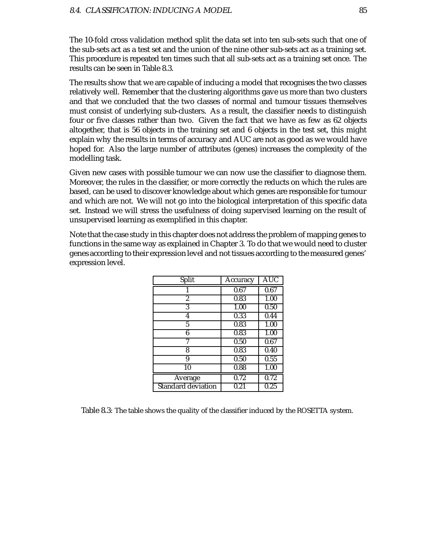The 10-fold cross validation method split the data set into ten sub-sets such that one of the sub-sets act as a test set and the union of the nine other sub-sets act as a training set. This procedure is repeated ten times such that all sub-sets act as a training set once. The results can be seen in Table 8.3.

The results show that we are capable of inducing a model that recognises the two classes relatively well. Remember that the clustering algorithms gave us more than two clusters and that we concluded that the two classes of normal and tumour tissues themselves must consist of underlying sub-clusters. As a result, the classifier needs to distinguish four or five classes rather than two. Given the fact that we have as few as 62 objects altogether, that is 56 objects in the training set and 6 objects in the test set, this might explain why the results in terms of accuracy and AUC are not as good as we would have hoped for. Also the large number of attributes (genes) increases the complexity of the modelling task.

Given new cases with possible tumour we can now use the classifier to diagnose them. Moreover, the rules in the classifier, or more correctly the reducts on which the rules are based, can be used to discover knowledge about which genes are responsible for tumour and which are not. We will not go into the biological interpretation of this specific data set. Instead we will stress the usefulness of doing supervised learning on the result of unsupervised learning as exemplified in this chapter.

Note that the case study in this chapter does not address the problem of mapping genes to functions in the same way as explained in Chapter 3. To do that we would need to cluster genes according to their expression level and not tissues according to the measured genes' expression level.

| Split                     | Accuracy          | <b>AUC</b>        |
|---------------------------|-------------------|-------------------|
|                           | 0.67              | 0.67              |
| 2                         | 0.83              | 1.00              |
| 3                         | 1.00              | 0.50              |
| 4                         | 0.33              | 0.44              |
| 5                         | 0.83              | 1.00              |
| 6                         | 0.83              | 1.00              |
| 7                         | 0.50              | 0.67              |
| 8                         | 0.83              | 0.40              |
| 9                         | 0.50              | 0.55              |
| 10                        | 0.88              | 1.00              |
| Average                   | $\overline{0.72}$ | $\overline{0.72}$ |
| <b>Standard deviation</b> | 0.21              | 0.25              |

Table 8.3: The table shows the quality of the classifier induced by the ROSETTA system.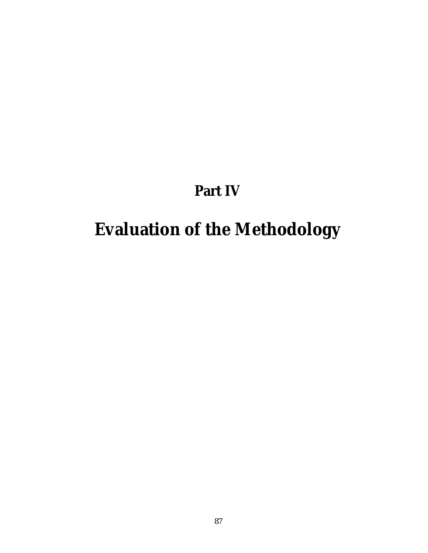# **Part IV**

# **Evaluation of the Methodology**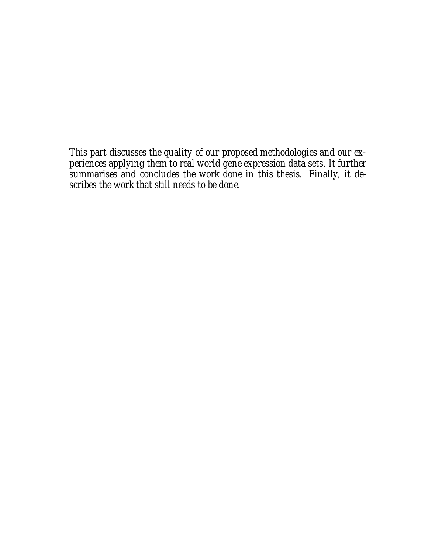*This part discusses the quality of our proposed methodologies and our experiences applying them to real world gene expression data sets. It further summarises and concludes the work done in this thesis. Finally, it describes the work that still needs to be done.*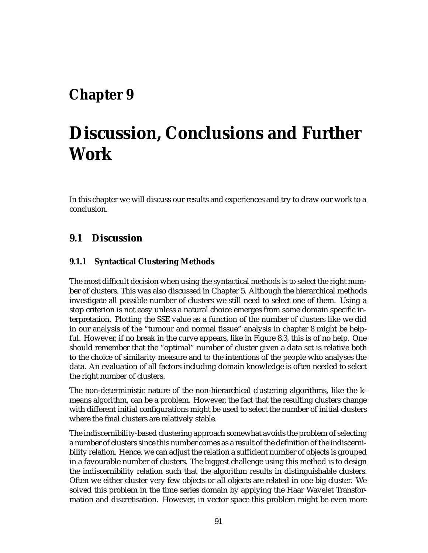# **Chapter 9**

# **Discussion, Conclusions and Further Work**

In this chapter we will discuss our results and experiences and try to draw our work to a conclusion.

# **9.1 Discussion**

### **9.1.1 Syntactical Clustering Methods**

The most difficult decision when using the syntactical methods is to select the right number of clusters. This was also discussed in Chapter 5. Although the hierarchical methods investigate all possible number of clusters we still need to select one of them. Using a stop criterion is not easy unless a natural choice emerges from some domain specific interpretation. Plotting the SSE value as a function of the number of clusters like we did in our analysis of the "tumour and normal tissue" analysis in chapter 8 might be helpful. However, if no break in the curve appears, like in Figure 8.3, this is of no help. One should remember that the "optimal" number of cluster given a data set is relative both to the choice of similarity measure and to the intentions of the people who analyses the data. An evaluation of all factors including domain knowledge is often needed to select the right number of clusters.

The non-deterministic nature of the non-hierarchical clustering algorithms, like the kmeans algorithm, can be a problem. However, the fact that the resulting clusters change with different initial configurations might be used to select the number of initial clusters where the final clusters are relatively stable.

The indiscernibility-based clustering approach somewhat avoids the problem of selecting a number of clusters since this number comes as a result of the definition of the indiscernibility relation. Hence, we can adjust the relation a sufficient number of objects is grouped in a favourable number of clusters. The biggest challenge using this method is to design the indiscernibility relation such that the algorithm results in distinguishable clusters. Often we either cluster very few objects or all objects are related in one big cluster. We solved this problem in the time series domain by applying the Haar Wavelet Transformation and discretisation. However, in vector space this problem might be even more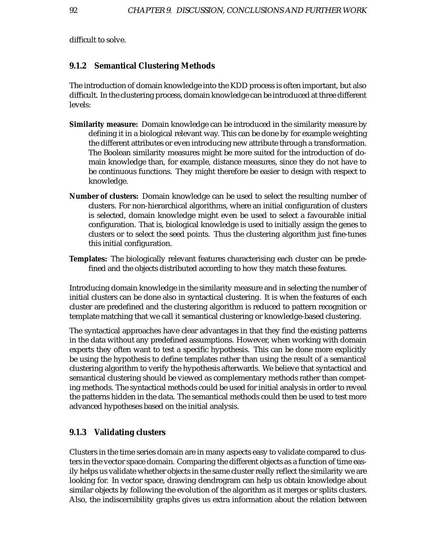difficult to solve.

### **9.1.2 Semantical Clustering Methods**

The introduction of domain knowledge into the KDD process is often important, but also difficult. In the clustering process, domain knowledge can be introduced at three different levels:

- **Similarity measure:** Domain knowledge can be introduced in the similarity measure by defining it in a biological relevant way. This can be done by for example weighting the different attributes or even introducing new attribute through a transformation. The Boolean similarity measures might be more suited for the introduction of domain knowledge than, for example, distance measures, since they do not have to be continuous functions. They might therefore be easier to design with respect to knowledge.
- **Number of clusters:** Domain knowledge can be used to select the resulting number of clusters. For non-hierarchical algorithms, where an initial configuration of clusters is selected, domain knowledge might even be used to select a favourable initial configuration. That is, biological knowledge is used to initially assign the genes to clusters or to select the seed points. Thus the clustering algorithm just fine-tunes this initial configuration.
- **Templates:** The biologically relevant features characterising each cluster can be predefined and the objects distributed according to how they match these features.

Introducing domain knowledge in the similarity measure and in selecting the number of initial clusters can be done also in syntactical clustering. It is when the features of each cluster are predefined and the clustering algorithm is reduced to pattern recognition or template matching that we call it semantical clustering or knowledge-based clustering.

The syntactical approaches have clear advantages in that they find the existing patterns in the data without any predefined assumptions. However, when working with domain experts they often want to test a specific hypothesis. This can be done more explicitly be using the hypothesis to define templates rather than using the result of a semantical clustering algorithm to verify the hypothesis afterwards. We believe that syntactical and semantical clustering should be viewed as complementary methods rather than competing methods. The syntactical methods could be used for initial analysis in order to reveal the patterns hidden in the data. The semantical methods could then be used to test more advanced hypotheses based on the initial analysis.

### **9.1.3 Validating clusters**

Clusters in the time series domain are in many aspects easy to validate compared to clusters in the vector space domain. Comparing the different objects as a function of time easily helps us validate whether objects in the same cluster really reflect the similarity we are looking for. In vector space, drawing dendrogram can help us obtain knowledge about similar objects by following the evolution of the algorithm as it merges or splits clusters. Also, the indiscernibility graphs gives us extra information about the relation between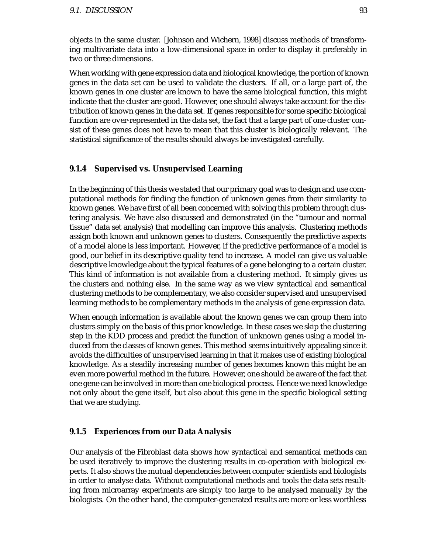objects in the same cluster. [Johnson and Wichern, 1998] discuss methods of transforming multivariate data into a low-dimensional space in order to display it preferably in two or three dimensions.

When working with gene expression data and biological knowledge, the portion of known genes in the data set can be used to validate the clusters. If all, or a large part of, the known genes in one cluster are known to have the same biological function, this might indicate that the cluster are good. However, one should always take account for the distribution of known genes in the data set. If genes responsible for some specific biological function are over-represented in the data set, the fact that a large part of one cluster consist of these genes does not have to mean that this cluster is biologically relevant. The statistical significance of the results should always be investigated carefully.

### **9.1.4 Supervised vs. Unsupervised Learning**

In the beginning of this thesis we stated that our primary goal was to design and use computational methods for finding the function of unknown genes from their similarity to known genes. We have first of all been concerned with solving this problem through clustering analysis. We have also discussed and demonstrated (in the "tumour and normal tissue" data set analysis) that modelling can improve this analysis. Clustering methods assign both known and unknown genes to clusters. Consequently the predictive aspects of a model alone is less important. However, if the predictive performance of a model is good, our belief in its descriptive quality tend to increase. A model can give us valuable descriptive knowledge about the typical features of a gene belonging to a certain cluster. This kind of information is not available from a clustering method. It simply gives us the clusters and nothing else. In the same way as we view syntactical and semantical clustering methods to be complementary, we also consider supervised and unsupervised learning methods to be complementary methods in the analysis of gene expression data.

When enough information is available about the known genes we can group them into clusters simply on the basis of this prior knowledge. In these cases we skip the clustering step in the KDD process and predict the function of unknown genes using a model induced from the classes of known genes. This method seems intuitively appealing since it avoids the difficulties of unsupervised learning in that it makes use of existing biological knowledge. As a steadily increasing number of genes becomes known this might be an even more powerful method in the future. However, one should be aware of the fact that one gene can be involved in more than one biological process. Hence we need knowledge not only about the gene itself, but also about this gene in the specific biological setting that we are studying.

#### **9.1.5 Experiences from our Data Analysis**

Our analysis of the Fibroblast data shows how syntactical and semantical methods can be used iteratively to improve the clustering results in co-operation with biological experts. It also shows the mutual dependencies between computer scientists and biologists in order to analyse data. Without computational methods and tools the data sets resulting from microarray experiments are simply too large to be analysed manually by the biologists. On the other hand, the computer-generated results are more or less worthless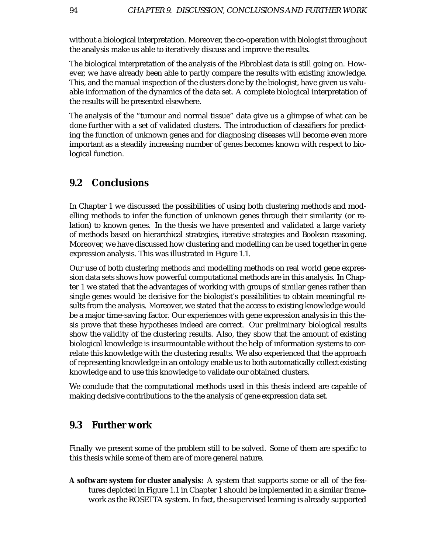without a biological interpretation. Moreover, the co-operation with biologist throughout the analysis make us able to iteratively discuss and improve the results.

The biological interpretation of the analysis of the Fibroblast data is still going on. However, we have already been able to partly compare the results with existing knowledge. This, and the manual inspection of the clusters done by the biologist, have given us valuable information of the dynamics of the data set. A complete biological interpretation of the results will be presented elsewhere.

The analysis of the "tumour and normal tissue" data give us a glimpse of what can be done further with a set of validated clusters. The introduction of classifiers for predicting the function of unknown genes and for diagnosing diseases will become even more important as a steadily increasing number of genes becomes known with respect to biological function.

## **9.2 Conclusions**

In Chapter 1 we discussed the possibilities of using both clustering methods and modelling methods to infer the function of unknown genes through their similarity (or relation) to known genes. In the thesis we have presented and validated a large variety of methods based on hierarchical strategies, iterative strategies and Boolean reasoning. Moreover, we have discussed how clustering and modelling can be used together in gene expression analysis. This was illustrated in Figure 1.1.

Our use of both clustering methods and modelling methods on real world gene expression data sets shows how powerful computational methods are in this analysis. In Chapter 1 we stated that the advantages of working with groups of similar genes rather than single genes would be decisive for the biologist's possibilities to obtain meaningful results from the analysis. Moreover, we stated that the access to existing knowledge would be a major time-saving factor. Our experiences with gene expression analysis in this thesis prove that these hypotheses indeed are correct. Our preliminary biological results show the validity of the clustering results. Also, they show that the amount of existing biological knowledge is insurmountable without the help of information systems to correlate this knowledge with the clustering results. We also experienced that the approach of representing knowledge in an ontology enable us to both automatically collect existing knowledge and to use this knowledge to validate our obtained clusters.

We conclude that the computational methods used in this thesis indeed are capable of making decisive contributions to the the analysis of gene expression data set.

## **9.3 Further work**

Finally we present some of the problem still to be solved. Some of them are specific to this thesis while some of them are of more general nature.

**A software system for cluster analysis:** A system that supports some or all of the features depicted in Figure 1.1 in Chapter 1 should be implemented in a similar framework as the ROSETTA system. In fact, the supervised learning is already supported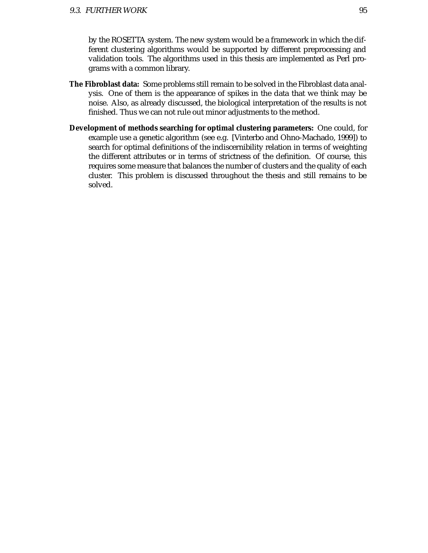by the ROSETTA system. The new system would be a framework in which the different clustering algorithms would be supported by different preprocessing and validation tools. The algorithms used in this thesis are implemented as Perl programs with a common library.

- **The Fibroblast data:** Some problems still remain to be solved in the Fibroblast data analysis. One of them is the appearance of spikes in the data that we think may be noise. Also, as already discussed, the biological interpretation of the results is not finished. Thus we can not rule out minor adjustments to the method.
- **Development of methods searching for optimal clustering parameters:** One could, for example use a genetic algorithm (see e.g. [Vinterbo and Ohno-Machado, 1999]) to search for optimal definitions of the indiscernibility relation in terms of weighting the different attributes or in terms of strictness of the definition. Of course, this requires some measure that balances the number of clusters and the quality of each cluster. This problem is discussed throughout the thesis and still remains to be solved.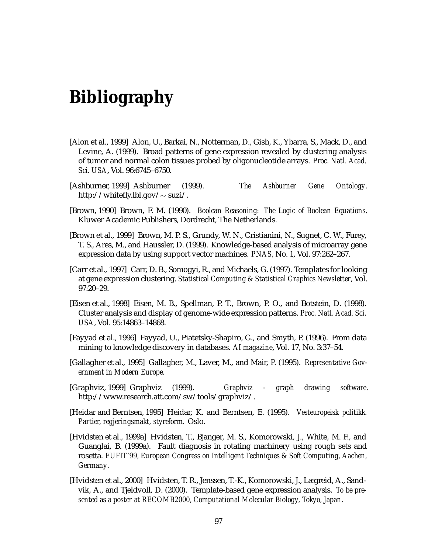# **Bibliography**

- [Alon et al., 1999] Alon, U., Barkai, N., Notterman, D., Gish, K., Ybarra, S., Mack, D., and Levine, A. (1999). Broad patterns of gene expression revealed by clustering analysis of tumor and normal colon tissues probed by oligonucleotide arrays. *Proc. Natl. Acad. Sci. USA*, Vol. 96:6745–6750.
- [Ashburner, 1999] Ashburner (1999). *The Ashburner Gene Ontology*. http://whitefly.lbl.gov/ $\sim$ suzi/.
- [Brown, 1990] Brown, F. M. (1990). *Boolean Reasoning: The Logic of Boolean Equations*. Kluwer Academic Publishers, Dordrecht, The Netherlands.
- [Brown et al., 1999] Brown, M. P. S., Grundy, W. N., Cristianini, N., Sugnet, C. W., Furey, T. S., Ares, M., and Haussler, D. (1999). Knowledge-based analysis of microarray gene expression data by using support vector machines. *PNAS*, No. 1, Vol. 97:262–267.
- [Carr et al., 1997] Carr, D. B., Somogyi, R., and Michaels, G. (1997). Templates for looking at gene expression clustering. *Statistical Computing & Statistical Graphics Newsletter*, Vol. 97:20–29.
- [Eisen et al., 1998] Eisen, M. B., Spellman, P. T., Brown, P. O., and Botstein, D. (1998). Cluster analysis and display of genome-wide expression patterns. *Proc. Natl. Acad. Sci. USA*, Vol. 95:14863–14868.
- [Fayyad et al., 1996] Fayyad, U., Piatetsky-Shapiro, G., and Smyth, P. (1996). From data mining to knowledge discovery in databases. *AI magazine*, Vol. 17, No. 3:37–54.
- [Gallagher et al., 1995] Gallagher, M., Laver, M., and Mair, P. (1995). *Representative Government in Modern Europe.*
- [Graphviz, 1999] Graphviz (1999). *Graphviz graph drawing software*. http://www.research.att.com/sw/tools/graphviz/.
- [Heidar and Berntsen, 1995] Heidar, K. and Berntsen, E. (1995). *Vesteuropeisk politikk. Partier, regjeringsmakt, styreform.* Oslo.
- [Hvidsten et al., 1999a] Hvidsten, T., Bjanger, M. S., Komorowski, J., White, M. F., and Guanglai, B. (1999a). Fault diagnosis in rotating machinery using rough sets and rosetta. *EUFIT'99, European Congress on Intelligent Techniques & Soft Computing, Aachen, Germany*.
- [Hvidsten et al., 2000] Hvidsten, T. R., Jenssen, T.-K., Komorowski, J., Lægreid, A., Sandvik, A., and Tjeldvoll, D. (2000). Template-based gene expression analysis. *To be presented as a poster at RECOMB2000, Computational Molecular Biology, Tokyo, Japan*.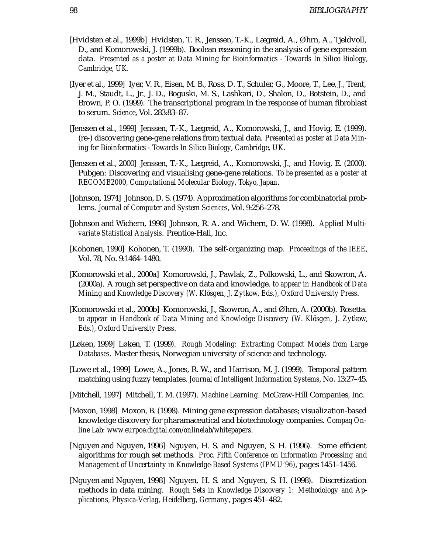- [Hvidsten et al., 1999b] Hvidsten, T. R., Jenssen, T.-K., Lægreid, A., Øhrn, A., Tjeldvoll, D., and Komorowski, J. (1999b). Boolean reasoning in the analysis of gene expression data. *Presented as a poster at Data Mining for Bioinformatics - Towards In Silico Biology, Cambridge, UK.*
- [Iyer et al., 1999] Iyer, V. R., Eisen, M. B., Ross, D. T., Schuler, G., Moore, T., Lee, J., Trent, J. M., Staudt, L., Jr., J. D., Boguski, M. S., Lashkari, D., Shalon, D., Botstein, D., and Brown, P. O. (1999). The transcriptional program in the response of human fibroblast to serum. *Science*, Vol. 283:83–87.
- [Jenssen et al., 1999] Jenssen, T.-K., Lægreid, A., Komorowski, J., and Hovig, E. (1999). (re-) discovering gene-gene relations from textual data. *Presented as poster at Data Mining for Bioinformatics - Towards In Silico Biology, Cambridge, UK.*
- [Jenssen et al., 2000] Jenssen, T.-K., Lægreid, A., Komorowski, J., and Hovig, E. (2000). Pubgen: Discovering and visualising gene-gene relations. *To be presented as a poster at RECOMB2000, Computational Molecular Biology, Tokyo, Japan*.
- [Johnson, 1974] Johnson, D. S. (1974). Approximation algorithms for combinatorial problems. *Journal of Computer and System Sciences*, Vol. 9:256–278.
- [Johnson and Wichern, 1998] Johnson, R. A. and Wichern, D. W. (1998). *Applied Multivariate Statistical Analysis*. Prentice-Hall, Inc.
- [Kohonen, 1990] Kohonen, T. (1990). The self-organizing map. *Proceedings of the IEEE*, Vol. 78, No. 9:1464–1480.
- [Komorowski et al., 2000a] Komorowski, J., Pawlak, Z., Polkowski, L., and Skowron, A. (2000a). A rough set perspective on data and knowledge. *to appear in Handbook of Data Mining and Knowledge Discovery (W. Klösgen, J. Zytkow, Eds.), Oxford University Press.*
- [Komorowski et al., 2000b] Komorowski, J., Skowron, A., and Øhrn, A. (2000b). Rosetta. to appear in Handbook of Data Mining and Knowledge Discovery (W. Klösgen, J. Zytkow, *Eds.), Oxford University Press*.
- [Løken, 1999] Løken, T. (1999). *Rough Modeling: Extracting Compact Models from Large Databases*. Master thesis, Norwegian university of science and technology.
- [Lowe et al., 1999] Lowe, A., Jones, R. W., and Harrison, M. J. (1999). Temporal pattern matching using fuzzy templates. *Journal of Intelligent Information Systems*, No. 13:27–45.
- [Mitchell, 1997] Mitchell, T. M. (1997). *Machine Learning*. McGraw-Hill Companies, Inc.
- [Moxon, 1998] Moxon, B. (1998). Mining gene expression databases; visualization-based knowledge discovery for pharamaceutical and biotechnology companies. *Compaq Online Lab: www.eurpoe.digital.com/onlinelab/whitepapers*.
- [Nguyen and Nguyen, 1996] Nguyen, H. S. and Nguyen, S. H. (1996). Some efficient algorithms for rough set methods. *Proc. Fifth Conference on Information Processing and Management of Uncertainty in Knowledge-Based Systems (IPMU'96)*, pages 1451–1456.
- [Nguyen and Nguyen, 1998] Nguyen, H. S. and Nguyen, S. H. (1998). Discretization methods in data mining. *Rough Sets in Knowledge Discovery 1: Methodology and Applications, Physica-Verlag, Heidelberg, Germany*, pages 451–482.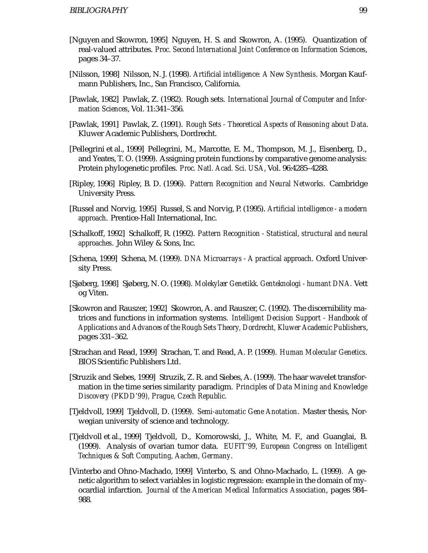- [Nguyen and Skowron, 1995] Nguyen, H. S. and Skowron, A. (1995). Quantization of real-valued attributes. *Proc. Second International Joint Conference on Information Sciences*, pages 34–37.
- [Nilsson, 1998] Nilsson, N. J. (1998). *Artificial intelligence: A New Synthesis*. Morgan Kaufmann Publishers, Inc., San Francisco, California.
- [Pawlak, 1982] Pawlak, Z. (1982). Rough sets. *International Journal of Computer and Information Sciences*, Vol. 11:341–356.
- [Pawlak, 1991] Pawlak, Z. (1991). *Rough Sets Theoretical Aspects of Reasoning about Data*. Kluwer Academic Publishers, Dordrecht.
- [Pellegrini et al., 1999] Pellegrini, M., Marcotte, E. M., Thompson, M. J., Eisenberg, D., and Yeates, T. O. (1999). Assigning protein functions by comparative genome analysis: Protein phylogenetic profiles. *Proc. Natl. Acad. Sci. USA*, Vol. 96:4285–4288.
- [Ripley, 1996] Ripley, B. D. (1996). *Pattern Recognition and Neural Networks*. Cambridge University Press.
- [Russel and Norvig, 1995] Russel, S. and Norvig, P. (1995). *Artificial intelligence a modern approach*. Prentice-Hall International, Inc.
- [Schalkoff, 1992] Schalkoff, R. (1992). *Pattern Recognition Statistical, structural and neural approaches*. John Wiley & Sons, Inc.
- [Schena, 1999] Schena, M. (1999). *DNA Microarrays A practical approach*. Oxford University Press.
- [Sjøberg, 1998] Sjøberg, N. O. (1998). *Molekylær Genetikk. Genteknologi humant DNA.* Vett og Viten.
- [Skowron and Rauszer, 1992] Skowron, A. and Rauszer, C. (1992). The discernibility matrices and functions in information systems. *Intelligent Decision Support - Handbook of Applications and Advances of the Rough Sets Theory, Dordrecht, Kluwer Academic Publishers*, pages 331–362.
- [Strachan and Read, 1999] Strachan, T. and Read, A. P. (1999). *Human Molecular Genetics*. BIOS Scientific Publishers Ltd.
- [Struzik and Siebes, 1999] Struzik, Z. R. and Siebes, A. (1999). The haar wavelet transformation in the time series similarity paradigm. *Principles of Data Mining and Knowledge Discovery (PKDD'99), Prague, Czech Republic.*
- [Tjeldvoll, 1999] Tjeldvoll, D. (1999). *Semi-automatic Gene Anotation*. Master thesis, Norwegian university of science and technology.
- [Tjeldvoll et al., 1999] Tjeldvoll, D., Komorowski, J., White, M. F., and Guanglai, B. (1999). Analysis of ovarian tumor data. *EUFIT'99, European Congress on Intelligent Techniques & Soft Computing, Aachen, Germany*.
- [Vinterbo and Ohno-Machado, 1999] Vinterbo, S. and Ohno-Machado, L. (1999). A genetic algorithm to select variables in logistic regression: example in the domain of myocardial infarction. *Journal of the American Medical Informatics Association*, pages 984– 988.